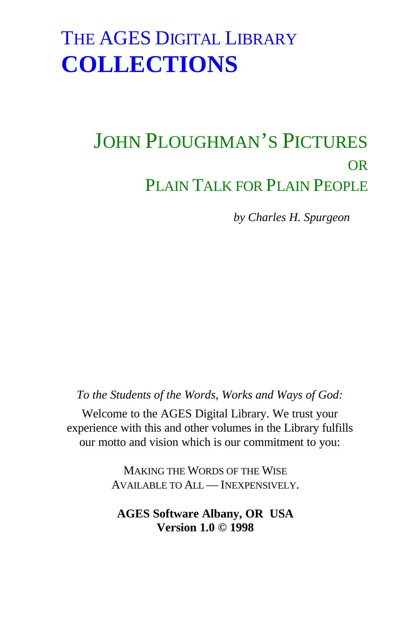### JOHN PLOUGHMAN'S PICTURES OR PLAIN TALK FOR PLAIN PEOPLE

*by Charles H. Spurgeon*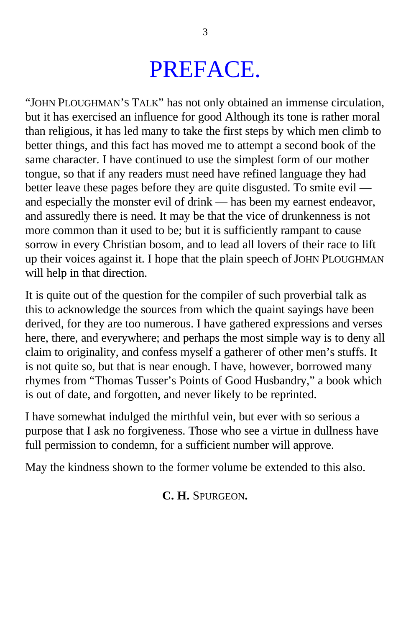### PREFACE.

"JOHN PLOUGHMAN'S TALK" has not only obtained an immense circulation, but it has exercised an influence for good Although its tone is rather moral than religious, it has led many to take the first steps by which men climb to better things, and this fact has moved me to attempt a second book of the same character. I have continued to use the simplest form of our mother tongue, so that if any readers must need have refined language they had better leave these pages before they are quite disgusted. To smite evil and especially the monster evil of drink — has been my earnest endeavor, and assuredly there is need. It may be that the vice of drunkenness is not more common than it used to be; but it is sufficiently rampant to cause sorrow in every Christian bosom, and to lead all lovers of their race to lift up their voices against it. I hope that the plain speech of JOHN PLOUGHMAN will help in that direction.

It is quite out of the question for the compiler of such proverbial talk as this to acknowledge the sources from which the quaint sayings have been derived, for they are too numerous. I have gathered expressions and verses here, there, and everywhere; and perhaps the most simple way is to deny all claim to originality, and confess myself a gatherer of other men's stuffs. It is not quite so, but that is near enough. I have, however, borrowed many rhymes from "Thomas Tusser's Points of Good Husbandry," a book which is out of date, and forgotten, and never likely to be reprinted.

I have somewhat indulged the mirthful vein, but ever with so serious a purpose that I ask no forgiveness. Those who see a virtue in dullness have full permission to condemn, for a sufficient number will approve.

May the kindness shown to the former volume be extended to this also.

#### **C. H.** SPURGEON**.**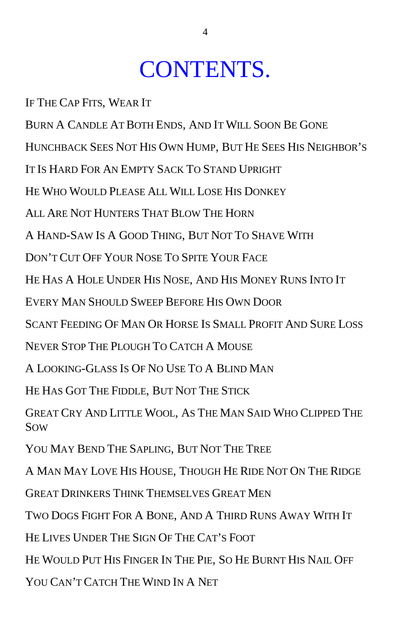### CONTENTS.

IF THE CAP FITS, WEAR IT BURN A CANDLE AT BOTH ENDS, AND IT WILL SOON BE GONE HUNCHBACK SEES NOT HIS OWN HUMP, BUT HE SEES HIS NEIGHBOR'S IT IS HARD FOR AN EMPTY SACK TO STAND UPRIGHT HE WHO WOULD PLEASE ALL WILL LOSE HIS DONKEY ALL ARE NOT HUNTERS THAT BLOW THE HORN A HAND-SAW IS A GOOD THING, BUT NOT TO SHAVE WITH DON'T CUT OFF YOUR NOSE TO SPITE YOUR FACE HE HAS A HOLE UNDER HIS NOSE, AND HIS MONEY RUNS INTO IT EVERY MAN SHOULD SWEEP BEFORE HIS OWN DOOR SCANT FEEDING OF MAN OR HORSE IS SMALL PROFIT AND SURE LOSS NEVER STOP THE PLOUGH TO CATCH A MOUSE A LOOKING-GLASS IS OF NO USE TO A BLIND MAN HE HAS GOT THE FIDDLE, BUT NOT THE STICK GREAT CRY AND LITTLE WOOL, AS THE MAN SAID WHO CLIPPED THE SOW YOU MAY BEND THE SAPLING, BUT NOT THE TREE A MAN MAY LOVE HIS HOUSE, THOUGH HE RIDE NOT ON THE RIDGE GREAT DRINKERS THINK THEMSELVES GREAT MEN TWO DOGS FIGHT FOR A BONE, AND A THIRD RUNS AWAY WITH IT HE LIVES UNDER THE SIGN OF THE CAT'S FOOT HE WOULD PUT HIS FINGER IN THE PIE, SO HE BURNT HIS NAIL OFF YOU CAN'T CATCH THE WIND IN A NET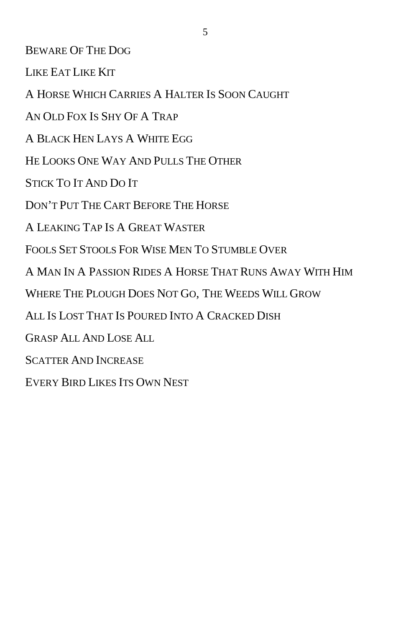BEWARE OF THE DOG

LIKE EAT LIKE KIT

A HORSE WHICH CARRIES A HALTER IS SOON CAUGHT

AN OLD FOX IS SHY OF A TRAP

A BLACK HEN LAYS A WHITE EGG

HE LOOKS ONE WAY AND PULLS THE OTHER

STICK TO IT AND DO IT

DON'T PUT THE CART BEFORE THE HORSE

A LEAKING TAP IS A GREAT WASTER

FOOLS SET STOOLS FOR WISE MEN TO STUMBLE OVER

A MAN IN A PASSION RIDES A HORSE THAT RUNS AWAY WITH HIM

WHERE THE PLOUGH DOES NOT GO, THE WEEDS WILL GROW

ALL IS LOST THAT IS POURED INTO A CRACKED DISH

GRASP ALL AND LOSE ALL

SCATTER AND INCREASE

EVERY BIRD LIKES ITS OWN NEST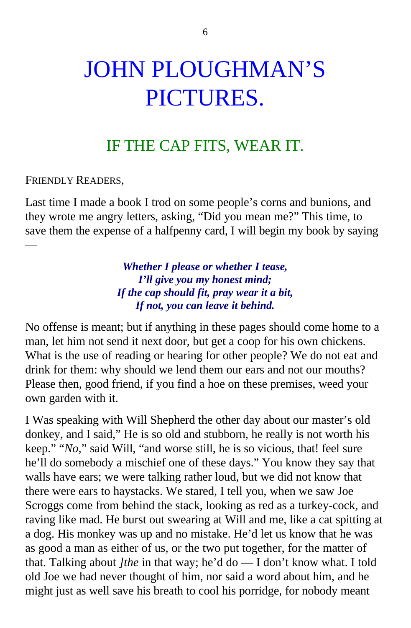### JOHN PLOUGHMAN'S PICTURES.

### IF THE CAP FITS, WEAR IT.

FRIENDLY READERS,

Last time I made a book I trod on some people's corns and bunions, and they wrote me angry letters, asking, "Did you mean me?" This time, to save them the expense of a halfpenny card, I will begin my book by saying —

> *Whether I please or whether I tease, I'll give you my honest mind; If the cap should fit, pray wear it a bit, If not, you can leave it behind.*

No offense is meant; but if anything in these pages should come home to a man, let him not send it next door, but get a coop for his own chickens. What is the use of reading or hearing for other people? We do not eat and drink for them: why should we lend them our ears and not our mouths? Please then, good friend, if you find a hoe on these premises, weed your own garden with it.

I Was speaking with Will Shepherd the other day about our master's old donkey, and I said," He is so old and stubborn, he really is not worth his keep." "*No,*" said Will, "and worse still, he is so vicious, that! feel sure he'll do somebody a mischief one of these days." You know they say that walls have ears; we were talking rather loud, but we did not know that there were ears to haystacks. We stared, I tell you, when we saw Joe Scroggs come from behind the stack, looking as red as a turkey-cock, and raving like mad. He burst out swearing at Will and me, like a cat spitting at a dog. His monkey was up and no mistake. He'd let us know that he was as good a man as either of us, or the two put together, for the matter of that. Talking about *]the* in that way; he'd do — I don't know what. I told old Joe we had never thought of him, nor said a word about him, and he might just as well save his breath to cool his porridge, for nobody meant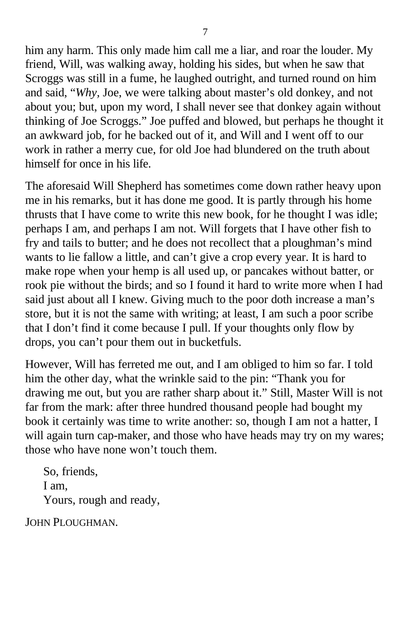him any harm. This only made him call me a liar, and roar the louder. My friend, Will, was walking away, holding his sides, but when he saw that Scroggs was still in a fume, he laughed outright, and turned round on him and said, "*Why,* Joe, we were talking about master's old donkey, and not about you; but, upon my word, I shall never see that donkey again without thinking of Joe Scroggs." Joe puffed and blowed, but perhaps he thought it an awkward job, for he backed out of it, and Will and I went off to our work in rather a merry cue, for old Joe had blundered on the truth about himself for once in his life.

The aforesaid Will Shepherd has sometimes come down rather heavy upon me in his remarks, but it has done me good. It is partly through his home thrusts that I have come to write this new book, for he thought I was idle; perhaps I am, and perhaps I am not. Will forgets that I have other fish to fry and tails to butter; and he does not recollect that a ploughman's mind wants to lie fallow a little, and can't give a crop every year. It is hard to make rope when your hemp is all used up, or pancakes without batter, or rook pie without the birds; and so I found it hard to write more when I had said just about all I knew. Giving much to the poor doth increase a man's store, but it is not the same with writing; at least, I am such a poor scribe that I don't find it come because I pull. If your thoughts only flow by drops, you can't pour them out in bucketfuls.

However, Will has ferreted me out, and I am obliged to him so far. I told him the other day, what the wrinkle said to the pin: "Thank you for drawing me out, but you are rather sharp about it." Still, Master Will is not far from the mark: after three hundred thousand people had bought my book it certainly was time to write another: so, though I am not a hatter, I will again turn cap-maker, and those who have heads may try on my wares; those who have none won't touch them.

So, friends, I am, Yours, rough and ready,

JOHN PLOUGHMAN.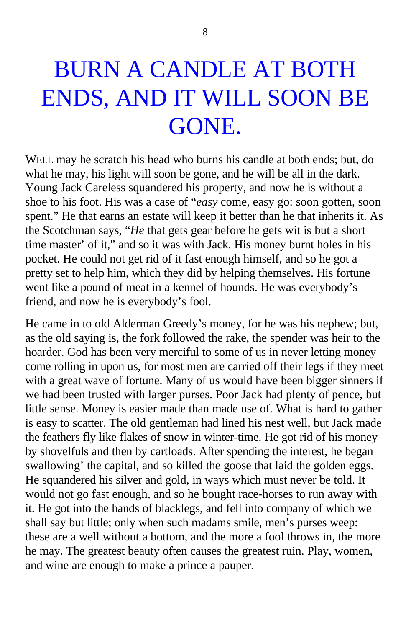# BURN A CANDLE AT BOTH ENDS, AND IT WILL SOON BE GONE.

WELL may he scratch his head who burns his candle at both ends; but, do what he may, his light will soon be gone, and he will be all in the dark. Young Jack Careless squandered his property, and now he is without a shoe to his foot. His was a case of "*easy* come, easy go: soon gotten, soon spent." He that earns an estate will keep it better than he that inherits it. As the Scotchman says, "*He* that gets gear before he gets wit is but a short time master' of it," and so it was with Jack. His money burnt holes in his pocket. He could not get rid of it fast enough himself, and so he got a pretty set to help him, which they did by helping themselves. His fortune went like a pound of meat in a kennel of hounds. He was everybody's friend, and now he is everybody's fool.

He came in to old Alderman Greedy's money, for he was his nephew; but, as the old saying is, the fork followed the rake, the spender was heir to the hoarder. God has been very merciful to some of us in never letting money come rolling in upon us, for most men are carried off their legs if they meet with a great wave of fortune. Many of us would have been bigger sinners if we had been trusted with larger purses. Poor Jack had plenty of pence, but little sense. Money is easier made than made use of. What is hard to gather is easy to scatter. The old gentleman had lined his nest well, but Jack made the feathers fly like flakes of snow in winter-time. He got rid of his money by shovelfuls and then by cartloads. After spending the interest, he began swallowing' the capital, and so killed the goose that laid the golden eggs. He squandered his silver and gold, in ways which must never be told. It would not go fast enough, and so he bought race-horses to run away with it. He got into the hands of blacklegs, and fell into company of which we shall say but little; only when such madams smile, men's purses weep: these are a well without a bottom, and the more a fool throws in, the more he may. The greatest beauty often causes the greatest ruin. Play, women, and wine are enough to make a prince a pauper.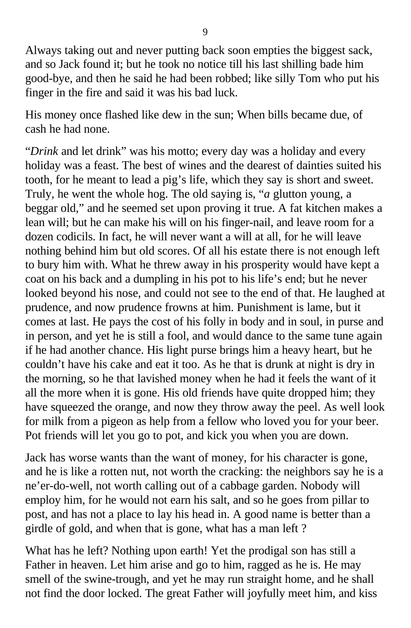Always taking out and never putting back soon empties the biggest sack, and so Jack found it; but he took no notice till his last shilling bade him good-bye, and then he said he had been robbed; like silly Tom who put his finger in the fire and said it was his bad luck.

His money once flashed like dew in the sun; When bills became due, of cash he had none.

"*Drink* and let drink" was his motto; every day was a holiday and every holiday was a feast. The best of wines and the dearest of dainties suited his tooth, for he meant to lead a pig's life, which they say is short and sweet. Truly, he went the whole hog. The old saying is, "*a* glutton young, a beggar old," and he seemed set upon proving it true. A fat kitchen makes a lean will; but he can make his will on his finger-nail, and leave room for a dozen codicils. In fact, he will never want a will at all, for he will leave nothing behind him but old scores. Of all his estate there is not enough left to bury him with. What he threw away in his prosperity would have kept a coat on his back and a dumpling in his pot to his life's end; but he never looked beyond his nose, and could not see to the end of that. He laughed at prudence, and now prudence frowns at him. Punishment is lame, but it comes at last. He pays the cost of his folly in body and in soul, in purse and in person, and yet he is still a fool, and would dance to the same tune again if he had another chance. His light purse brings him a heavy heart, but he couldn't have his cake and eat it too. As he that is drunk at night is dry in the morning, so he that lavished money when he had it feels the want of it all the more when it is gone. His old friends have quite dropped him; they have squeezed the orange, and now they throw away the peel. As well look for milk from a pigeon as help from a fellow who loved you for your beer. Pot friends will let you go to pot, and kick you when you are down.

Jack has worse wants than the want of money, for his character is gone, and he is like a rotten nut, not worth the cracking: the neighbors say he is a ne'er-do-well, not worth calling out of a cabbage garden. Nobody will employ him, for he would not earn his salt, and so he goes from pillar to post, and has not a place to lay his head in. A good name is better than a girdle of gold, and when that is gone, what has a man left ?

What has he left? Nothing upon earth! Yet the prodigal son has still a Father in heaven. Let him arise and go to him, ragged as he is. He may smell of the swine-trough, and yet he may run straight home, and he shall not find the door locked. The great Father will joyfully meet him, and kiss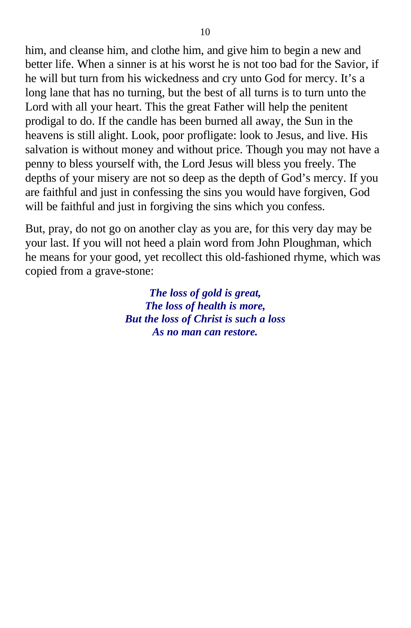him, and cleanse him, and clothe him, and give him to begin a new and better life. When a sinner is at his worst he is not too bad for the Savior, if he will but turn from his wickedness and cry unto God for mercy. It's a long lane that has no turning, but the best of all turns is to turn unto the Lord with all your heart. This the great Father will help the penitent prodigal to do. If the candle has been burned all away, the Sun in the heavens is still alight. Look, poor profligate: look to Jesus, and live. His salvation is without money and without price. Though you may not have a penny to bless yourself with, the Lord Jesus will bless you freely. The depths of your misery are not so deep as the depth of God's mercy. If you are faithful and just in confessing the sins you would have forgiven, God will be faithful and just in forgiving the sins which you confess.

But, pray, do not go on another clay as you are, for this very day may be your last. If you will not heed a plain word from John Ploughman, which he means for your good, yet recollect this old-fashioned rhyme, which was copied from a grave-stone:

> *The loss of gold is great, The loss of health is more, But the loss of Christ is such a loss As no man can restore.*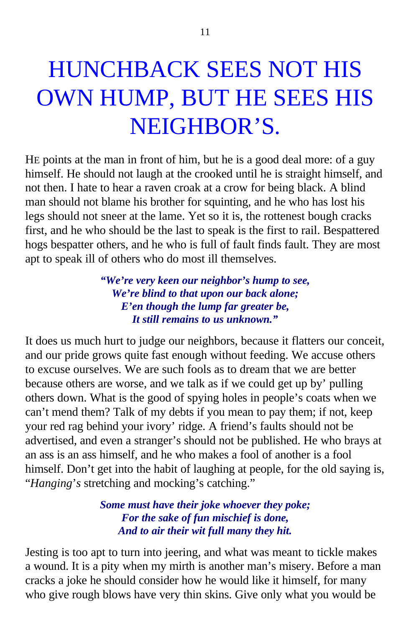# HUNCHBACK SEES NOT HIS OWN HUMP, BUT HE SEES HIS NEIGHBOR'S.

HE points at the man in front of him, but he is a good deal more: of a guy himself. He should not laugh at the crooked until he is straight himself, and not then. I hate to hear a raven croak at a crow for being black. A blind man should not blame his brother for squinting, and he who has lost his legs should not sneer at the lame. Yet so it is, the rottenest bough cracks first, and he who should be the last to speak is the first to rail. Bespattered hogs bespatter others, and he who is full of fault finds fault. They are most apt to speak ill of others who do most ill themselves.

#### *"We're very keen our neighbor's hump to see, We're blind to that upon our back alone; E'en though the lump far greater be, It still remains to us unknown."*

It does us much hurt to judge our neighbors, because it flatters our conceit, and our pride grows quite fast enough without feeding. We accuse others to excuse ourselves. We are such fools as to dream that we are better because others are worse, and we talk as if we could get up by' pulling others down. What is the good of spying holes in people's coats when we can't mend them? Talk of my debts if you mean to pay them; if not, keep your red rag behind your ivory' ridge. A friend's faults should not be advertised, and even a stranger's should not be published. He who brays at an ass is an ass himself, and he who makes a fool of another is a fool himself. Don't get into the habit of laughing at people, for the old saying is, "*Hanging*'*s* stretching and mocking's catching."

#### *Some must have their joke whoever they poke; For the sake of fun mischief is done, And to air their wit full many they hit.*

Jesting is too apt to turn into jeering, and what was meant to tickle makes a wound. It is a pity when my mirth is another man's misery. Before a man cracks a joke he should consider how he would like it himself, for many who give rough blows have very thin skins. Give only what you would be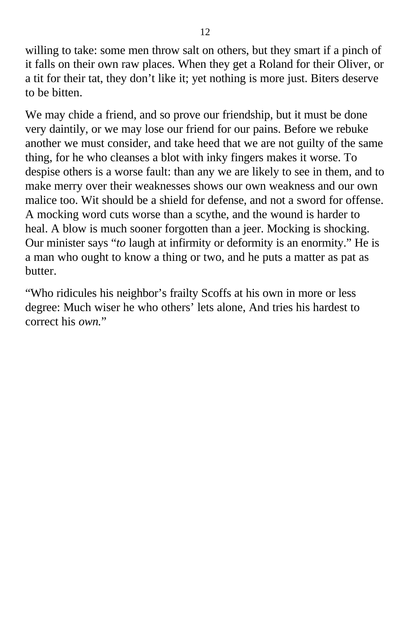willing to take: some men throw salt on others, but they smart if a pinch of it falls on their own raw places. When they get a Roland for their Oliver, or a tit for their tat, they don't like it; yet nothing is more just. Biters deserve to be bitten.

We may chide a friend, and so prove our friendship, but it must be done very daintily, or we may lose our friend for our pains. Before we rebuke another we must consider, and take heed that we are not guilty of the same thing, for he who cleanses a blot with inky fingers makes it worse. To despise others is a worse fault: than any we are likely to see in them, and to make merry over their weaknesses shows our own weakness and our own malice too. Wit should be a shield for defense, and not a sword for offense. A mocking word cuts worse than a scythe, and the wound is harder to heal. A blow is much sooner forgotten than a jeer. Mocking is shocking. Our minister says "*to* laugh at infirmity or deformity is an enormity." He is a man who ought to know a thing or two, and he puts a matter as pat as butter.

"Who ridicules his neighbor's frailty Scoffs at his own in more or less degree: Much wiser he who others' lets alone, And tries his hardest to correct his *own.*"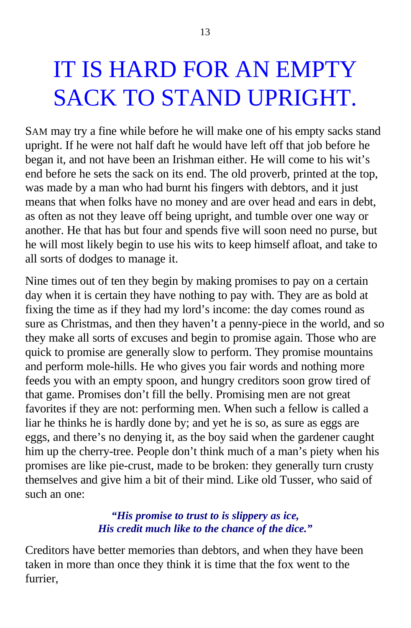# IT IS HARD FOR AN EMPTY SACK TO STAND UPRIGHT.

SAM may try a fine while before he will make one of his empty sacks stand upright. If he were not half daft he would have left off that job before he began it, and not have been an Irishman either. He will come to his wit's end before he sets the sack on its end. The old proverb, printed at the top, was made by a man who had burnt his fingers with debtors, and it just means that when folks have no money and are over head and ears in debt, as often as not they leave off being upright, and tumble over one way or another. He that has but four and spends five will soon need no purse, but he will most likely begin to use his wits to keep himself afloat, and take to all sorts of dodges to manage it.

Nine times out of ten they begin by making promises to pay on a certain day when it is certain they have nothing to pay with. They are as bold at fixing the time as if they had my lord's income: the day comes round as sure as Christmas, and then they haven't a penny-piece in the world, and so they make all sorts of excuses and begin to promise again. Those who are quick to promise are generally slow to perform. They promise mountains and perform mole-hills. He who gives you fair words and nothing more feeds you with an empty spoon, and hungry creditors soon grow tired of that game. Promises don't fill the belly. Promising men are not great favorites if they are not: performing men. When such a fellow is called a liar he thinks he is hardly done by; and yet he is so, as sure as eggs are eggs, and there's no denying it, as the boy said when the gardener caught him up the cherry-tree. People don't think much of a man's piety when his promises are like pie-crust, made to be broken: they generally turn crusty themselves and give him a bit of their mind. Like old Tusser, who said of such an one:

#### *"His promise to trust to is slippery as ice, His credit much like to the chance of the dice."*

Creditors have better memories than debtors, and when they have been taken in more than once they think it is time that the fox went to the furrier,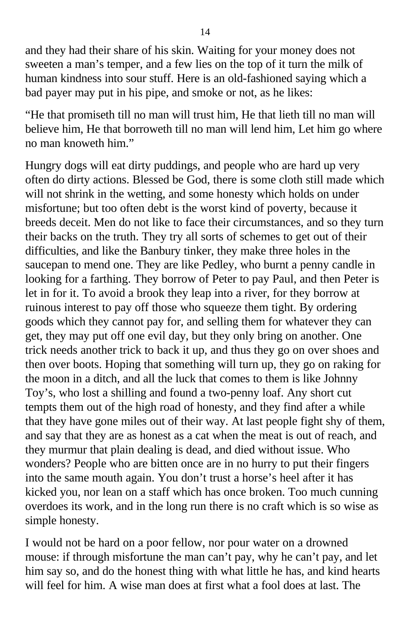and they had their share of his skin. Waiting for your money does not sweeten a man's temper, and a few lies on the top of it turn the milk of human kindness into sour stuff. Here is an old-fashioned saying which a bad payer may put in his pipe, and smoke or not, as he likes:

"He that promiseth till no man will trust him, He that lieth till no man will believe him, He that borroweth till no man will lend him, Let him go where no man knoweth him."

Hungry dogs will eat dirty puddings, and people who are hard up very often do dirty actions. Blessed be God, there is some cloth still made which will not shrink in the wetting, and some honesty which holds on under misfortune; but too often debt is the worst kind of poverty, because it breeds deceit. Men do not like to face their circumstances, and so they turn their backs on the truth. They try all sorts of schemes to get out of their difficulties, and like the Banbury tinker, they make three holes in the saucepan to mend one. They are like Pedley, who burnt a penny candle in looking for a farthing. They borrow of Peter to pay Paul, and then Peter is let in for it. To avoid a brook they leap into a river, for they borrow at ruinous interest to pay off those who squeeze them tight. By ordering goods which they cannot pay for, and selling them for whatever they can get, they may put off one evil day, but they only bring on another. One trick needs another trick to back it up, and thus they go on over shoes and then over boots. Hoping that something will turn up, they go on raking for the moon in a ditch, and all the luck that comes to them is like Johnny Toy's, who lost a shilling and found a two-penny loaf. Any short cut tempts them out of the high road of honesty, and they find after a while that they have gone miles out of their way. At last people fight shy of them, and say that they are as honest as a cat when the meat is out of reach, and they murmur that plain dealing is dead, and died without issue. Who wonders? People who are bitten once are in no hurry to put their fingers into the same mouth again. You don't trust a horse's heel after it has kicked you, nor lean on a staff which has once broken. Too much cunning overdoes its work, and in the long run there is no craft which is so wise as simple honesty.

I would not be hard on a poor fellow, nor pour water on a drowned mouse: if through misfortune the man can't pay, why he can't pay, and let him say so, and do the honest thing with what little he has, and kind hearts will feel for him. A wise man does at first what a fool does at last. The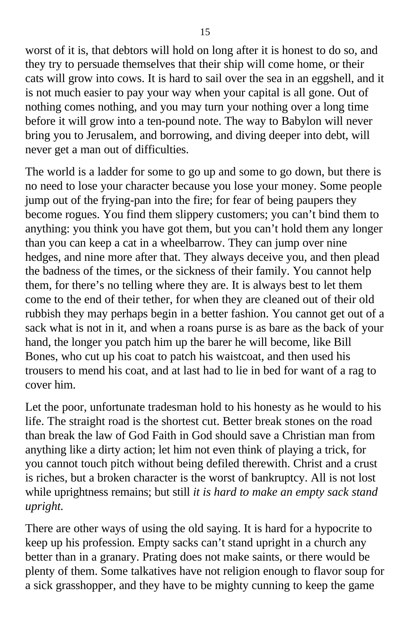worst of it is, that debtors will hold on long after it is honest to do so, and they try to persuade themselves that their ship will come home, or their cats will grow into cows. It is hard to sail over the sea in an eggshell, and it is not much easier to pay your way when your capital is all gone. Out of nothing comes nothing, and you may turn your nothing over a long time before it will grow into a ten-pound note. The way to Babylon will never bring you to Jerusalem, and borrowing, and diving deeper into debt, will never get a man out of difficulties.

The world is a ladder for some to go up and some to go down, but there is no need to lose your character because you lose your money. Some people jump out of the frying-pan into the fire; for fear of being paupers they become rogues. You find them slippery customers; you can't bind them to anything: you think you have got them, but you can't hold them any longer than you can keep a cat in a wheelbarrow. They can jump over nine hedges, and nine more after that. They always deceive you, and then plead the badness of the times, or the sickness of their family. You cannot help them, for there's no telling where they are. It is always best to let them come to the end of their tether, for when they are cleaned out of their old rubbish they may perhaps begin in a better fashion. You cannot get out of a sack what is not in it, and when a roans purse is as bare as the back of your hand, the longer you patch him up the barer he will become, like Bill Bones, who cut up his coat to patch his waistcoat, and then used his trousers to mend his coat, and at last had to lie in bed for want of a rag to cover him.

Let the poor, unfortunate tradesman hold to his honesty as he would to his life. The straight road is the shortest cut. Better break stones on the road than break the law of God Faith in God should save a Christian man from anything like a dirty action; let him not even think of playing a trick, for you cannot touch pitch without being defiled therewith. Christ and a crust is riches, but a broken character is the worst of bankruptcy. All is not lost while uprightness remains; but still *it is hard to make an empty sack stand upright.*

There are other ways of using the old saying. It is hard for a hypocrite to keep up his profession. Empty sacks can't stand upright in a church any better than in a granary. Prating does not make saints, or there would be plenty of them. Some talkatives have not religion enough to flavor soup for a sick grasshopper, and they have to be mighty cunning to keep the game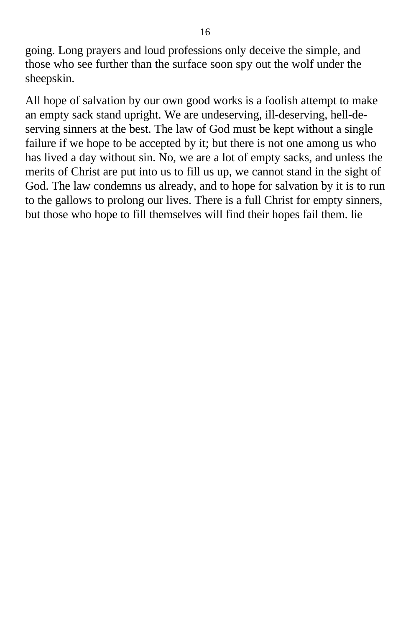going. Long prayers and loud professions only deceive the simple, and those who see further than the surface soon spy out the wolf under the sheepskin.

All hope of salvation by our own good works is a foolish attempt to make an empty sack stand upright. We are undeserving, ill-deserving, hell-deserving sinners at the best. The law of God must be kept without a single failure if we hope to be accepted by it; but there is not one among us who has lived a day without sin. No, we are a lot of empty sacks, and unless the merits of Christ are put into us to fill us up, we cannot stand in the sight of God. The law condemns us already, and to hope for salvation by it is to run to the gallows to prolong our lives. There is a full Christ for empty sinners, but those who hope to fill themselves will find their hopes fail them. lie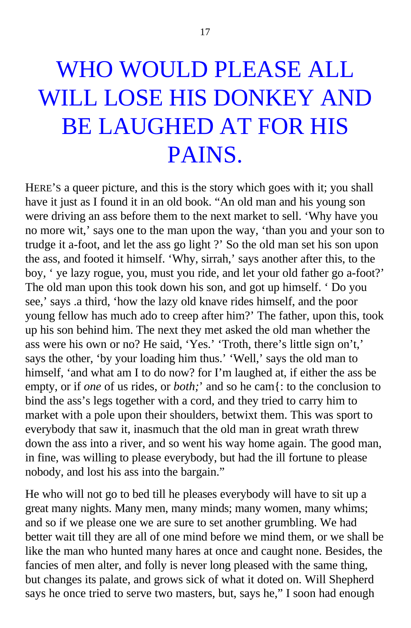# WHO WOULD PLEASE ALL WILL LOSE HIS DONKEY AND BE LAUGHED AT FOR HIS PAINS.

HERE'S a queer picture, and this is the story which goes with it; you shall have it just as I found it in an old book. "An old man and his young son were driving an ass before them to the next market to sell. 'Why have you no more wit,' says one to the man upon the way, 'than you and your son to trudge it a-foot, and let the ass go light ?' So the old man set his son upon the ass, and footed it himself. 'Why, sirrah,' says another after this, to the boy, ' ye lazy rogue, you, must you ride, and let your old father go a-foot?' The old man upon this took down his son, and got up himself. ' Do you see,' says .a third, 'how the lazy old knave rides himself, and the poor young fellow has much ado to creep after him?' The father, upon this, took up his son behind him. The next they met asked the old man whether the ass were his own or no? He said, 'Yes.' 'Troth, there's little sign on't,' says the other, 'by your loading him thus.' 'Well,' says the old man to himself, 'and what am I to do now? for I'm laughed at, if either the ass be empty, or if *one* of us rides, or *both;*' and so he cam{: to the conclusion to bind the ass's legs together with a cord, and they tried to carry him to market with a pole upon their shoulders, betwixt them. This was sport to everybody that saw it, inasmuch that the old man in great wrath threw down the ass into a river, and so went his way home again. The good man, in fine, was willing to please everybody, but had the ill fortune to please nobody, and lost his ass into the bargain."

He who will not go to bed till he pleases everybody will have to sit up a great many nights. Many men, many minds; many women, many whims; and so if we please one we are sure to set another grumbling. We had better wait till they are all of one mind before we mind them, or we shall be like the man who hunted many hares at once and caught none. Besides, the fancies of men alter, and folly is never long pleased with the same thing, but changes its palate, and grows sick of what it doted on. Will Shepherd says he once tried to serve two masters, but, says he," I soon had enough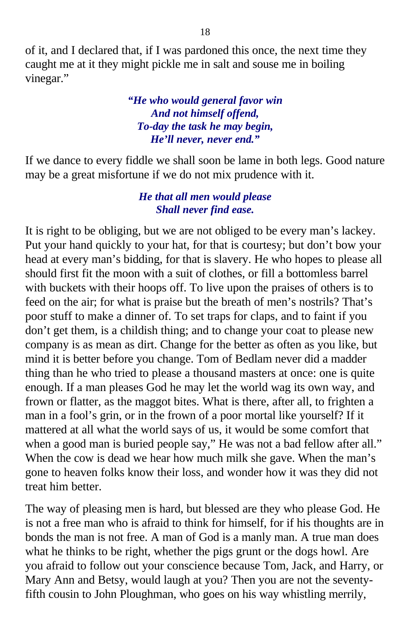of it, and I declared that, if I was pardoned this once, the next time they caught me at it they might pickle me in salt and souse me in boiling vinegar."

> *"He who would general favor win And not himself offend, To-day the task he may begin, He'll never, never end."*

If we dance to every fiddle we shall soon be lame in both legs. Good nature may be a great misfortune if we do not mix prudence with it.

#### *He that all men would please Shall never find ease.*

It is right to be obliging, but we are not obliged to be every man's lackey. Put your hand quickly to your hat, for that is courtesy; but don't bow your head at every man's bidding, for that is slavery. He who hopes to please all should first fit the moon with a suit of clothes, or fill a bottomless barrel with buckets with their hoops off. To live upon the praises of others is to feed on the air; for what is praise but the breath of men's nostrils? That's poor stuff to make a dinner of. To set traps for claps, and to faint if you don't get them, is a childish thing; and to change your coat to please new company is as mean as dirt. Change for the better as often as you like, but mind it is better before you change. Tom of Bedlam never did a madder thing than he who tried to please a thousand masters at once: one is quite enough. If a man pleases God he may let the world wag its own way, and frown or flatter, as the maggot bites. What is there, after all, to frighten a man in a fool's grin, or in the frown of a poor mortal like yourself? If it mattered at all what the world says of us, it would be some comfort that when a good man is buried people say," He was not a bad fellow after all." When the cow is dead we hear how much milk she gave. When the man's gone to heaven folks know their loss, and wonder how it was they did not treat him better.

The way of pleasing men is hard, but blessed are they who please God. He is not a free man who is afraid to think for himself, for if his thoughts are in bonds the man is not free. A man of God is a manly man. A true man does what he thinks to be right, whether the pigs grunt or the dogs howl. Are you afraid to follow out your conscience because Tom, Jack, and Harry, or Mary Ann and Betsy, would laugh at you? Then you are not the seventyfifth cousin to John Ploughman, who goes on his way whistling merrily,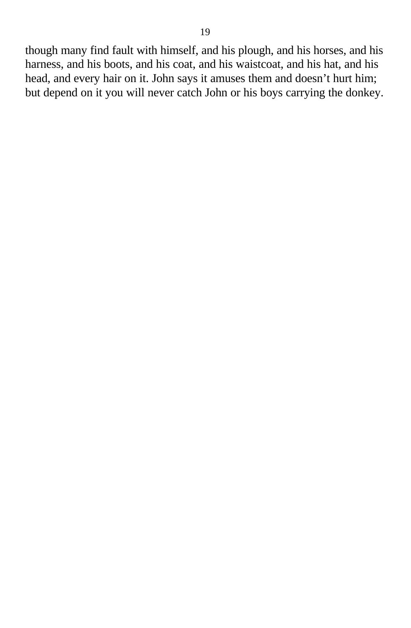though many find fault with himself, and his plough, and his horses, and his harness, and his boots, and his coat, and his waistcoat, and his hat, and his head, and every hair on it. John says it amuses them and doesn't hurt him; but depend on it you will never catch John or his boys carrying the donkey.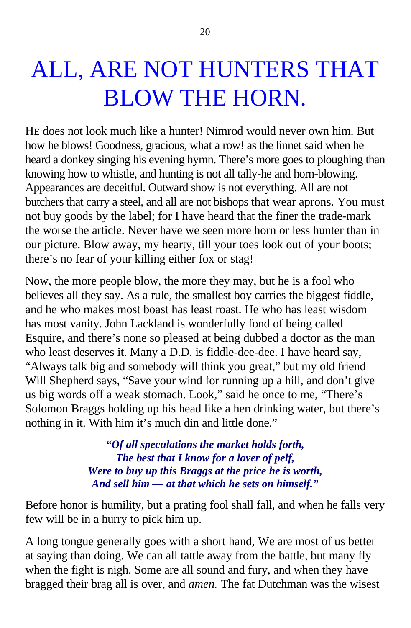# ALL, ARE NOT HUNTERS THAT BLOW THE HORN.

HE does not look much like a hunter! Nimrod would never own him. But how he blows! Goodness, gracious, what a row! as the linnet said when he heard a donkey singing his evening hymn. There's more goes to ploughing than knowing how to whistle, and hunting is not all tally-he and horn-blowing. Appearances are deceitful. Outward show is not everything. All are not butchers that carry a steel, and all are not bishops that wear aprons. You must not buy goods by the label; for I have heard that the finer the trade-mark the worse the article. Never have we seen more horn or less hunter than in our picture. Blow away, my hearty, till your toes look out of your boots; there's no fear of your killing either fox or stag!

Now, the more people blow, the more they may, but he is a fool who believes all they say. As a rule, the smallest boy carries the biggest fiddle, and he who makes most boast has least roast. He who has least wisdom has most vanity. John Lackland is wonderfully fond of being called Esquire, and there's none so pleased at being dubbed a doctor as the man who least deserves it. Many a D.D. is fiddle-dee-dee. I have heard say, "Always talk big and somebody will think you great," but my old friend Will Shepherd says, "Save your wind for running up a hill, and don't give us big words off a weak stomach. Look," said he once to me, "There's Solomon Braggs holding up his head like a hen drinking water, but there's nothing in it. With him it's much din and little done."

> *"Of all speculations the market holds forth, The best that I know for a lover of pelf, Were to buy up this Braggs at the price he is worth, And sell him — at that which he sets on himself."*

Before honor is humility, but a prating fool shall fall, and when he falls very few will be in a hurry to pick him up.

A long tongue generally goes with a short hand, We are most of us better at saying than doing. We can all tattle away from the battle, but many fly when the fight is nigh. Some are all sound and fury, and when they have bragged their brag all is over, and *amen.* The fat Dutchman was the wisest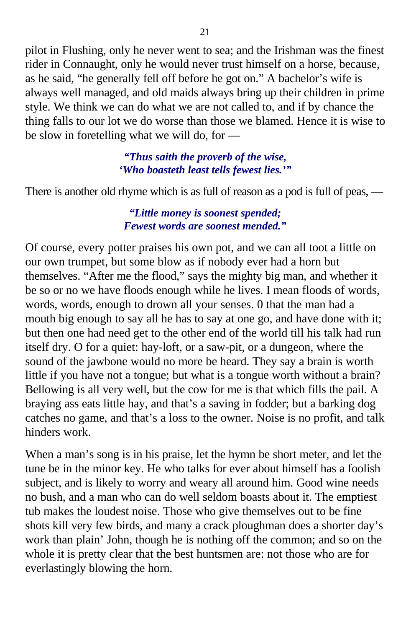pilot in Flushing, only he never went to sea; and the Irishman was the finest rider in Connaught, only he would never trust himself on a horse, because, as he said, "he generally fell off before he got on." A bachelor's wife is always well managed, and old maids always bring up their children in prime style. We think we can do what we are not called to, and if by chance the thing falls to our lot we do worse than those we blamed. Hence it is wise to be slow in foretelling what we will do, for —

#### *"Thus saith the proverb of the wise, 'Who boasteth least tells fewest lies.'"*

There is another old rhyme which is as full of reason as a pod is full of peas, —

#### *"Little money is soonest spended; Fewest words are soonest mended."*

Of course, every potter praises his own pot, and we can all toot a little on our own trumpet, but some blow as if nobody ever had a horn but themselves. "After me the flood," says the mighty big man, and whether it be so or no we have floods enough while he lives. I mean floods of words, words, words, enough to drown all your senses. 0 that the man had a mouth big enough to say all he has to say at one go, and have done with it; but then one had need get to the other end of the world till his talk had run itself dry. O for a quiet: hay-loft, or a saw-pit, or a dungeon, where the sound of the jawbone would no more be heard. They say a brain is worth little if you have not a tongue; but what is a tongue worth without a brain? Bellowing is all very well, but the cow for me is that which fills the pail. A braying ass eats little hay, and that's a saving in fodder; but a barking dog catches no game, and that's a loss to the owner. Noise is no profit, and talk hinders work.

When a man's song is in his praise, let the hymn be short meter, and let the tune be in the minor key. He who talks for ever about himself has a foolish subject, and is likely to worry and weary all around him. Good wine needs no bush, and a man who can do well seldom boasts about it. The emptiest tub makes the loudest noise. Those who give themselves out to be fine shots kill very few birds, and many a crack ploughman does a shorter day's work than plain' John, though he is nothing off the common; and so on the whole it is pretty clear that the best huntsmen are: not those who are for everlastingly blowing the horn.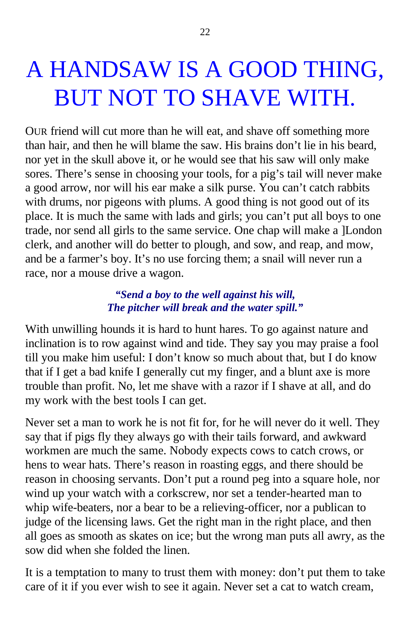# A HANDSAW IS A GOOD THING, BUT NOT TO SHAVE WITH.

OUR friend will cut more than he will eat, and shave off something more than hair, and then he will blame the saw. His brains don't lie in his beard, nor yet in the skull above it, or he would see that his saw will only make sores. There's sense in choosing your tools, for a pig's tail will never make a good arrow, nor will his ear make a silk purse. You can't catch rabbits with drums, nor pigeons with plums. A good thing is not good out of its place. It is much the same with lads and girls; you can't put all boys to one trade, nor send all girls to the same service. One chap will make a ]London clerk, and another will do better to plough, and sow, and reap, and mow, and be a farmer's boy. It's no use forcing them; a snail will never run a race, nor a mouse drive a wagon.

#### *"Send a boy to the well against his will, The pitcher will break and the water spill."*

With unwilling hounds it is hard to hunt hares. To go against nature and inclination is to row against wind and tide. They say you may praise a fool till you make him useful: I don't know so much about that, but I do know that if I get a bad knife I generally cut my finger, and a blunt axe is more trouble than profit. No, let me shave with a razor if I shave at all, and do my work with the best tools I can get.

Never set a man to work he is not fit for, for he will never do it well. They say that if pigs fly they always go with their tails forward, and awkward workmen are much the same. Nobody expects cows to catch crows, or hens to wear hats. There's reason in roasting eggs, and there should be reason in choosing servants. Don't put a round peg into a square hole, nor wind up your watch with a corkscrew, nor set a tender-hearted man to whip wife-beaters, nor a bear to be a relieving-officer, nor a publican to judge of the licensing laws. Get the right man in the right place, and then all goes as smooth as skates on ice; but the wrong man puts all awry, as the sow did when she folded the linen.

It is a temptation to many to trust them with money: don't put them to take care of it if you ever wish to see it again. Never set a cat to watch cream,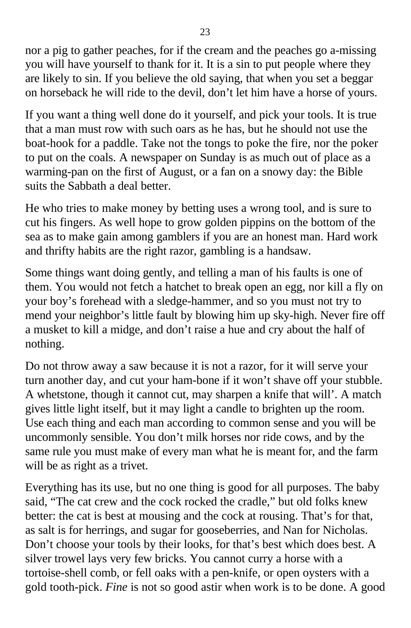nor a pig to gather peaches, for if the cream and the peaches go a-missing you will have yourself to thank for it. It is a sin to put people where they are likely to sin. If you believe the old saying, that when you set a beggar on horseback he will ride to the devil, don't let him have a horse of yours.

If you want a thing well done do it yourself, and pick your tools. It is true that a man must row with such oars as he has, but he should not use the boat-hook for a paddle. Take not the tongs to poke the fire, nor the poker to put on the coals. A newspaper on Sunday is as much out of place as a warming-pan on the first of August, or a fan on a snowy day: the Bible suits the Sabbath a deal better.

He who tries to make money by betting uses a wrong tool, and is sure to cut his fingers. As well hope to grow golden pippins on the bottom of the sea as to make gain among gamblers if you are an honest man. Hard work and thrifty habits are the right razor, gambling is a handsaw.

Some things want doing gently, and telling a man of his faults is one of them. You would not fetch a hatchet to break open an egg, nor kill a fly on your boy's forehead with a sledge-hammer, and so you must not try to mend your neighbor's little fault by blowing him up sky-high. Never fire off a musket to kill a midge, and don't raise a hue and cry about the half of nothing.

Do not throw away a saw because it is not a razor, for it will serve your turn another day, and cut your ham-bone if it won't shave off your stubble. A whetstone, though it cannot cut, may sharpen a knife that will'. A match gives little light itself, but it may light a candle to brighten up the room. Use each thing and each man according to common sense and you will be uncommonly sensible. You don't milk horses nor ride cows, and by the same rule you must make of every man what he is meant for, and the farm will be as right as a trivet.

Everything has its use, but no one thing is good for all purposes. The baby said, "The cat crew and the cock rocked the cradle," but old folks knew better: the cat is best at mousing and the cock at rousing. That's for that, as salt is for herrings, and sugar for gooseberries, and Nan for Nicholas. Don't choose your tools by their looks, for that's best which does best. A silver trowel lays very few bricks. You cannot curry a horse with a tortoise-shell comb, or fell oaks with a pen-knife, or open oysters with a gold tooth-pick. *Fine* is not so good astir when work is to be done. A good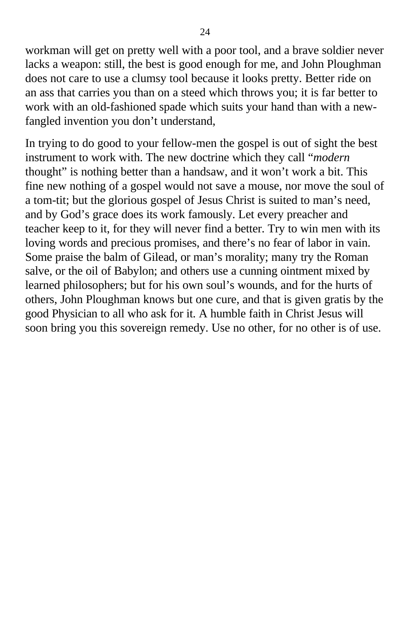workman will get on pretty well with a poor tool, and a brave soldier never lacks a weapon: still, the best is good enough for me, and John Ploughman does not care to use a clumsy tool because it looks pretty. Better ride on an ass that carries you than on a steed which throws you; it is far better to work with an old-fashioned spade which suits your hand than with a newfangled invention you don't understand,

In trying to do good to your fellow-men the gospel is out of sight the best instrument to work with. The new doctrine which they call "*modern* thought" is nothing better than a handsaw, and it won't work a bit. This fine new nothing of a gospel would not save a mouse, nor move the soul of a tom-tit; but the glorious gospel of Jesus Christ is suited to man's need, and by God's grace does its work famously. Let every preacher and teacher keep to it, for they will never find a better. Try to win men with its loving words and precious promises, and there's no fear of labor in vain. Some praise the balm of Gilead, or man's morality; many try the Roman salve, or the oil of Babylon; and others use a cunning ointment mixed by learned philosophers; but for his own soul's wounds, and for the hurts of others, John Ploughman knows but one cure, and that is given gratis by the good Physician to all who ask for it. A humble faith in Christ Jesus will soon bring you this sovereign remedy. Use no other, for no other is of use.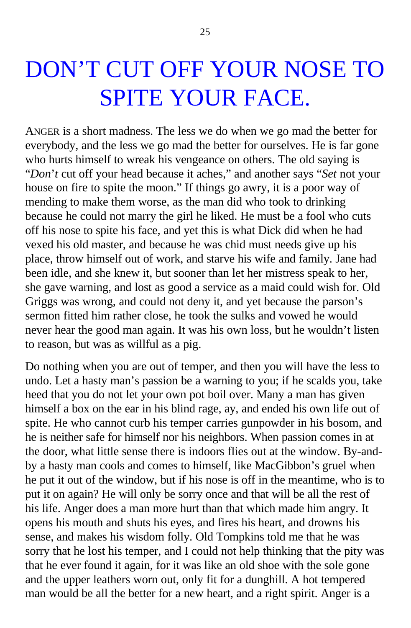### DON'T CUT OFF YOUR NOSE TO SPITE YOUR FACE.

ANGER is a short madness. The less we do when we go mad the better for everybody, and the less we go mad the better for ourselves. He is far gone who hurts himself to wreak his vengeance on others. The old saying is "*Don*'*t* cut off your head because it aches," and another says "*Set* not your house on fire to spite the moon." If things go awry, it is a poor way of mending to make them worse, as the man did who took to drinking because he could not marry the girl he liked. He must be a fool who cuts off his nose to spite his face, and yet this is what Dick did when he had vexed his old master, and because he was chid must needs give up his place, throw himself out of work, and starve his wife and family. Jane had been idle, and she knew it, but sooner than let her mistress speak to her, she gave warning, and lost as good a service as a maid could wish for. Old Griggs was wrong, and could not deny it, and yet because the parson's sermon fitted him rather close, he took the sulks and vowed he would never hear the good man again. It was his own loss, but he wouldn't listen to reason, but was as willful as a pig.

Do nothing when you are out of temper, and then you will have the less to undo. Let a hasty man's passion be a warning to you; if he scalds you, take heed that you do not let your own pot boil over. Many a man has given himself a box on the ear in his blind rage, ay, and ended his own life out of spite. He who cannot curb his temper carries gunpowder in his bosom, and he is neither safe for himself nor his neighbors. When passion comes in at the door, what little sense there is indoors flies out at the window. By-andby a hasty man cools and comes to himself, like MacGibbon's gruel when he put it out of the window, but if his nose is off in the meantime, who is to put it on again? He will only be sorry once and that will be all the rest of his life. Anger does a man more hurt than that which made him angry. It opens his mouth and shuts his eyes, and fires his heart, and drowns his sense, and makes his wisdom folly. Old Tompkins told me that he was sorry that he lost his temper, and I could not help thinking that the pity was that he ever found it again, for it was like an old shoe with the sole gone and the upper leathers worn out, only fit for a dunghill. A hot tempered man would be all the better for a new heart, and a right spirit. Anger is a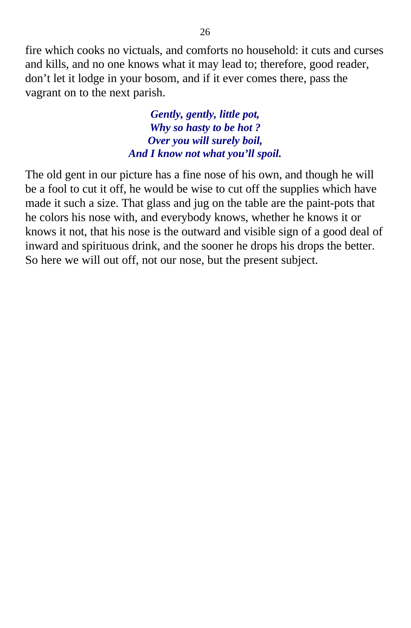fire which cooks no victuals, and comforts no household: it cuts and curses and kills, and no one knows what it may lead to; therefore, good reader, don't let it lodge in your bosom, and if it ever comes there, pass the vagrant on to the next parish.

> *Gently, gently, little pot, Why so hasty to be hot ? Over you will surely boil, And I know not what you'll spoil.*

The old gent in our picture has a fine nose of his own, and though he will be a fool to cut it off, he would be wise to cut off the supplies which have made it such a size. That glass and jug on the table are the paint-pots that he colors his nose with, and everybody knows, whether he knows it or knows it not, that his nose is the outward and visible sign of a good deal of inward and spirituous drink, and the sooner he drops his drops the better. So here we will out off, not our nose, but the present subject.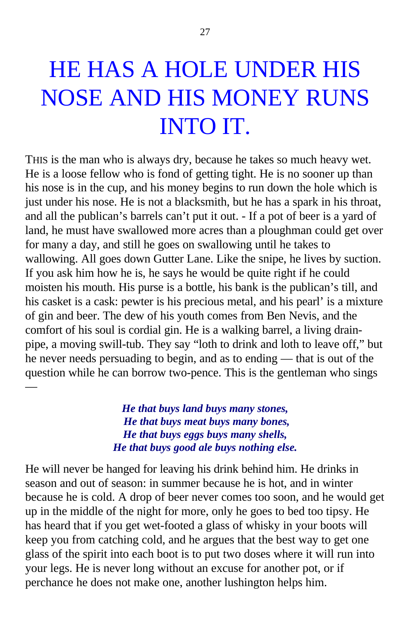### HE HAS A HOLE UNDER HIS NOSE AND HIS MONEY RUNS INTO IT.

THIS is the man who is always dry, because he takes so much heavy wet. He is a loose fellow who is fond of getting tight. He is no sooner up than his nose is in the cup, and his money begins to run down the hole which is just under his nose. He is not a blacksmith, but he has a spark in his throat, and all the publican's barrels can't put it out. - If a pot of beer is a yard of land, he must have swallowed more acres than a ploughman could get over for many a day, and still he goes on swallowing until he takes to wallowing. All goes down Gutter Lane. Like the snipe, he lives by suction. If you ask him how he is, he says he would be quite right if he could moisten his mouth. His purse is a bottle, his bank is the publican's till, and his casket is a cask: pewter is his precious metal, and his pearl' is a mixture of gin and beer. The dew of his youth comes from Ben Nevis, and the comfort of his soul is cordial gin. He is a walking barrel, a living drainpipe, a moving swill-tub. They say "loth to drink and loth to leave off," but he never needs persuading to begin, and as to ending — that is out of the question while he can borrow two-pence. This is the gentleman who sings —

> *He that buys land buys many stones, He that buys meat buys many bones, He that buys eggs buys many shells, He that buys good ale buys nothing else.*

He will never be hanged for leaving his drink behind him. He drinks in season and out of season: in summer because he is hot, and in winter because he is cold. A drop of beer never comes too soon, and he would get up in the middle of the night for more, only he goes to bed too tipsy. He has heard that if you get wet-footed a glass of whisky in your boots will keep you from catching cold, and he argues that the best way to get one glass of the spirit into each boot is to put two doses where it will run into your legs. He is never long without an excuse for another pot, or if perchance he does not make one, another lushington helps him.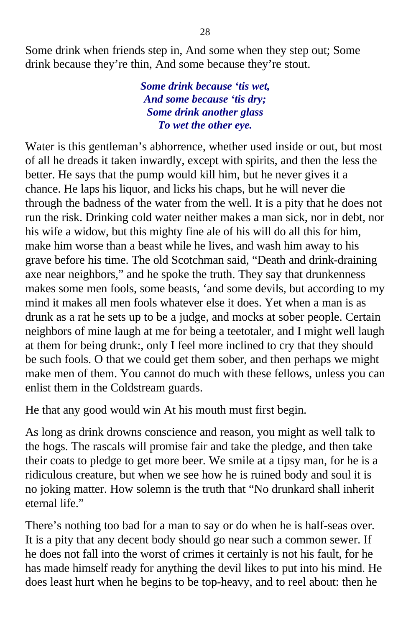Some drink when friends step in, And some when they step out; Some drink because they're thin, And some because they're stout.

> *Some drink because 'tis wet, And some because 'tis dry; Some drink another glass To wet the other eye.*

Water is this gentleman's abhorrence, whether used inside or out, but most of all he dreads it taken inwardly, except with spirits, and then the less the better. He says that the pump would kill him, but he never gives it a chance. He laps his liquor, and licks his chaps, but he will never die through the badness of the water from the well. It is a pity that he does not run the risk. Drinking cold water neither makes a man sick, nor in debt, nor his wife a widow, but this mighty fine ale of his will do all this for him, make him worse than a beast while he lives, and wash him away to his grave before his time. The old Scotchman said, "Death and drink-draining axe near neighbors," and he spoke the truth. They say that drunkenness makes some men fools, some beasts, 'and some devils, but according to my mind it makes all men fools whatever else it does. Yet when a man is as drunk as a rat he sets up to be a judge, and mocks at sober people. Certain neighbors of mine laugh at me for being a teetotaler, and I might well laugh at them for being drunk:, only I feel more inclined to cry that they should be such fools. O that we could get them sober, and then perhaps we might make men of them. You cannot do much with these fellows, unless you can enlist them in the Coldstream guards.

He that any good would win At his mouth must first begin.

As long as drink drowns conscience and reason, you might as well talk to the hogs. The rascals will promise fair and take the pledge, and then take their coats to pledge to get more beer. We smile at a tipsy man, for he is a ridiculous creature, but when we see how he is ruined body and soul it is no joking matter. How solemn is the truth that "No drunkard shall inherit eternal life."

There's nothing too bad for a man to say or do when he is half-seas over. It is a pity that any decent body should go near such a common sewer. If he does not fall into the worst of crimes it certainly is not his fault, for he has made himself ready for anything the devil likes to put into his mind. He does least hurt when he begins to be top-heavy, and to reel about: then he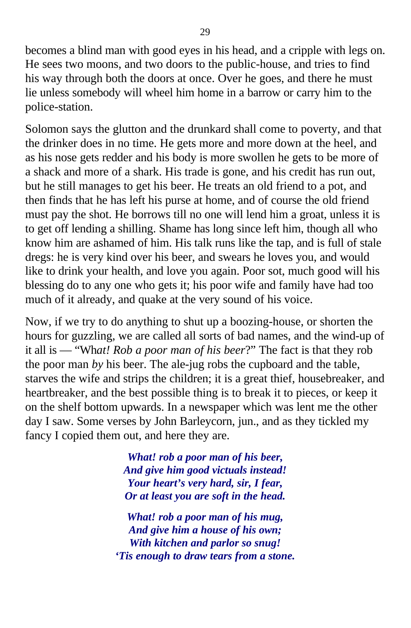becomes a blind man with good eyes in his head, and a cripple with legs on. He sees two moons, and two doors to the public-house, and tries to find his way through both the doors at once. Over he goes, and there he must lie unless somebody will wheel him home in a barrow or carry him to the police-station.

Solomon says the glutton and the drunkard shall come to poverty, and that the drinker does in no time. He gets more and more down at the heel, and as his nose gets redder and his body is more swollen he gets to be more of a shack and more of a shark. His trade is gone, and his credit has run out, but he still manages to get his beer. He treats an old friend to a pot, and then finds that he has left his purse at home, and of course the old friend must pay the shot. He borrows till no one will lend him a groat, unless it is to get off lending a shilling. Shame has long since left him, though all who know him are ashamed of him. His talk runs like the tap, and is full of stale dregs: he is very kind over his beer, and swears he loves you, and would like to drink your health, and love you again. Poor sot, much good will his blessing do to any one who gets it; his poor wife and family have had too much of it already, and quake at the very sound of his voice.

Now, if we try to do anything to shut up a boozing-house, or shorten the hours for guzzling, we are called all sorts of bad names, and the wind-up of it all is — "Wh*at! Rob a poor man of his beer*?" The fact is that they rob the poor man *by* his beer. The ale-jug robs the cupboard and the table, starves the wife and strips the children; it is a great thief, housebreaker, and heartbreaker, and the best possible thing is to break it to pieces, or keep it on the shelf bottom upwards. In a newspaper which was lent me the other day I saw. Some verses by John Barleycorn, jun., and as they tickled my fancy I copied them out, and here they are.

> *What! rob a poor man of his beer, And give him good victuals instead! Your heart's very hard, sir, I fear, Or at least you are soft in the head.*

*What! rob a poor man of his mug, And give him a house of his own; With kitchen and parlor so snug! 'Tis enough to draw tears from a stone.*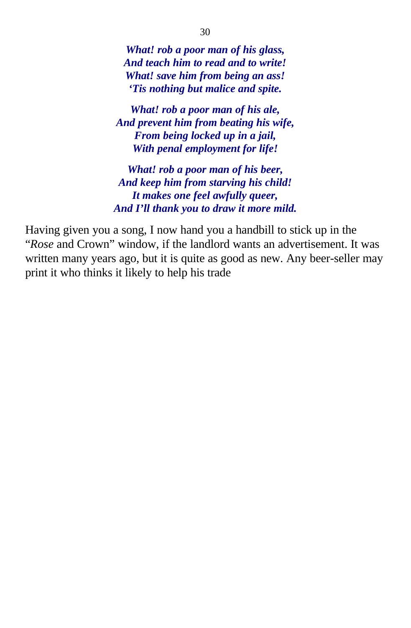*What! rob a poor man of his glass, And teach him to read and to write! What! save him from being an ass! 'Tis nothing but malice and spite.*

*What! rob a poor man of his ale, And prevent him from beating his wife, From being locked up in a jail, With penal employment for life!*

*What! rob a poor man of his beer, And keep him from starving his child! It makes one feel awfully queer, And I'll thank you to draw it more mild.*

Having given you a song, I now hand you a handbill to stick up in the "*Rose* and Crown" window, if the landlord wants an advertisement. It was written many years ago, but it is quite as good as new. Any beer-seller may print it who thinks it likely to help his trade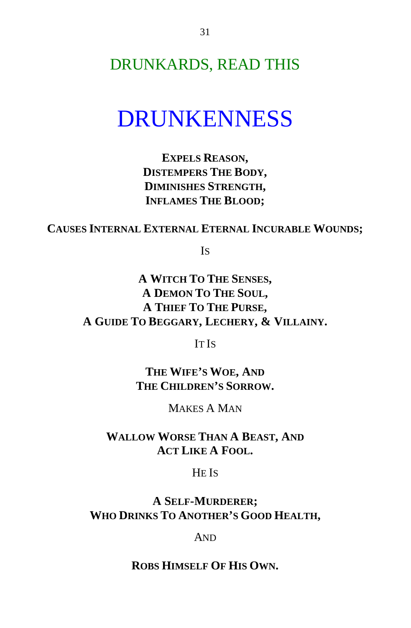### DRUNKARDS, READ THIS

### DRUNKENNESS

**EXPELS REASON, DISTEMPERS THE BODY, DIMINISHES STRENGTH, INFLAMES THE BLOOD;**

#### **CAUSES INTERNAL EXTERNAL ETERNAL INCURABLE WOUNDS;**

IS

**A WITCH TO THE SENSES, A DEMON TO THE SOUL, A THIEF TO THE PURSE, A GUIDE TO BEGGARY, LECHERY, & VILLAINY.**

IT IS

**THE WIFE'S WOE, AND THE CHILDREN'S SORROW.**

MAKES A MAN

**WALLOW WORSE THAN A BEAST, AND ACT LIKE A FOOL.**

HE IS

**A SELF-MURDERER; WHO DRINKS TO ANOTHER'S GOOD HEALTH,**

AND

**ROBS HIMSELF OF HIS OWN.**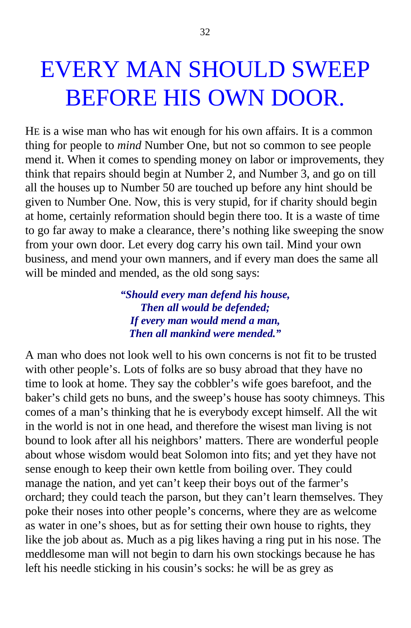### EVERY MAN SHOULD SWEEP BEFORE HIS OWN DOOR.

HE is a wise man who has wit enough for his own affairs. It is a common thing for people to *mind* Number One, but not so common to see people mend it. When it comes to spending money on labor or improvements, they think that repairs should begin at Number 2, and Number 3, and go on till all the houses up to Number 50 are touched up before any hint should be given to Number One. Now, this is very stupid, for if charity should begin at home, certainly reformation should begin there too. It is a waste of time to go far away to make a clearance, there's nothing like sweeping the snow from your own door. Let every dog carry his own tail. Mind your own business, and mend your own manners, and if every man does the same all will be minded and mended, as the old song says:

#### *"Should every man defend his house, Then all would be defended; If every man would mend a man, Then all mankind were mended."*

A man who does not look well to his own concerns is not fit to be trusted with other people's. Lots of folks are so busy abroad that they have no time to look at home. They say the cobbler's wife goes barefoot, and the baker's child gets no buns, and the sweep's house has sooty chimneys. This comes of a man's thinking that he is everybody except himself. All the wit in the world is not in one head, and therefore the wisest man living is not bound to look after all his neighbors' matters. There are wonderful people about whose wisdom would beat Solomon into fits; and yet they have not sense enough to keep their own kettle from boiling over. They could manage the nation, and yet can't keep their boys out of the farmer's orchard; they could teach the parson, but they can't learn themselves. They poke their noses into other people's concerns, where they are as welcome as water in one's shoes, but as for setting their own house to rights, they like the job about as. Much as a pig likes having a ring put in his nose. The meddlesome man will not begin to darn his own stockings because he has left his needle sticking in his cousin's socks: he will be as grey as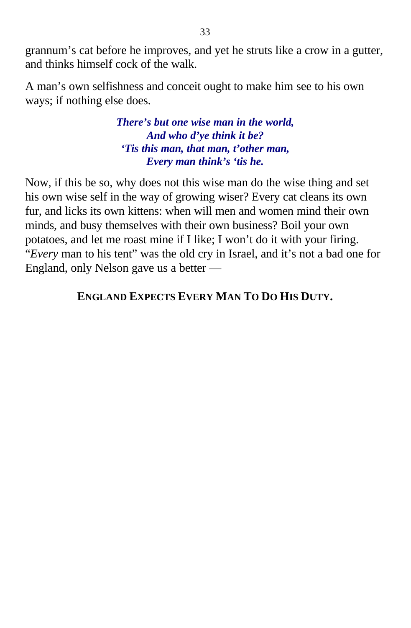grannum's cat before he improves, and yet he struts like a crow in a gutter, and thinks himself cock of the walk.

A man's own selfishness and conceit ought to make him see to his own ways; if nothing else does.

> *There's but one wise man in the world, And who d'ye think it be? 'Tis this man, that man, t'other man, Every man think's 'tis he.*

Now, if this be so, why does not this wise man do the wise thing and set his own wise self in the way of growing wiser? Every cat cleans its own fur, and licks its own kittens: when will men and women mind their own minds, and busy themselves with their own business? Boil your own potatoes, and let me roast mine if I like; I won't do it with your firing. "*Every* man to his tent" was the old cry in Israel, and it's not a bad one for England, only Nelson gave us a better —

#### **ENGLAND EXPECTS EVERY MAN TO DO HIS DUTY.**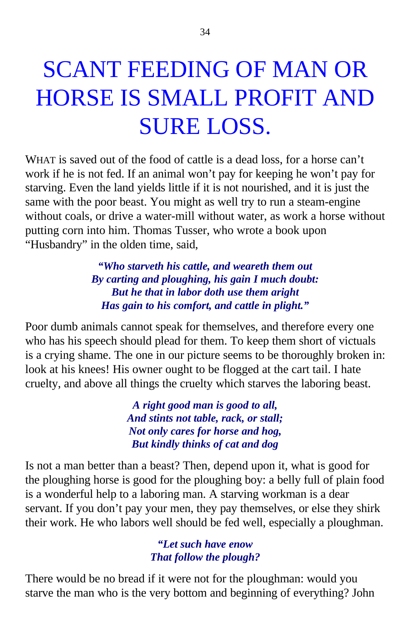## SCANT FEEDING OF MAN OR HORSE IS SMALL PROFIT AND SURE LOSS.

WHAT is saved out of the food of cattle is a dead loss, for a horse can't work if he is not fed. If an animal won't pay for keeping he won't pay for starving. Even the land yields little if it is not nourished, and it is just the same with the poor beast. You might as well try to run a steam-engine without coals, or drive a water-mill without water, as work a horse without putting corn into him. Thomas Tusser, who wrote a book upon "Husbandry" in the olden time, said,

> *"Who starveth his cattle, and weareth them out By carting and ploughing, his gain I much doubt: But he that in labor doth use them aright Has gain to his comfort, and cattle in plight."*

Poor dumb animals cannot speak for themselves, and therefore every one who has his speech should plead for them. To keep them short of victuals is a crying shame. The one in our picture seems to be thoroughly broken in: look at his knees! His owner ought to be flogged at the cart tail. I hate cruelty, and above all things the cruelty which starves the laboring beast.

> *A right good man is good to all, And stints not table, rack, or stall; Not only cares for horse and hog, But kindly thinks of cat and dog*

Is not a man better than a beast? Then, depend upon it, what is good for the ploughing horse is good for the ploughing boy: a belly full of plain food is a wonderful help to a laboring man. A starving workman is a dear servant. If you don't pay your men, they pay themselves, or else they shirk their work. He who labors well should be fed well, especially a ploughman.

#### *"Let such have enow That follow the plough?*

There would be no bread if it were not for the ploughman: would you starve the man who is the very bottom and beginning of everything? John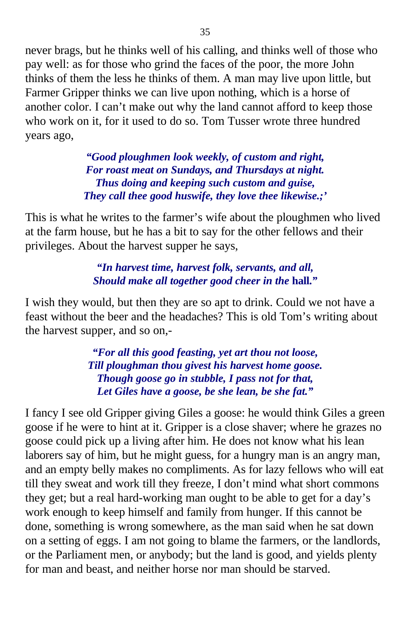never brags, but he thinks well of his calling, and thinks well of those who pay well: as for those who grind the faces of the poor, the more John thinks of them the less he thinks of them. A man may live upon little, but Farmer Gripper thinks we can live upon nothing, which is a horse of another color. I can't make out why the land cannot afford to keep those who work on it, for it used to do so. Tom Tusser wrote three hundred years ago,

> *"Good ploughmen look weekly, of custom and right, For roast meat on Sundays, and Thursdays at night. Thus doing and keeping such custom and guise, They call thee good huswife, they love thee likewise.;'*

This is what he writes to the farmer's wife about the ploughmen who lived at the farm house, but he has a bit to say for the other fellows and their privileges. About the harvest supper he says,

#### *"In harvest time, harvest folk, servants, and all, Should make all together good cheer in the* **hall.***"*

I wish they would, but then they are so apt to drink. Could we not have a feast without the beer and the headaches? This is old Tom's writing about the harvest supper, and so on,-

> *"For all this good feasting, yet art thou not loose, Till ploughman thou givest his harvest home goose. Though goose go in stubble, I pass not for that, Let Giles have a goose, be she lean, be she fat."*

I fancy I see old Gripper giving Giles a goose: he would think Giles a green goose if he were to hint at it. Gripper is a close shaver; where he grazes no goose could pick up a living after him. He does not know what his lean laborers say of him, but he might guess, for a hungry man is an angry man, and an empty belly makes no compliments. As for lazy fellows who will eat till they sweat and work till they freeze, I don't mind what short commons they get; but a real hard-working man ought to be able to get for a day's work enough to keep himself and family from hunger. If this cannot be done, something is wrong somewhere, as the man said when he sat down on a setting of eggs. I am not going to blame the farmers, or the landlords, or the Parliament men, or anybody; but the land is good, and yields plenty for man and beast, and neither horse nor man should be starved.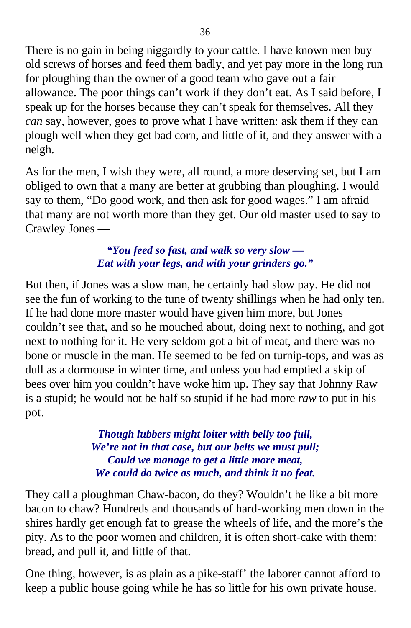There is no gain in being niggardly to your cattle. I have known men buy old screws of horses and feed them badly, and yet pay more in the long run for ploughing than the owner of a good team who gave out a fair allowance. The poor things can't work if they don't eat. As I said before, I speak up for the horses because they can't speak for themselves. All they *can* say, however, goes to prove what I have written: ask them if they can plough well when they get bad corn, and little of it, and they answer with a neigh.

As for the men, I wish they were, all round, a more deserving set, but I am obliged to own that a many are better at grubbing than ploughing. I would say to them, "Do good work, and then ask for good wages." I am afraid that many are not worth more than they get. Our old master used to say to Crawley Jones —

> *"You feed so fast, and walk so very slow — Eat with your legs, and with your grinders go."*

But then, if Jones was a slow man, he certainly had slow pay. He did not see the fun of working to the tune of twenty shillings when he had only ten. If he had done more master would have given him more, but Jones couldn't see that, and so he mouched about, doing next to nothing, and got next to nothing for it. He very seldom got a bit of meat, and there was no bone or muscle in the man. He seemed to be fed on turnip-tops, and was as dull as a dormouse in winter time, and unless you had emptied a skip of bees over him you couldn't have woke him up. They say that Johnny Raw is a stupid; he would not be half so stupid if he had more *raw* to put in his pot.

> *Though lubbers might loiter with belly too full, We're not in that case, but our belts we must pull; Could we manage to get a little more meat, We could do twice as much, and think it no feat.*

They call a ploughman Chaw-bacon, do they? Wouldn't he like a bit more bacon to chaw? Hundreds and thousands of hard-working men down in the shires hardly get enough fat to grease the wheels of life, and the more's the pity. As to the poor women and children, it is often short-cake with them: bread, and pull it, and little of that.

One thing, however, is as plain as a pike-staff' the laborer cannot afford to keep a public house going while he has so little for his own private house.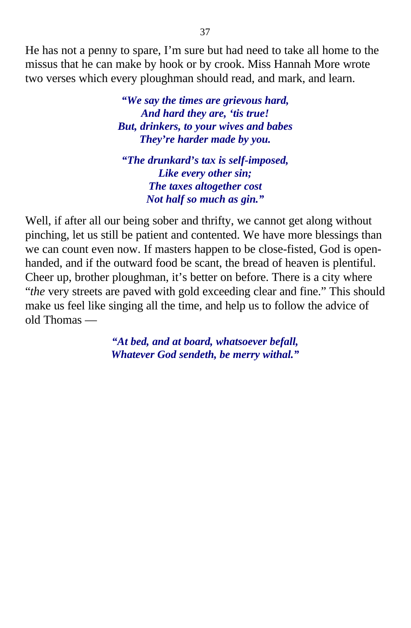He has not a penny to spare, I'm sure but had need to take all home to the missus that he can make by hook or by crook. Miss Hannah More wrote two verses which every ploughman should read, and mark, and learn.

> *"We say the times are grievous hard, And hard they are, 'tis true! But, drinkers, to your wives and babes They're harder made by you.*

*"The drunkard's tax is self-imposed, Like every other sin; The taxes altogether cost Not half so much as gin."*

Well, if after all our being sober and thrifty, we cannot get along without pinching, let us still be patient and contented. We have more blessings than we can count even now. If masters happen to be close-fisted, God is openhanded, and if the outward food be scant, the bread of heaven is plentiful. Cheer up, brother ploughman, it's better on before. There is a city where "*the* very streets are paved with gold exceeding clear and fine." This should make us feel like singing all the time, and help us to follow the advice of old Thomas —

> *"At bed, and at board, whatsoever befall, Whatever God sendeth, be merry withal."*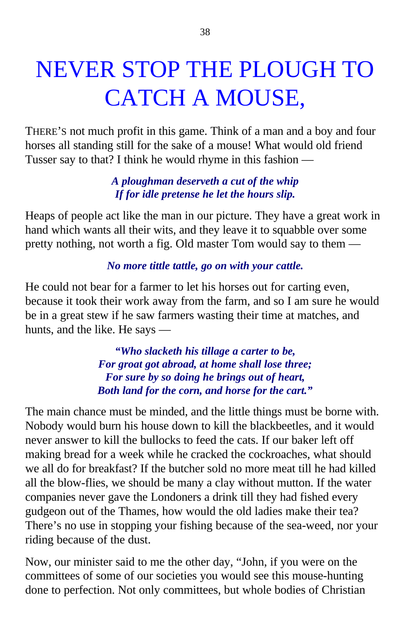# NEVER STOP THE PLOUGH TO CATCH A MOUSE,

THERE'S not much profit in this game. Think of a man and a boy and four horses all standing still for the sake of a mouse! What would old friend Tusser say to that? I think he would rhyme in this fashion —

#### *A ploughman deserveth a cut of the whip If for idle pretense he let the hours slip.*

Heaps of people act like the man in our picture. They have a great work in hand which wants all their wits, and they leave it to squabble over some pretty nothing, not worth a fig. Old master Tom would say to them —

### *No more tittle tattle, go on with your cattle.*

He could not bear for a farmer to let his horses out for carting even, because it took their work away from the farm, and so I am sure he would be in a great stew if he saw farmers wasting their time at matches, and hunts, and the like. He says —

> *"Who slacketh his tillage a carter to be, For groat got abroad, at home shall lose three; For sure by so doing he brings out of heart, Both land for the corn, and horse for the cart."*

The main chance must be minded, and the little things must be borne with. Nobody would burn his house down to kill the blackbeetles, and it would never answer to kill the bullocks to feed the cats. If our baker left off making bread for a week while he cracked the cockroaches, what should we all do for breakfast? If the butcher sold no more meat till he had killed all the blow-flies, we should be many a clay without mutton. If the water companies never gave the Londoners a drink till they had fished every gudgeon out of the Thames, how would the old ladies make their tea? There's no use in stopping your fishing because of the sea-weed, nor your riding because of the dust.

Now, our minister said to me the other day, "John, if you were on the committees of some of our societies you would see this mouse-hunting done to perfection. Not only committees, but whole bodies of Christian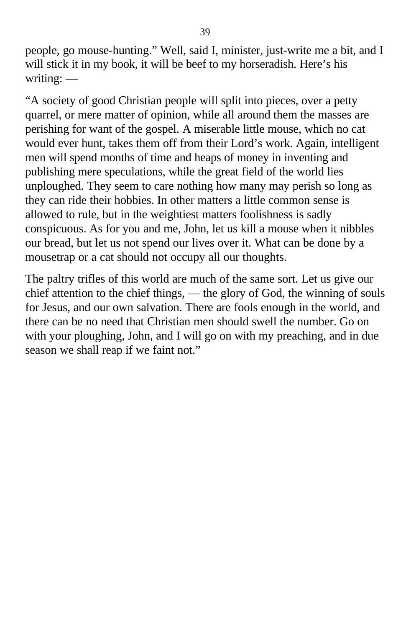people, go mouse-hunting." Well, said I, minister, just-write me a bit, and I will stick it in my book, it will be beef to my horseradish. Here's his writing: —

"A society of good Christian people will split into pieces, over a petty quarrel, or mere matter of opinion, while all around them the masses are perishing for want of the gospel. A miserable little mouse, which no cat would ever hunt, takes them off from their Lord's work. Again, intelligent men will spend months of time and heaps of money in inventing and publishing mere speculations, while the great field of the world lies unploughed. They seem to care nothing how many may perish so long as they can ride their hobbies. In other matters a little common sense is allowed to rule, but in the weightiest matters foolishness is sadly conspicuous. As for you and me, John, let us kill a mouse when it nibbles our bread, but let us not spend our lives over it. What can be done by a mousetrap or a cat should not occupy all our thoughts.

The paltry trifles of this world are much of the same sort. Let us give our chief attention to the chief things, — the glory of God, the winning of souls for Jesus, and our own salvation. There are fools enough in the world, and there can be no need that Christian men should swell the number. Go on with your ploughing, John, and I will go on with my preaching, and in due season we shall reap if we faint not."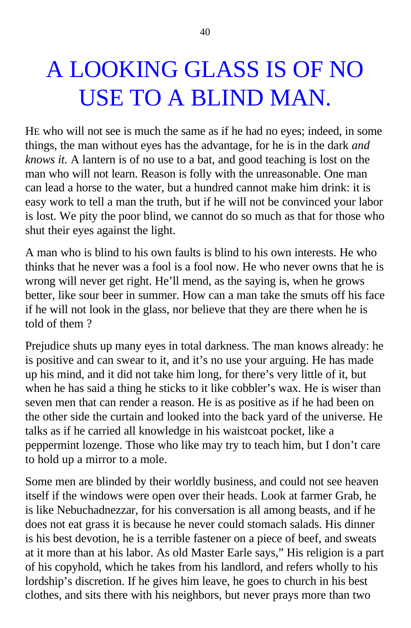# A LOOKING GLASS IS OF NO USE TO A BLIND MAN.

HE who will not see is much the same as if he had no eyes; indeed, in some things, the man without eyes has the advantage, for he is in the dark *and knows it.* A lantern is of no use to a bat, and good teaching is lost on the man who will not learn. Reason is folly with the unreasonable. One man can lead a horse to the water, but a hundred cannot make him drink: it is easy work to tell a man the truth, but if he will not be convinced your labor is lost. We pity the poor blind, we cannot do so much as that for those who shut their eyes against the light.

A man who is blind to his own faults is blind to his own interests. He who thinks that he never was a fool is a fool now. He who never owns that he is wrong will never get right. He'll mend, as the saying is, when he grows better, like sour beer in summer. How can a man take the smuts off his face if he will not look in the glass, nor believe that they are there when he is told of them ?

Prejudice shuts up many eyes in total darkness. The man knows already: he is positive and can swear to it, and it's no use your arguing. He has made up his mind, and it did not take him long, for there's very little of it, but when he has said a thing he sticks to it like cobbler's wax. He is wiser than seven men that can render a reason. He is as positive as if he had been on the other side the curtain and looked into the back yard of the universe. He talks as if he carried all knowledge in his waistcoat pocket, like a peppermint lozenge. Those who like may try to teach him, but I don't care to hold up a mirror to a mole.

Some men are blinded by their worldly business, and could not see heaven itself if the windows were open over their heads. Look at farmer Grab, he is like Nebuchadnezzar, for his conversation is all among beasts, and if he does not eat grass it is because he never could stomach salads. His dinner is his best devotion, he is a terrible fastener on a piece of beef, and sweats at it more than at his labor. As old Master Earle says," His religion is a part of his copyhold, which he takes from his landlord, and refers wholly to his lordship's discretion. If he gives him leave, he goes to church in his best clothes, and sits there with his neighbors, but never prays more than two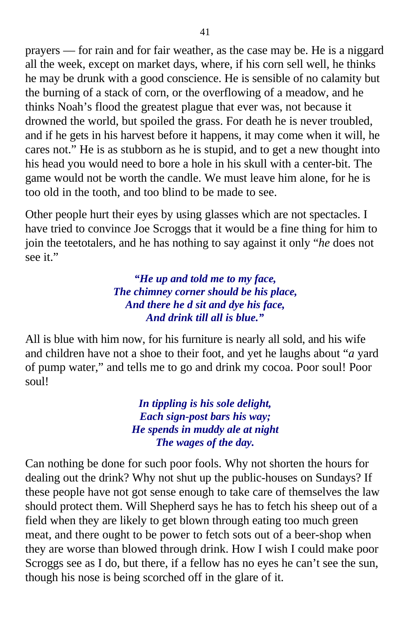prayers — for rain and for fair weather, as the case may be. He is a niggard all the week, except on market days, where, if his corn sell well, he thinks he may be drunk with a good conscience. He is sensible of no calamity but the burning of a stack of corn, or the overflowing of a meadow, and he thinks Noah's flood the greatest plague that ever was, not because it drowned the world, but spoiled the grass. For death he is never troubled, and if he gets in his harvest before it happens, it may come when it will, he cares not." He is as stubborn as he is stupid, and to get a new thought into his head you would need to bore a hole in his skull with a center-bit. The game would not be worth the candle. We must leave him alone, for he is too old in the tooth, and too blind to be made to see.

Other people hurt their eyes by using glasses which are not spectacles. I have tried to convince Joe Scroggs that it would be a fine thing for him to join the teetotalers, and he has nothing to say against it only "*he* does not see it."

> *"He up and told me to my face, The chimney corner should be his place, And there he d sit and dye his face, And drink till all is blue."*

All is blue with him now, for his furniture is nearly all sold, and his wife and children have not a shoe to their foot, and yet he laughs about "*a* yard of pump water," and tells me to go and drink my cocoa. Poor soul! Poor soul!

> *In tippling is his sole delight, Each sign-post bars his way; He spends in muddy ale at night The wages of the day.*

Can nothing be done for such poor fools. Why not shorten the hours for dealing out the drink? Why not shut up the public-houses on Sundays? If these people have not got sense enough to take care of themselves the law should protect them. Will Shepherd says he has to fetch his sheep out of a field when they are likely to get blown through eating too much green meat, and there ought to be power to fetch sots out of a beer-shop when they are worse than blowed through drink. How I wish I could make poor Scroggs see as I do, but there, if a fellow has no eyes he can't see the sun, though his nose is being scorched off in the glare of it.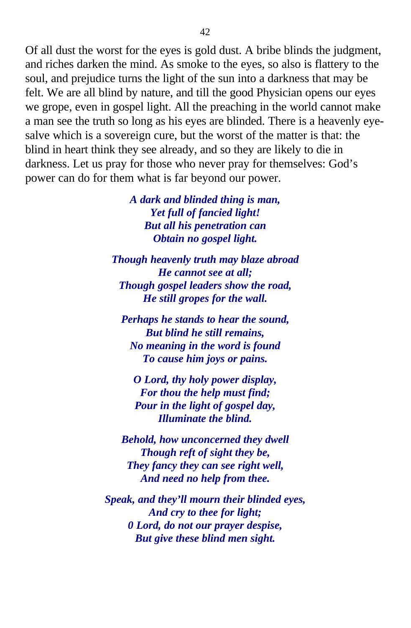Of all dust the worst for the eyes is gold dust. A bribe blinds the judgment, and riches darken the mind. As smoke to the eyes, so also is flattery to the soul, and prejudice turns the light of the sun into a darkness that may be felt. We are all blind by nature, and till the good Physician opens our eyes we grope, even in gospel light. All the preaching in the world cannot make a man see the truth so long as his eyes are blinded. There is a heavenly eyesalve which is a sovereign cure, but the worst of the matter is that: the blind in heart think they see already, and so they are likely to die in darkness. Let us pray for those who never pray for themselves: God's power can do for them what is far beyond our power.

> *A dark and blinded thing is man, Yet full of fancied light! But all his penetration can Obtain no gospel light.*

*Though heavenly truth may blaze abroad He cannot see at all; Though gospel leaders show the road, He still gropes for the wall.*

*Perhaps he stands to hear the sound, But blind he still remains, No meaning in the word is found To cause him joys or pains.*

*O Lord, thy holy power display, For thou the help must find; Pour in the light of gospel day, Illuminate the blind.*

*Behold, how unconcerned they dwell Though reft of sight they be, They fancy they can see right well, And need no help from thee.*

*Speak, and they'll mourn their blinded eyes, And cry to thee for light; 0 Lord, do not our prayer despise, But give these blind men sight.*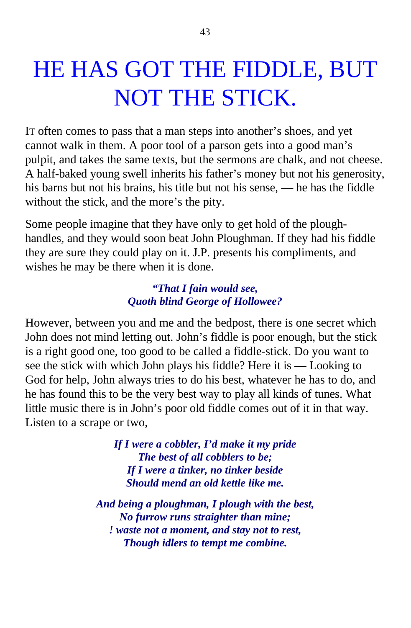## HE HAS GOT THE FIDDLE, BUT NOT THE STICK.

IT often comes to pass that a man steps into another's shoes, and yet cannot walk in them. A poor tool of a parson gets into a good man's pulpit, and takes the same texts, but the sermons are chalk, and not cheese. A half-baked young swell inherits his father's money but not his generosity, his barns but not his brains, his title but not his sense, — he has the fiddle without the stick, and the more's the pity.

Some people imagine that they have only to get hold of the ploughhandles, and they would soon beat John Ploughman. If they had his fiddle they are sure they could play on it. J.P. presents his compliments, and wishes he may be there when it is done.

#### *"That I fain would see, Quoth blind George of Hollowee?*

However, between you and me and the bedpost, there is one secret which John does not mind letting out. John's fiddle is poor enough, but the stick is a right good one, too good to be called a fiddle-stick. Do you want to see the stick with which John plays his fiddle? Here it is — Looking to God for help, John always tries to do his best, whatever he has to do, and he has found this to be the very best way to play all kinds of tunes. What little music there is in John's poor old fiddle comes out of it in that way. Listen to a scrape or two,

> *If I were a cobbler, I'd make it my pride The best of all cobblers to be; If I were a tinker, no tinker beside Should mend an old kettle like me.*

*And being a ploughman, I plough with the best, No furrow runs straighter than mine; ! waste not a moment, and stay not to rest, Though idlers to tempt me combine.*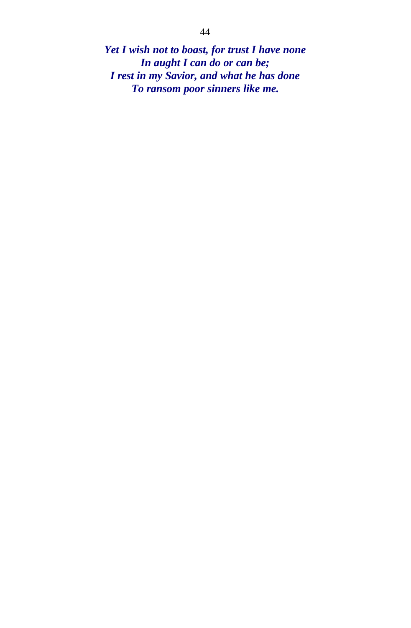*Yet I wish not to boast, for trust I have none In aught I can do or can be; I rest in my Savior, and what he has done To ransom poor sinners like me.*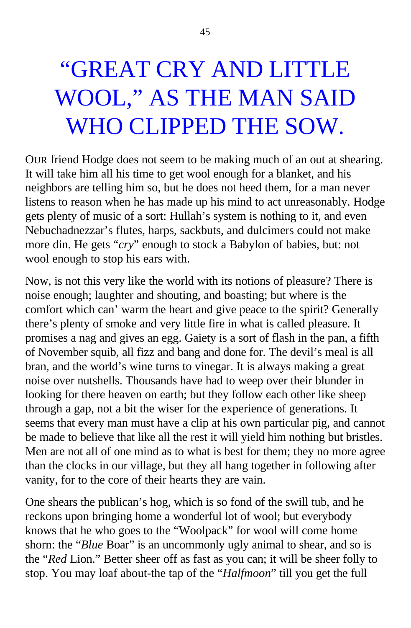### "GREAT CRY AND LITTLE WOOL," AS THE MAN SAID WHO CLIPPED THE SOW.

OUR friend Hodge does not seem to be making much of an out at shearing. It will take him all his time to get wool enough for a blanket, and his neighbors are telling him so, but he does not heed them, for a man never listens to reason when he has made up his mind to act unreasonably. Hodge gets plenty of music of a sort: Hullah's system is nothing to it, and even Nebuchadnezzar's flutes, harps, sackbuts, and dulcimers could not make more din. He gets "*cry*" enough to stock a Babylon of babies, but: not wool enough to stop his ears with.

Now, is not this very like the world with its notions of pleasure? There is noise enough; laughter and shouting, and boasting; but where is the comfort which can' warm the heart and give peace to the spirit? Generally there's plenty of smoke and very little fire in what is called pleasure. It promises a nag and gives an egg. Gaiety is a sort of flash in the pan, a fifth of November squib, all fizz and bang and done for. The devil's meal is all bran, and the world's wine turns to vinegar. It is always making a great noise over nutshells. Thousands have had to weep over their blunder in looking for there heaven on earth; but they follow each other like sheep through a gap, not a bit the wiser for the experience of generations. It seems that every man must have a clip at his own particular pig, and cannot be made to believe that like all the rest it will yield him nothing but bristles. Men are not all of one mind as to what is best for them; they no more agree than the clocks in our village, but they all hang together in following after vanity, for to the core of their hearts they are vain.

One shears the publican's hog, which is so fond of the swill tub, and he reckons upon bringing home a wonderful lot of wool; but everybody knows that he who goes to the "Woolpack" for wool will come home shorn: the "*Blue* Boar" is an uncommonly ugly animal to shear, and so is the "*Red* Lion." Better sheer off as fast as you can; it will be sheer folly to stop. You may loaf about-the tap of the "*Halfmoon*" till you get the full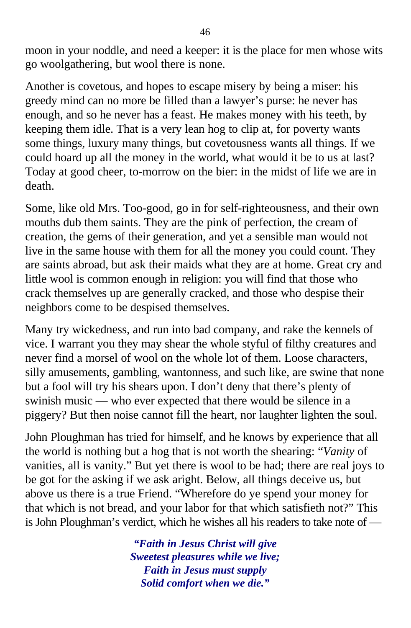moon in your noddle, and need a keeper: it is the place for men whose wits go woolgathering, but wool there is none.

Another is covetous, and hopes to escape misery by being a miser: his greedy mind can no more be filled than a lawyer's purse: he never has enough, and so he never has a feast. He makes money with his teeth, by keeping them idle. That is a very lean hog to clip at, for poverty wants some things, luxury many things, but covetousness wants all things. If we could hoard up all the money in the world, what would it be to us at last? Today at good cheer, to-morrow on the bier: in the midst of life we are in death.

Some, like old Mrs. Too-good, go in for self-righteousness, and their own mouths dub them saints. They are the pink of perfection, the cream of creation, the gems of their generation, and yet a sensible man would not live in the same house with them for all the money you could count. They are saints abroad, but ask their maids what they are at home. Great cry and little wool is common enough in religion: you will find that those who crack themselves up are generally cracked, and those who despise their neighbors come to be despised themselves.

Many try wickedness, and run into bad company, and rake the kennels of vice. I warrant you they may shear the whole styful of filthy creatures and never find a morsel of wool on the whole lot of them. Loose characters, silly amusements, gambling, wantonness, and such like, are swine that none but a fool will try his shears upon. I don't deny that there's plenty of swinish music — who ever expected that there would be silence in a piggery? But then noise cannot fill the heart, nor laughter lighten the soul.

John Ploughman has tried for himself, and he knows by experience that all the world is nothing but a hog that is not worth the shearing: "*Vanity* of vanities, all is vanity." But yet there is wool to be had; there are real joys to be got for the asking if we ask aright. Below, all things deceive us, but above us there is a true Friend. "Wherefore do ye spend your money for that which is not bread, and your labor for that which satisfieth not?" This is John Ploughman's verdict, which he wishes all his readers to take note of —

> *"Faith in Jesus Christ will give Sweetest pleasures while we live; Faith in Jesus must supply Solid comfort when we die."*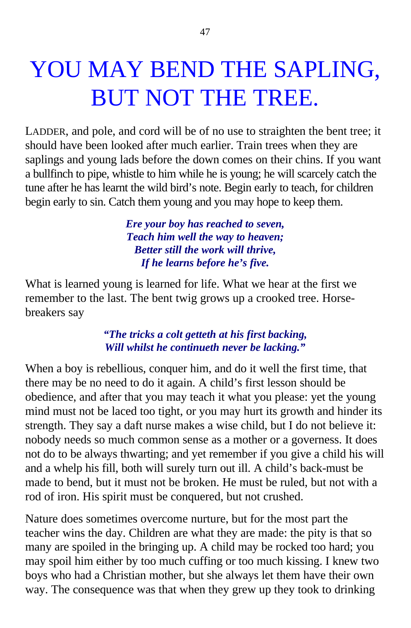## YOU MAY BEND THE SAPLING, BUT NOT THE TREE.

LADDER, and pole, and cord will be of no use to straighten the bent tree; it should have been looked after much earlier. Train trees when they are saplings and young lads before the down comes on their chins. If you want a bullfinch to pipe, whistle to him while he is young; he will scarcely catch the tune after he has learnt the wild bird's note. Begin early to teach, for children begin early to sin. Catch them young and you may hope to keep them.

> *Ere your boy has reached to seven, Teach him well the way to heaven; Better still the work will thrive, If he learns before he's five.*

What is learned young is learned for life. What we hear at the first we remember to the last. The bent twig grows up a crooked tree. Horsebreakers say

#### *"The tricks a colt getteth at his first backing, Will whilst he continueth never be lacking."*

When a boy is rebellious, conquer him, and do it well the first time, that there may be no need to do it again. A child's first lesson should be obedience, and after that you may teach it what you please: yet the young mind must not be laced too tight, or you may hurt its growth and hinder its strength. They say a daft nurse makes a wise child, but I do not believe it: nobody needs so much common sense as a mother or a governess. It does not do to be always thwarting; and yet remember if you give a child his will and a whelp his fill, both will surely turn out ill. A child's back-must be made to bend, but it must not be broken. He must be ruled, but not with a rod of iron. His spirit must be conquered, but not crushed.

Nature does sometimes overcome nurture, but for the most part the teacher wins the day. Children are what they are made: the pity is that so many are spoiled in the bringing up. A child may be rocked too hard; you may spoil him either by too much cuffing or too much kissing. I knew two boys who had a Christian mother, but she always let them have their own way. The consequence was that when they grew up they took to drinking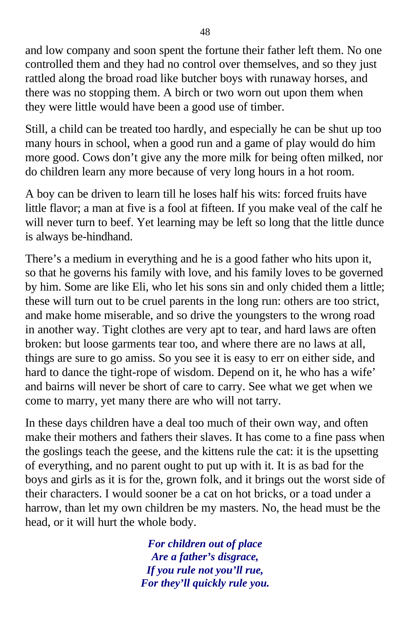and low company and soon spent the fortune their father left them. No one controlled them and they had no control over themselves, and so they just rattled along the broad road like butcher boys with runaway horses, and there was no stopping them. A birch or two worn out upon them when they were little would have been a good use of timber.

Still, a child can be treated too hardly, and especially he can be shut up too many hours in school, when a good run and a game of play would do him more good. Cows don't give any the more milk for being often milked, nor do children learn any more because of very long hours in a hot room.

A boy can be driven to learn till he loses half his wits: forced fruits have little flavor; a man at five is a fool at fifteen. If you make veal of the calf he will never turn to beef. Yet learning may be left so long that the little dunce is always be-hindhand.

There's a medium in everything and he is a good father who hits upon it, so that he governs his family with love, and his family loves to be governed by him. Some are like Eli, who let his sons sin and only chided them a little; these will turn out to be cruel parents in the long run: others are too strict, and make home miserable, and so drive the youngsters to the wrong road in another way. Tight clothes are very apt to tear, and hard laws are often broken: but loose garments tear too, and where there are no laws at all, things are sure to go amiss. So you see it is easy to err on either side, and hard to dance the tight-rope of wisdom. Depend on it, he who has a wife' and bairns will never be short of care to carry. See what we get when we come to marry, yet many there are who will not tarry.

In these days children have a deal too much of their own way, and often make their mothers and fathers their slaves. It has come to a fine pass when the goslings teach the geese, and the kittens rule the cat: it is the upsetting of everything, and no parent ought to put up with it. It is as bad for the boys and girls as it is for the, grown folk, and it brings out the worst side of their characters. I would sooner be a cat on hot bricks, or a toad under a harrow, than let my own children be my masters. No, the head must be the head, or it will hurt the whole body.

> *For children out of place Are a father's disgrace, If you rule not you'll rue, For they'll quickly rule you.*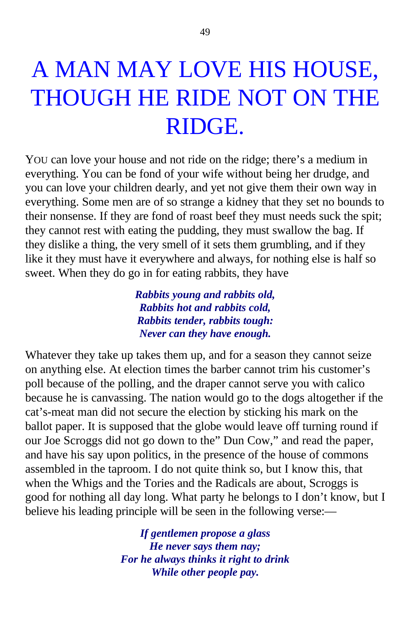### A MAN MAY LOVE HIS HOUSE, THOUGH HE RIDE NOT ON THE RIDGE.

YOU can love your house and not ride on the ridge; there's a medium in everything. You can be fond of your wife without being her drudge, and you can love your children dearly, and yet not give them their own way in everything. Some men are of so strange a kidney that they set no bounds to their nonsense. If they are fond of roast beef they must needs suck the spit; they cannot rest with eating the pudding, they must swallow the bag. If they dislike a thing, the very smell of it sets them grumbling, and if they like it they must have it everywhere and always, for nothing else is half so sweet. When they do go in for eating rabbits, they have

#### *Rabbits young and rabbits old, Rabbits hot and rabbits cold, Rabbits tender, rabbits tough: Never can they have enough.*

Whatever they take up takes them up, and for a season they cannot seize on anything else. At election times the barber cannot trim his customer's poll because of the polling, and the draper cannot serve you with calico because he is canvassing. The nation would go to the dogs altogether if the cat's-meat man did not secure the election by sticking his mark on the ballot paper. It is supposed that the globe would leave off turning round if our Joe Scroggs did not go down to the" Dun Cow," and read the paper, and have his say upon politics, in the presence of the house of commons assembled in the taproom. I do not quite think so, but I know this, that when the Whigs and the Tories and the Radicals are about, Scroggs is good for nothing all day long. What party he belongs to I don't know, but I believe his leading principle will be seen in the following verse:—

> *If gentlemen propose a glass He never says them nay; For he always thinks it right to drink While other people pay.*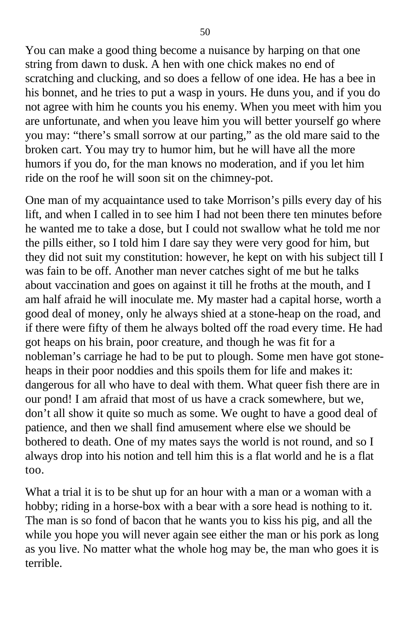You can make a good thing become a nuisance by harping on that one string from dawn to dusk. A hen with one chick makes no end of scratching and clucking, and so does a fellow of one idea. He has a bee in his bonnet, and he tries to put a wasp in yours. He duns you, and if you do not agree with him he counts you his enemy. When you meet with him you are unfortunate, and when you leave him you will better yourself go where you may: "there's small sorrow at our parting," as the old mare said to the broken cart. You may try to humor him, but he will have all the more humors if you do, for the man knows no moderation, and if you let him ride on the roof he will soon sit on the chimney-pot.

One man of my acquaintance used to take Morrison's pills every day of his lift, and when I called in to see him I had not been there ten minutes before he wanted me to take a dose, but I could not swallow what he told me nor the pills either, so I told him I dare say they were very good for him, but they did not suit my constitution: however, he kept on with his subject till I was fain to be off. Another man never catches sight of me but he talks about vaccination and goes on against it till he froths at the mouth, and I am half afraid he will inoculate me. My master had a capital horse, worth a good deal of money, only he always shied at a stone-heap on the road, and if there were fifty of them he always bolted off the road every time. He had got heaps on his brain, poor creature, and though he was fit for a nobleman's carriage he had to be put to plough. Some men have got stoneheaps in their poor noddies and this spoils them for life and makes it: dangerous for all who have to deal with them. What queer fish there are in our pond! I am afraid that most of us have a crack somewhere, but we, don't all show it quite so much as some. We ought to have a good deal of patience, and then we shall find amusement where else we should be bothered to death. One of my mates says the world is not round, and so I always drop into his notion and tell him this is a flat world and he is a flat too.

What a trial it is to be shut up for an hour with a man or a woman with a hobby; riding in a horse-box with a bear with a sore head is nothing to it. The man is so fond of bacon that he wants you to kiss his pig, and all the while you hope you will never again see either the man or his pork as long as you live. No matter what the whole hog may be, the man who goes it is terrible.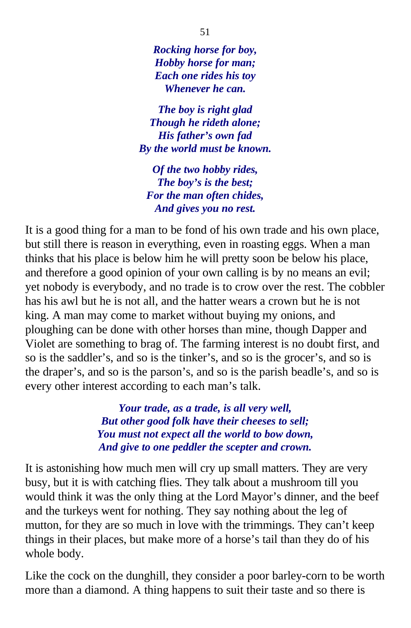*Rocking horse for boy, Hobby horse for man; Each one rides his toy Whenever he can.*

*The boy is right glad Though he rideth alone; His father's own fad By the world must be known.*

*Of the two hobby rides, The boy's is the best; For the man often chides, And gives you no rest.*

It is a good thing for a man to be fond of his own trade and his own place, but still there is reason in everything, even in roasting eggs. When a man thinks that his place is below him he will pretty soon be below his place, and therefore a good opinion of your own calling is by no means an evil; yet nobody is everybody, and no trade is to crow over the rest. The cobbler has his awl but he is not all, and the hatter wears a crown but he is not king. A man may come to market without buying my onions, and ploughing can be done with other horses than mine, though Dapper and Violet are something to brag of. The farming interest is no doubt first, and so is the saddler's, and so is the tinker's, and so is the grocer's, and so is the draper's, and so is the parson's, and so is the parish beadle's, and so is every other interest according to each man's talk.

> *Your trade, as a trade, is all very well, But other good folk have their cheeses to sell; You must not expect all the world to bow down, And give to one peddler the scepter and crown.*

It is astonishing how much men will cry up small matters. They are very busy, but it is with catching flies. They talk about a mushroom till you would think it was the only thing at the Lord Mayor's dinner, and the beef and the turkeys went for nothing. They say nothing about the leg of mutton, for they are so much in love with the trimmings. They can't keep things in their places, but make more of a horse's tail than they do of his whole body.

Like the cock on the dunghill, they consider a poor barley-corn to be worth more than a diamond. A thing happens to suit their taste and so there is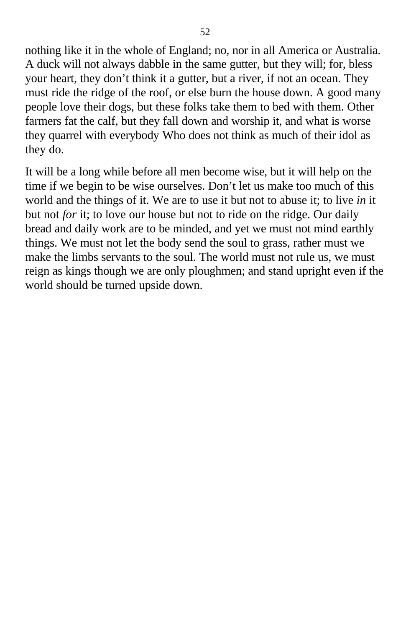nothing like it in the whole of England; no, nor in all America or Australia. A duck will not always dabble in the same gutter, but they will; for, bless your heart, they don't think it a gutter, but a river, if not an ocean. They must ride the ridge of the roof, or else burn the house down. A good many people love their dogs, but these folks take them to bed with them. Other farmers fat the calf, but they fall down and worship it, and what is worse they quarrel with everybody Who does not think as much of their idol as they do.

It will be a long while before all men become wise, but it will help on the time if we begin to be wise ourselves. Don't let us make too much of this world and the things of it. We are to use it but not to abuse it; to live *in* it but not *for* it; to love our house but not to ride on the ridge. Our daily bread and daily work are to be minded, and yet we must not mind earthly things. We must not let the body send the soul to grass, rather must we make the limbs servants to the soul. The world must not rule us, we must reign as kings though we are only ploughmen; and stand upright even if the world should be turned upside down.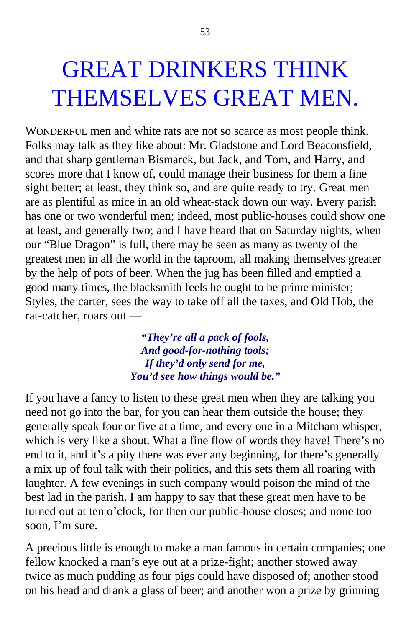### GREAT DRINKERS THINK THEMSELVES GREAT MEN.

WONDERFUL men and white rats are not so scarce as most people think. Folks may talk as they like about: Mr. Gladstone and Lord Beaconsfield, and that sharp gentleman Bismarck, but Jack, and Tom, and Harry, and scores more that I know of, could manage their business for them a fine sight better; at least, they think so, and are quite ready to try. Great men are as plentiful as mice in an old wheat-stack down our way. Every parish has one or two wonderful men; indeed, most public-houses could show one at least, and generally two; and I have heard that on Saturday nights, when our "Blue Dragon" is full, there may be seen as many as twenty of the greatest men in all the world in the taproom, all making themselves greater by the help of pots of beer. When the jug has been filled and emptied a good many times, the blacksmith feels he ought to be prime minister; Styles, the carter, sees the way to take off all the taxes, and Old Hob, the rat-catcher, roars out —

> *"They're all a pack of fools, And good-for-nothing tools; If they'd only send for me, You'd see how things would be."*

If you have a fancy to listen to these great men when they are talking you need not go into the bar, for you can hear them outside the house; they generally speak four or five at a time, and every one in a Mitcham whisper, which is very like a shout. What a fine flow of words they have! There's no end to it, and it's a pity there was ever any beginning, for there's generally a mix up of foul talk with their politics, and this sets them all roaring with laughter. A few evenings in such company would poison the mind of the best lad in the parish. I am happy to say that these great men have to be turned out at ten o'clock, for then our public-house closes; and none too soon, I'm sure.

A precious little is enough to make a man famous in certain companies; one fellow knocked a man's eye out at a prize-fight; another stowed away twice as much pudding as four pigs could have disposed of; another stood on his head and drank a glass of beer; and another won a prize by grinning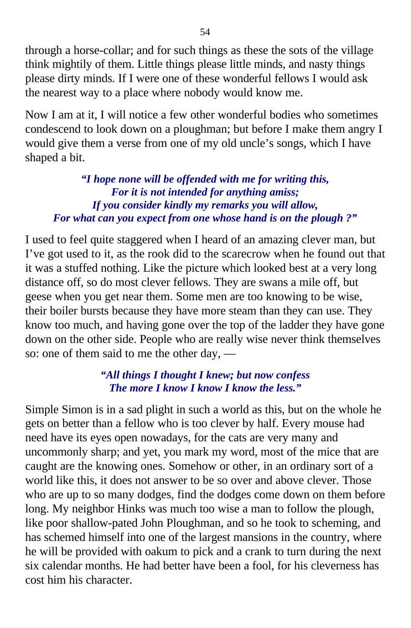through a horse-collar; and for such things as these the sots of the village think mightily of them. Little things please little minds, and nasty things please dirty minds. If I were one of these wonderful fellows I would ask the nearest way to a place where nobody would know me.

Now I am at it, I will notice a few other wonderful bodies who sometimes condescend to look down on a ploughman; but before I make them angry I would give them a verse from one of my old uncle's songs, which I have shaped a bit.

#### *"I hope none will be offended with me for writing this, For it is not intended for anything amiss; If you consider kindly my remarks you will allow, For what can you expect from one whose hand is on the plough ?"*

I used to feel quite staggered when I heard of an amazing clever man, but I've got used to it, as the rook did to the scarecrow when he found out that it was a stuffed nothing. Like the picture which looked best at a very long distance off, so do most clever fellows. They are swans a mile off, but geese when you get near them. Some men are too knowing to be wise, their boiler bursts because they have more steam than they can use. They know too much, and having gone over the top of the ladder they have gone down on the other side. People who are really wise never think themselves so: one of them said to me the other day, —

#### *"All things I thought I knew; but now confess The more I know I know I know the less."*

Simple Simon is in a sad plight in such a world as this, but on the whole he gets on better than a fellow who is too clever by half. Every mouse had need have its eyes open nowadays, for the cats are very many and uncommonly sharp; and yet, you mark my word, most of the mice that are caught are the knowing ones. Somehow or other, in an ordinary sort of a world like this, it does not answer to be so over and above clever. Those who are up to so many dodges, find the dodges come down on them before long. My neighbor Hinks was much too wise a man to follow the plough, like poor shallow-pated John Ploughman, and so he took to scheming, and has schemed himself into one of the largest mansions in the country, where he will be provided with oakum to pick and a crank to turn during the next six calendar months. He had better have been a fool, for his cleverness has cost him his character.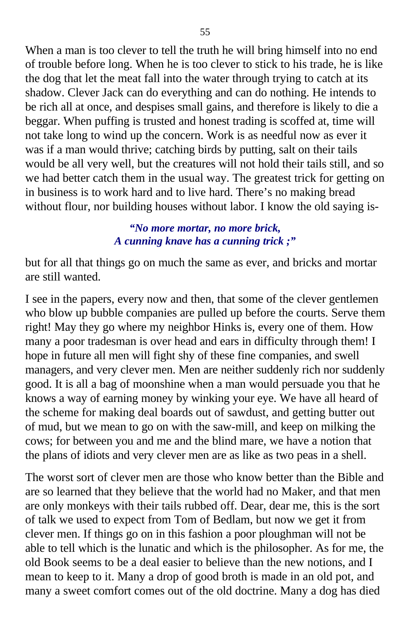When a man is too clever to tell the truth he will bring himself into no end of trouble before long. When he is too clever to stick to his trade, he is like the dog that let the meat fall into the water through trying to catch at its shadow. Clever Jack can do everything and can do nothing. He intends to be rich all at once, and despises small gains, and therefore is likely to die a beggar. When puffing is trusted and honest trading is scoffed at, time will not take long to wind up the concern. Work is as needful now as ever it was if a man would thrive; catching birds by putting, salt on their tails would be all very well, but the creatures will not hold their tails still, and so we had better catch them in the usual way. The greatest trick for getting on in business is to work hard and to live hard. There's no making bread without flour, nor building houses without labor. I know the old saying is-

#### *"No more mortar, no more brick, A cunning knave has a cunning trick ;"*

but for all that things go on much the same as ever, and bricks and mortar are still wanted.

I see in the papers, every now and then, that some of the clever gentlemen who blow up bubble companies are pulled up before the courts. Serve them right! May they go where my neighbor Hinks is, every one of them. How many a poor tradesman is over head and ears in difficulty through them! I hope in future all men will fight shy of these fine companies, and swell managers, and very clever men. Men are neither suddenly rich nor suddenly good. It is all a bag of moonshine when a man would persuade you that he knows a way of earning money by winking your eye. We have all heard of the scheme for making deal boards out of sawdust, and getting butter out of mud, but we mean to go on with the saw-mill, and keep on milking the cows; for between you and me and the blind mare, we have a notion that the plans of idiots and very clever men are as like as two peas in a shell.

The worst sort of clever men are those who know better than the Bible and are so learned that they believe that the world had no Maker, and that men are only monkeys with their tails rubbed off. Dear, dear me, this is the sort of talk we used to expect from Tom of Bedlam, but now we get it from clever men. If things go on in this fashion a poor ploughman will not be able to tell which is the lunatic and which is the philosopher. As for me, the old Book seems to be a deal easier to believe than the new notions, and I mean to keep to it. Many a drop of good broth is made in an old pot, and many a sweet comfort comes out of the old doctrine. Many a dog has died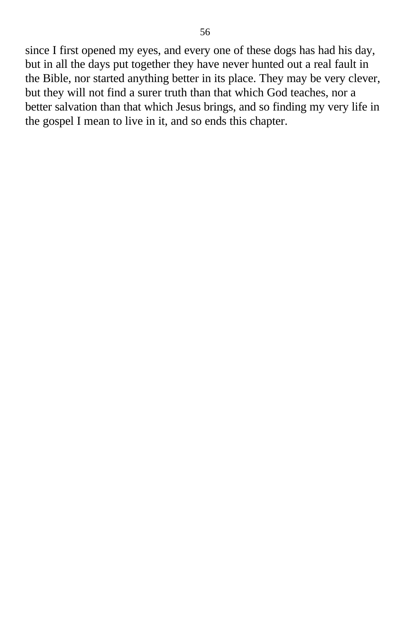since I first opened my eyes, and every one of these dogs has had his day, but in all the days put together they have never hunted out a real fault in the Bible, nor started anything better in its place. They may be very clever, but they will not find a surer truth than that which God teaches, nor a better salvation than that which Jesus brings, and so finding my very life in the gospel I mean to live in it, and so ends this chapter.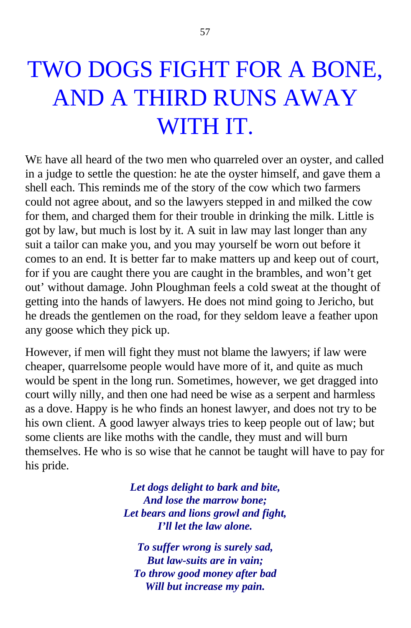### TWO DOGS FIGHT FOR A BONE, AND A THIRD RUNS AWAY WITH IT.

WE have all heard of the two men who quarreled over an oyster, and called in a judge to settle the question: he ate the oyster himself, and gave them a shell each. This reminds me of the story of the cow which two farmers could not agree about, and so the lawyers stepped in and milked the cow for them, and charged them for their trouble in drinking the milk. Little is got by law, but much is lost by it. A suit in law may last longer than any suit a tailor can make you, and you may yourself be worn out before it comes to an end. It is better far to make matters up and keep out of court, for if you are caught there you are caught in the brambles, and won't get out' without damage. John Ploughman feels a cold sweat at the thought of getting into the hands of lawyers. He does not mind going to Jericho, but he dreads the gentlemen on the road, for they seldom leave a feather upon any goose which they pick up.

However, if men will fight they must not blame the lawyers; if law were cheaper, quarrelsome people would have more of it, and quite as much would be spent in the long run. Sometimes, however, we get dragged into court willy nilly, and then one had need be wise as a serpent and harmless as a dove. Happy is he who finds an honest lawyer, and does not try to be his own client. A good lawyer always tries to keep people out of law; but some clients are like moths with the candle, they must and will burn themselves. He who is so wise that he cannot be taught will have to pay for his pride.

> *Let dogs delight to bark and bite, And lose the marrow bone; Let bears and lions growl and fight, I'll let the law alone.*

*To suffer wrong is surely sad, But law-suits are in vain; To throw good money after bad Will but increase my pain.*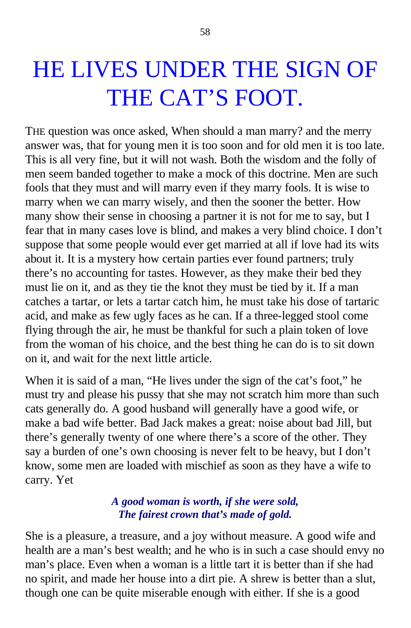## HE LIVES UNDER THE SIGN OF THE CAT'S FOOT.

THE question was once asked, When should a man marry? and the merry answer was, that for young men it is too soon and for old men it is too late. This is all very fine, but it will not wash. Both the wisdom and the folly of men seem banded together to make a mock of this doctrine. Men are such fools that they must and will marry even if they marry fools. It is wise to marry when we can marry wisely, and then the sooner the better. How many show their sense in choosing a partner it is not for me to say, but I fear that in many cases love is blind, and makes a very blind choice. I don't suppose that some people would ever get married at all if love had its wits about it. It is a mystery how certain parties ever found partners; truly there's no accounting for tastes. However, as they make their bed they must lie on it, and as they tie the knot they must be tied by it. If a man catches a tartar, or lets a tartar catch him, he must take his dose of tartaric acid, and make as few ugly faces as he can. If a three-legged stool come flying through the air, he must be thankful for such a plain token of love from the woman of his choice, and the best thing he can do is to sit down on it, and wait for the next little article.

When it is said of a man, "He lives under the sign of the cat's foot," he must try and please his pussy that she may not scratch him more than such cats generally do. A good husband will generally have a good wife, or make a bad wife better. Bad Jack makes a great: noise about bad Jill, but there's generally twenty of one where there's a score of the other. They say a burden of one's own choosing is never felt to be heavy, but I don't know, some men are loaded with mischief as soon as they have a wife to carry. Yet

#### *A good woman is worth, if she were sold, The fairest crown that's made of gold.*

She is a pleasure, a treasure, and a joy without measure. A good wife and health are a man's best wealth; and he who is in such a case should envy no man's place. Even when a woman is a little tart it is better than if she had no spirit, and made her house into a dirt pie. A shrew is better than a slut, though one can be quite miserable enough with either. If she is a good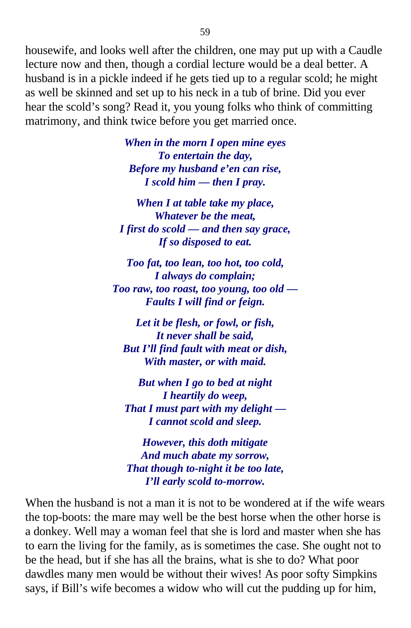housewife, and looks well after the children, one may put up with a Caudle lecture now and then, though a cordial lecture would be a deal better. A husband is in a pickle indeed if he gets tied up to a regular scold; he might as well be skinned and set up to his neck in a tub of brine. Did you ever hear the scold's song? Read it, you young folks who think of committing matrimony, and think twice before you get married once.

> *When in the morn I open mine eyes To entertain the day, Before my husband e'en can rise, I scold him — then I pray.*

*When I at table take my place, Whatever be the meat, I first do scold — and then say grace, If so disposed to eat.*

*Too fat, too lean, too hot, too cold, I always do complain; Too raw, too roast, too young, too old — Faults I will find or feign.*

*Let it be flesh, or fowl, or fish, It never shall be said, But I'll find fault with meat or dish, With master, or with maid.*

*But when I go to bed at night I heartily do weep, That I must part with my delight — I cannot scold and sleep.*

*However, this doth mitigate And much abate my sorrow, That though to-night it be too late, I'll early scold to-morrow.*

When the husband is not a man it is not to be wondered at if the wife wears the top-boots: the mare may well be the best horse when the other horse is a donkey. Well may a woman feel that she is lord and master when she has to earn the living for the family, as is sometimes the case. She ought not to be the head, but if she has all the brains, what is she to do? What poor dawdles many men would be without their wives! As poor softy Simpkins says, if Bill's wife becomes a widow who will cut the pudding up for him,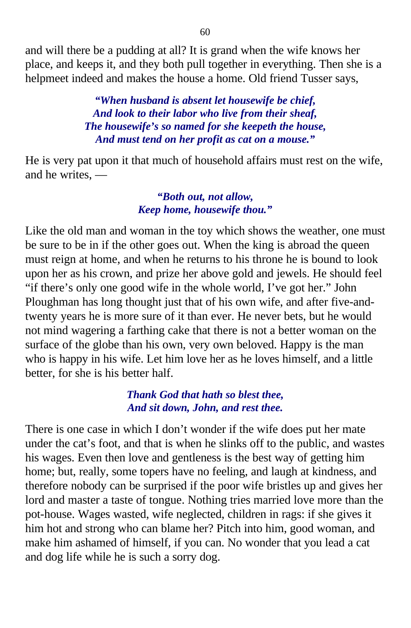and will there be a pudding at all? It is grand when the wife knows her place, and keeps it, and they both pull together in everything. Then she is a helpmeet indeed and makes the house a home. Old friend Tusser says,

> *"When husband is absent let housewife be chief, And look to their labor who live from their sheaf, The housewife's so named for she keepeth the house, And must tend on her profit as cat on a mouse."*

He is very pat upon it that much of household affairs must rest on the wife, and he writes, —

> *"Both out, not allow, Keep home, housewife thou."*

Like the old man and woman in the toy which shows the weather, one must be sure to be in if the other goes out. When the king is abroad the queen must reign at home, and when he returns to his throne he is bound to look upon her as his crown, and prize her above gold and jewels. He should feel "if there's only one good wife in the whole world, I've got her." John Ploughman has long thought just that of his own wife, and after five-andtwenty years he is more sure of it than ever. He never bets, but he would not mind wagering a farthing cake that there is not a better woman on the surface of the globe than his own, very own beloved. Happy is the man who is happy in his wife. Let him love her as he loves himself, and a little better, for she is his better half.

> *Thank God that hath so blest thee, And sit down, John, and rest thee.*

There is one case in which I don't wonder if the wife does put her mate under the cat's foot, and that is when he slinks off to the public, and wastes his wages. Even then love and gentleness is the best way of getting him home; but, really, some topers have no feeling, and laugh at kindness, and therefore nobody can be surprised if the poor wife bristles up and gives her lord and master a taste of tongue. Nothing tries married love more than the pot-house. Wages wasted, wife neglected, children in rags: if she gives it him hot and strong who can blame her? Pitch into him, good woman, and make him ashamed of himself, if you can. No wonder that you lead a cat and dog life while he is such a sorry dog.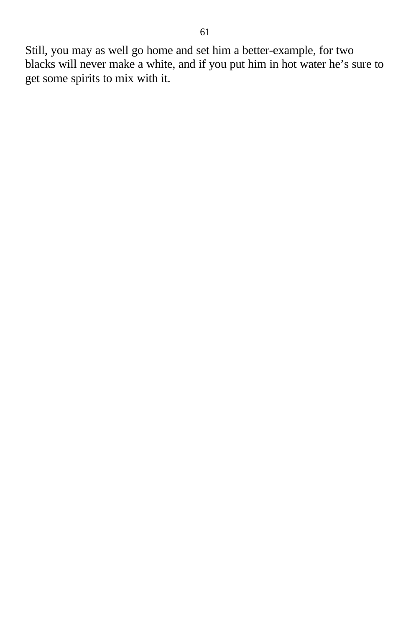Still, you may as well go home and set him a better-example, for two blacks will never make a white, and if you put him in hot water he's sure to get some spirits to mix with it.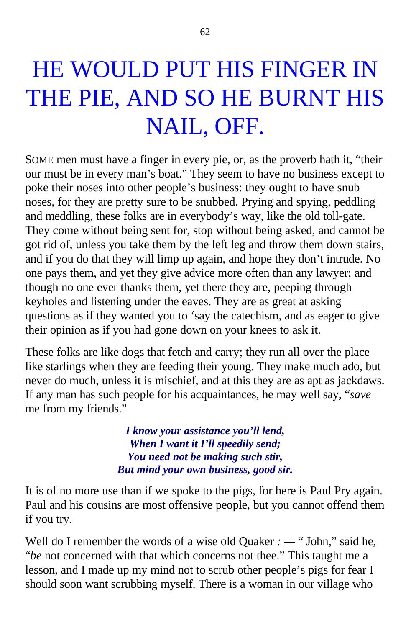# HE WOULD PUT HIS FINGER IN THE PIE, AND SO HE BURNT HIS NAIL, OFF.

SOME men must have a finger in every pie, or, as the proverb hath it, "their our must be in every man's boat." They seem to have no business except to poke their noses into other people's business: they ought to have snub noses, for they are pretty sure to be snubbed. Prying and spying, peddling and meddling, these folks are in everybody's way, like the old toll-gate. They come without being sent for, stop without being asked, and cannot be got rid of, unless you take them by the left leg and throw them down stairs, and if you do that they will limp up again, and hope they don't intrude. No one pays them, and yet they give advice more often than any lawyer; and though no one ever thanks them, yet there they are, peeping through keyholes and listening under the eaves. They are as great at asking questions as if they wanted you to 'say the catechism, and as eager to give their opinion as if you had gone down on your knees to ask it.

These folks are like dogs that fetch and carry; they run all over the place like starlings when they are feeding their young. They make much ado, but never do much, unless it is mischief, and at this they are as apt as jackdaws. If any man has such people for his acquaintances, he may well say, "*save* me from my friends."

> *I know your assistance you'll lend, When I want it I'll speedily send; You need not be making such stir, But mind your own business, good sir.*

It is of no more use than if we spoke to the pigs, for here is Paul Pry again. Paul and his cousins are most offensive people, but you cannot offend them if you try.

Well do I remember the words of a wise old Quaker *: —* " John," said he, "*be* not concerned with that which concerns not thee." This taught me a lesson, and I made up my mind not to scrub other people's pigs for fear I should soon want scrubbing myself. There is a woman in our village who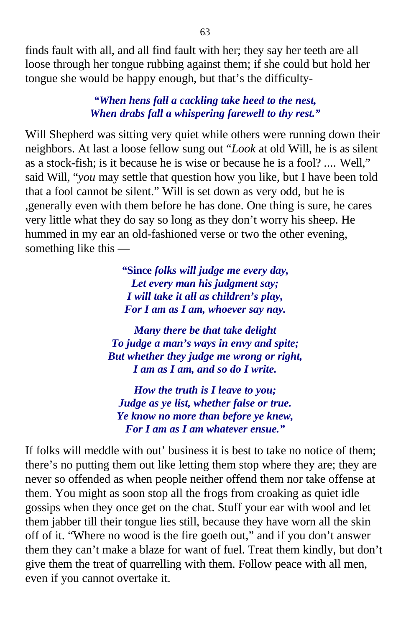finds fault with all, and all find fault with her; they say her teeth are all loose through her tongue rubbing against them; if she could but hold her tongue she would be happy enough, but that's the difficulty-

> *"When hens fall a cackling take heed to the nest, When drabs fall a whispering farewell to thy rest."*

Will Shepherd was sitting very quiet while others were running down their neighbors. At last a loose fellow sung out "*Look* at old Will, he is as silent as a stock-fish; is it because he is wise or because he is a fool? *....* Well," said Will, "*you* may settle that question how you like, but I have been told that a fool cannot be silent." Will is set down as very odd, but he is ,generally even with them before he has done. One thing is sure, he cares very little what they do say so long as they don't worry his sheep. He hummed in my ear an old-fashioned verse or two the other evening, something like this —

> *"***Since** *folks will judge me every day, Let every man his judgment say; I will take it all as children's play, For I am as I am, whoever say nay.*

*Many there be that take delight To judge a man's ways in envy and spite; But whether they judge me wrong or right, I am as I am, and so do I write.*

*How the truth is I leave to you; Judge as ye list, whether false or true. Ye know no more than before ye knew, For I am as I am whatever ensue."*

If folks will meddle with out' business it is best to take no notice of them; there's no putting them out like letting them stop where they are; they are never so offended as when people neither offend them nor take offense at them. You might as soon stop all the frogs from croaking as quiet idle gossips when they once get on the chat. Stuff your ear with wool and let them jabber till their tongue lies still, because they have worn all the skin off of it. "Where no wood is the fire goeth out," and if you don't answer them they can't make a blaze for want of fuel. Treat them kindly, but don't give them the treat of quarrelling with them. Follow peace with all men, even if you cannot overtake it.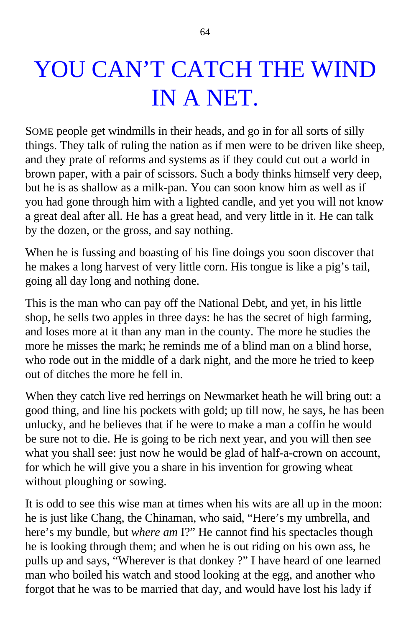# YOU CAN'T CATCH THE WIND IN A NET.

SOME people get windmills in their heads, and go in for all sorts of silly things. They talk of ruling the nation as if men were to be driven like sheep, and they prate of reforms and systems as if they could cut out a world in brown paper, with a pair of scissors. Such a body thinks himself very deep, but he is as shallow as a milk-pan. You can soon know him as well as if you had gone through him with a lighted candle, and yet you will not know a great deal after all. He has a great head, and very little in it. He can talk by the dozen, or the gross, and say nothing.

When he is fussing and boasting of his fine doings you soon discover that he makes a long harvest of very little corn. His tongue is like a pig's tail, going all day long and nothing done.

This is the man who can pay off the National Debt, and yet, in his little shop, he sells two apples in three days: he has the secret of high farming, and loses more at it than any man in the county. The more he studies the more he misses the mark; he reminds me of a blind man on a blind horse, who rode out in the middle of a dark night, and the more he tried to keep out of ditches the more he fell in.

When they catch live red herrings on Newmarket heath he will bring out: a good thing, and line his pockets with gold; up till now, he says, he has been unlucky, and he believes that if he were to make a man a coffin he would be sure not to die. He is going to be rich next year, and you will then see what you shall see: just now he would be glad of half-a-crown on account, for which he will give you a share in his invention for growing wheat without ploughing or sowing.

It is odd to see this wise man at times when his wits are all up in the moon: he is just like Chang, the Chinaman, who said, "Here's my umbrella, and here's my bundle, but *where am* I?" He cannot find his spectacles though he is looking through them; and when he is out riding on his own ass, he pulls up and says, "Wherever is that donkey ?" I have heard of one learned man who boiled his watch and stood looking at the egg, and another who forgot that he was to be married that day, and would have lost his lady if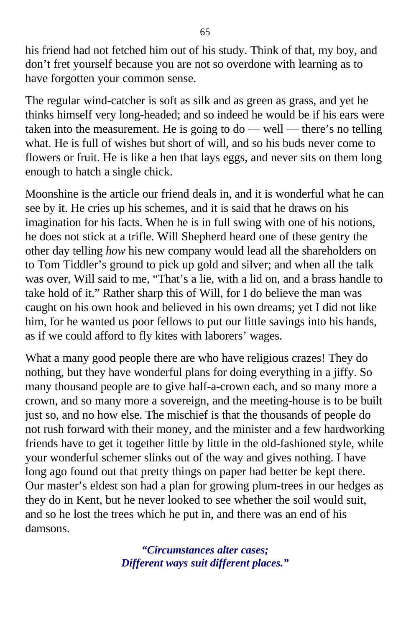his friend had not fetched him out of his study. Think of that, my boy, and don't fret yourself because you are not so overdone with learning as to have forgotten your common sense.

The regular wind-catcher is soft as silk and as green as grass, and yet he thinks himself very long-headed; and so indeed he would be if his ears were taken into the measurement. He is going to do — well — there's no telling what. He is full of wishes but short of will, and so his buds never come to flowers or fruit. He is like a hen that lays eggs, and never sits on them long enough to hatch a single chick.

Moonshine is the article our friend deals in, and it is wonderful what he can see by it. He cries up his schemes, and it is said that he draws on his imagination for his facts. When he is in full swing with one of his notions, he does not stick at a trifle. Will Shepherd heard one of these gentry the other day telling *how* his new company would lead all the shareholders on to Tom Tiddler's ground to pick up gold and silver; and when all the talk was over, Will said to me, "That's a lie, with a lid on, and a brass handle to take hold of it." Rather sharp this of Will, for I do believe the man was caught on his own hook and believed in his own dreams; yet I did not like him, for he wanted us poor fellows to put our little savings into his hands, as if we could afford to fly kites with laborers' wages.

What a many good people there are who have religious crazes! They do nothing, but they have wonderful plans for doing everything in a jiffy. So many thousand people are to give half-a-crown each, and so many more a crown, and so many more a sovereign, and the meeting-house is to be built just so, and no how else. The mischief is that the thousands of people do not rush forward with their money, and the minister and a few hardworking friends have to get it together little by little in the old-fashioned style, while your wonderful schemer slinks out of the way and gives nothing. I have long ago found out that pretty things on paper had better be kept there. Our master's eldest son had a plan for growing plum-trees in our hedges as they do in Kent, but he never looked to see whether the soil would suit, and so he lost the trees which he put in, and there was an end of his damsons.

> *"Circumstances alter cases; Different ways suit different places."*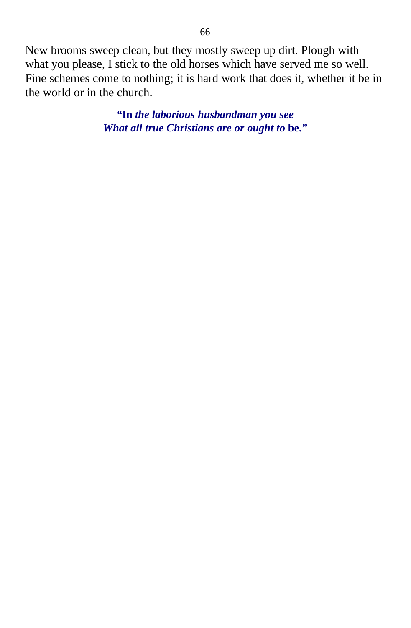New brooms sweep clean, but they mostly sweep up dirt. Plough with what you please, I stick to the old horses which have served me so well. Fine schemes come to nothing; it is hard work that does it, whether it be in the world or in the church.

> *"***In** *the laborious husbandman you see What all true Christians are or ought to* **be.***"*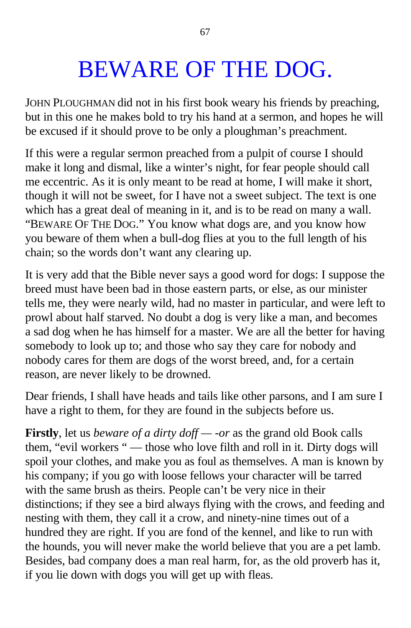### BEWARE OF THE DOG.

JOHN PLOUGHMAN did not in his first book weary his friends by preaching, but in this one he makes bold to try his hand at a sermon, and hopes he will be excused if it should prove to be only a ploughman's preachment.

If this were a regular sermon preached from a pulpit of course I should make it long and dismal, like a winter's night, for fear people should call me eccentric. As it is only meant to be read at home, I will make it short, though it will not be sweet, for I have not a sweet subject. The text is one which has a great deal of meaning in it, and is to be read on many a wall. "BEWARE OF THE DOG." You know what dogs are, and you know how you beware of them when a bull-dog flies at you to the full length of his chain; so the words don't want any clearing up.

It is very add that the Bible never says a good word for dogs: I suppose the breed must have been bad in those eastern parts, or else, as our minister tells me, they were nearly wild, had no master in particular, and were left to prowl about half starved. No doubt a dog is very like a man, and becomes a sad dog when he has himself for a master. We are all the better for having somebody to look up to; and those who say they care for nobody and nobody cares for them are dogs of the worst breed, and, for a certain reason, are never likely to be drowned.

Dear friends, I shall have heads and tails like other parsons, and I am sure I have a right to them, for they are found in the subjects before us.

**Firstly**, let us *beware of a dirty doff — -or* as the grand old Book calls them, "evil workers " — those who love filth and roll in it. Dirty dogs will spoil your clothes, and make you as foul as themselves. A man is known by his company; if you go with loose fellows your character will be tarred with the same brush as theirs. People can't be very nice in their distinctions; if they see a bird always flying with the crows, and feeding and nesting with them, they call it a crow, and ninety-nine times out of a hundred they are right. If you are fond of the kennel, and like to run with the hounds, you will never make the world believe that you are a pet lamb. Besides, bad company does a man real harm, for, as the old proverb has it, if you lie down with dogs you will get up with fleas.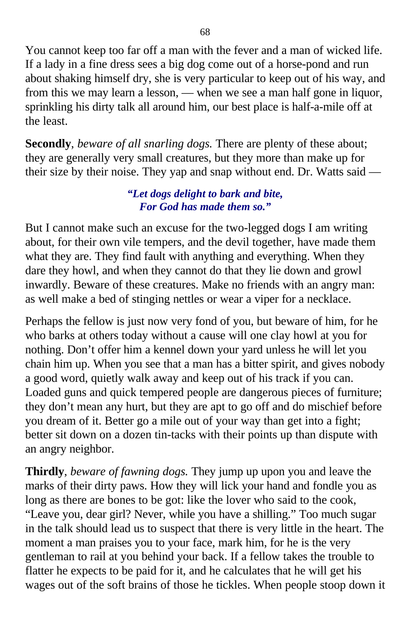You cannot keep too far off a man with the fever and a man of wicked life. If a lady in a fine dress sees a big dog come out of a horse-pond and run about shaking himself dry, she is very particular to keep out of his way, and from this we may learn a lesson, — when we see a man half gone in liquor, sprinkling his dirty talk all around him, our best place is half-a-mile off at the least.

**Secondly**, *beware of all snarling dogs.* There are plenty of these about; they are generally very small creatures, but they more than make up for their size by their noise. They yap and snap without end. Dr. Watts said —

#### *"Let dogs delight to bark and bite, For God has made them so."*

But I cannot make such an excuse for the two-legged dogs I am writing about, for their own vile tempers, and the devil together, have made them what they are. They find fault with anything and everything. When they dare they howl, and when they cannot do that they lie down and growl inwardly. Beware of these creatures. Make no friends with an angry man: as well make a bed of stinging nettles or wear a viper for a necklace.

Perhaps the fellow is just now very fond of you, but beware of him, for he who barks at others today without a cause will one clay howl at you for nothing. Don't offer him a kennel down your yard unless he will let you chain him up. When you see that a man has a bitter spirit, and gives nobody a good word, quietly walk away and keep out of his track if you can. Loaded guns and quick tempered people are dangerous pieces of furniture; they don't mean any hurt, but they are apt to go off and do mischief before you dream of it. Better go a mile out of your way than get into a fight; better sit down on a dozen tin-tacks with their points up than dispute with an angry neighbor.

**Thirdly**, *beware of fawning dogs.* They jump up upon you and leave the marks of their dirty paws. How they will lick your hand and fondle you as long as there are bones to be got: like the lover who said to the cook, "Leave you, dear girl? Never, while you have a shilling." Too much sugar in the talk should lead us to suspect that there is very little in the heart. The moment a man praises you to your face, mark him, for he is the very gentleman to rail at you behind your back. If a fellow takes the trouble to flatter he expects to be paid for it, and he calculates that he will get his wages out of the soft brains of those he tickles. When people stoop down it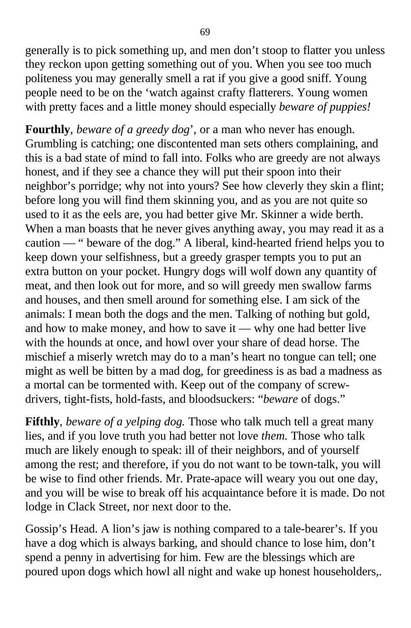generally is to pick something up, and men don't stoop to flatter you unless they reckon upon getting something out of you. When you see too much politeness you may generally smell a rat if you give a good sniff. Young people need to be on the 'watch against crafty flatterers. Young women with pretty faces and a little money should especially *beware of puppies!*

**Fourthly**, *beware of a greedy dog*'*,* or a man who never has enough. Grumbling is catching; one discontented man sets others complaining, and this is a bad state of mind to fall into. Folks who are greedy are not always honest, and if they see a chance they will put their spoon into their neighbor's porridge; why not into yours? See how cleverly they skin a flint; before long you will find them skinning you, and as you are not quite so used to it as the eels are, you had better give Mr. Skinner a wide berth. When a man boasts that he never gives anything away, you may read it as a caution — " beware of the dog." A liberal, kind-hearted friend helps you to keep down your selfishness, but a greedy grasper tempts you to put an extra button on your pocket. Hungry dogs will wolf down any quantity of meat, and then look out for more, and so will greedy men swallow farms and houses, and then smell around for something else. I am sick of the animals: I mean both the dogs and the men. Talking of nothing but gold, and how to make money, and how to save it — why one had better live with the hounds at once, and howl over your share of dead horse. The mischief a miserly wretch may do to a man's heart no tongue can tell; one might as well be bitten by a mad dog, for greediness is as bad a madness as a mortal can be tormented with. Keep out of the company of screwdrivers, tight-fists, hold-fasts, and bloodsuckers: "*beware* of dogs."

**Fifthly**, *beware of a yelping dog.* Those who talk much tell a great many lies, and if you love truth you had better not love *them.* Those who talk much are likely enough to speak: ill of their neighbors, and of yourself among the rest; and therefore, if you do not want to be town-talk, you will be wise to find other friends. Mr. Prate-apace will weary you out one day, and you will be wise to break off his acquaintance before it is made. Do not lodge in Clack Street, nor next door to the.

Gossip's Head. A lion's jaw is nothing compared to a tale-bearer's. If you have a dog which is always barking, and should chance to lose him, don't spend a penny in advertising for him. Few are the blessings which are poured upon dogs which howl all night and wake up honest householders,.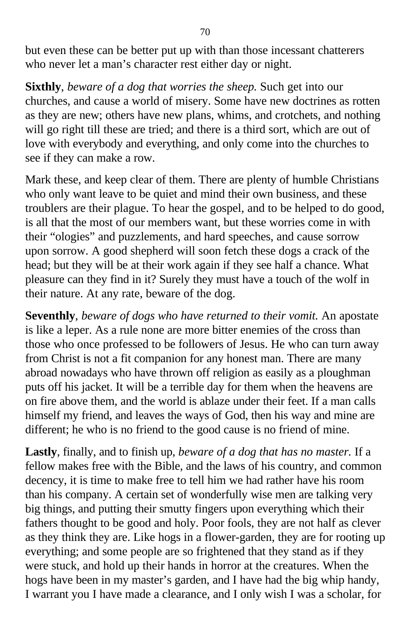but even these can be better put up with than those incessant chatterers who never let a man's character rest either day or night.

**Sixthly**, *beware of a dog that worries the sheep.* Such get into our churches, and cause a world of misery. Some have new doctrines as rotten as they are new; others have new plans, whims, and crotchets, and nothing will go right till these are tried; and there is a third sort, which are out of love with everybody and everything, and only come into the churches to see if they can make a row.

Mark these, and keep clear of them. There are plenty of humble Christians who only want leave to be quiet and mind their own business, and these troublers are their plague. To hear the gospel, and to be helped to do good, is all that the most of our members want, but these worries come in with their "ologies" and puzzlements, and hard speeches, and cause sorrow upon sorrow. A good shepherd will soon fetch these dogs a crack of the head; but they will be at their work again if they see half a chance. What pleasure can they find in it? Surely they must have a touch of the wolf in their nature. At any rate, beware of the dog.

**Seventhly**, *beware of dogs who have returned to their vomit.* An apostate is like a leper. As a rule none are more bitter enemies of the cross than those who once professed to be followers of Jesus. He who can turn away from Christ is not a fit companion for any honest man. There are many abroad nowadays who have thrown off religion as easily as a ploughman puts off his jacket. It will be a terrible day for them when the heavens are on fire above them, and the world is ablaze under their feet. If a man calls himself my friend, and leaves the ways of God, then his way and mine are different; he who is no friend to the good cause is no friend of mine.

**Lastly**, finally, and to finish up, *beware of a dog that has no master.* If a fellow makes free with the Bible, and the laws of his country, and common decency, it is time to make free to tell him we had rather have his room than his company. A certain set of wonderfully wise men are talking very big things, and putting their smutty fingers upon everything which their fathers thought to be good and holy. Poor fools, they are not half as clever as they think they are. Like hogs in a flower-garden, they are for rooting up everything; and some people are so frightened that they stand as if they were stuck, and hold up their hands in horror at the creatures. When the hogs have been in my master's garden, and I have had the big whip handy, I warrant you I have made a clearance, and I only wish I was a scholar, for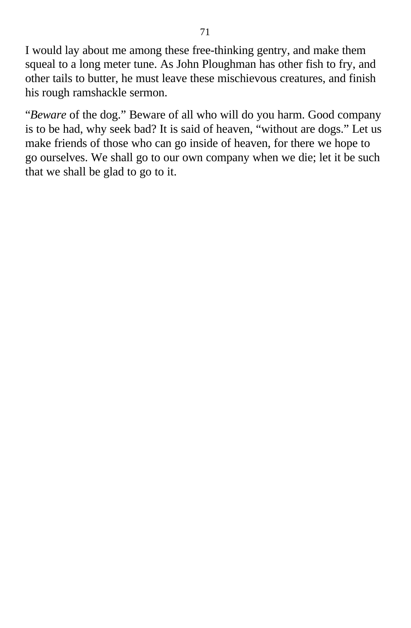I would lay about me among these free-thinking gentry, and make them squeal to a long meter tune. As John Ploughman has other fish to fry, and other tails to butter, he must leave these mischievous creatures, and finish his rough ramshackle sermon.

"*Beware* of the dog." Beware of all who will do you harm. Good company is to be had, why seek bad? It is said of heaven, "without are dogs." Let us make friends of those who can go inside of heaven, for there we hope to go ourselves. We shall go to our own company when we die; let it be such that we shall be glad to go to it.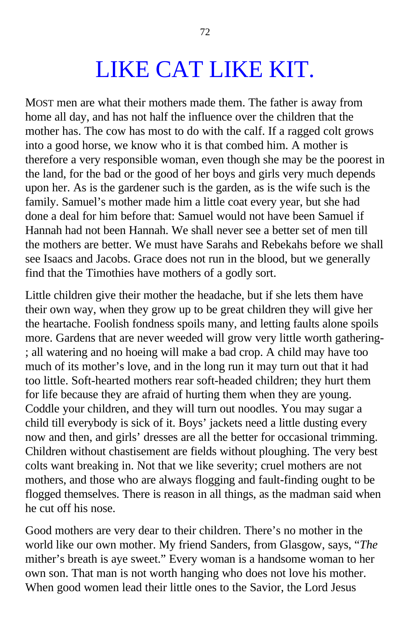### LIKE CAT LIKE KIT.

MOST men are what their mothers made them. The father is away from home all day, and has not half the influence over the children that the mother has. The cow has most to do with the calf. If a ragged colt grows into a good horse, we know who it is that combed him. A mother is therefore a very responsible woman, even though she may be the poorest in the land, for the bad or the good of her boys and girls very much depends upon her. As is the gardener such is the garden, as is the wife such is the family. Samuel's mother made him a little coat every year, but she had done a deal for him before that: Samuel would not have been Samuel if Hannah had not been Hannah. We shall never see a better set of men till the mothers are better. We must have Sarahs and Rebekahs before we shall see Isaacs and Jacobs. Grace does not run in the blood, but we generally find that the Timothies have mothers of a godly sort.

Little children give their mother the headache, but if she lets them have their own way, when they grow up to be great children they will give her the heartache. Foolish fondness spoils many, and letting faults alone spoils more. Gardens that are never weeded will grow very little worth gathering- ; all watering and no hoeing will make a bad crop. A child may have too much of its mother's love, and in the long run it may turn out that it had too little. Soft-hearted mothers rear soft-headed children; they hurt them for life because they are afraid of hurting them when they are young. Coddle your children, and they will turn out noodles. You may sugar a child till everybody is sick of it. Boys' jackets need a little dusting every now and then, and girls' dresses are all the better for occasional trimming. Children without chastisement are fields without ploughing. The very best colts want breaking in. Not that we like severity; cruel mothers are not mothers, and those who are always flogging and fault-finding ought to be flogged themselves. There is reason in all things, as the madman said when he cut off his nose.

Good mothers are very dear to their children. There's no mother in the world like our own mother. My friend Sanders, from Glasgow, says, "*The* mither's breath is aye sweet." Every woman is a handsome woman to her own son. That man is not worth hanging who does not love his mother. When good women lead their little ones to the Savior, the Lord Jesus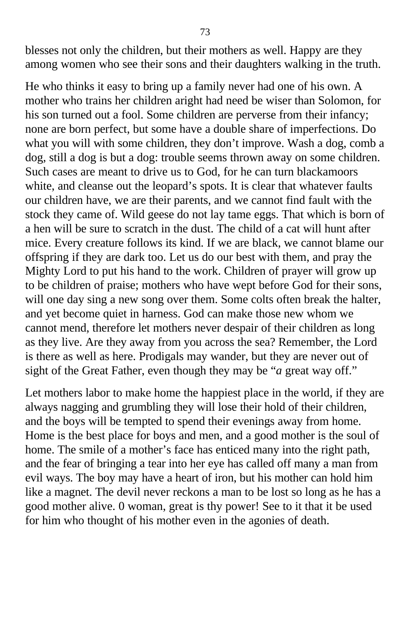blesses not only the children, but their mothers as well. Happy are they among women who see their sons and their daughters walking in the truth.

He who thinks it easy to bring up a family never had one of his own. A mother who trains her children aright had need be wiser than Solomon, for his son turned out a fool. Some children are perverse from their infancy; none are born perfect, but some have a double share of imperfections. Do what you will with some children, they don't improve. Wash a dog, comb a dog, still a dog is but a dog: trouble seems thrown away on some children. Such cases are meant to drive us to God, for he can turn blackamoors white, and cleanse out the leopard's spots. It is clear that whatever faults our children have, we are their parents, and we cannot find fault with the stock they came of. Wild geese do not lay tame eggs. That which is born of a hen will be sure to scratch in the dust. The child of a cat will hunt after mice. Every creature follows its kind. If we are black, we cannot blame our offspring if they are dark too. Let us do our best with them, and pray the Mighty Lord to put his hand to the work. Children of prayer will grow up to be children of praise; mothers who have wept before God for their sons, will one day sing a new song over them. Some colts often break the halter, and yet become quiet in harness. God can make those new whom we cannot mend, therefore let mothers never despair of their children as long as they live. Are they away from you across the sea? Remember, the Lord is there as well as here. Prodigals may wander, but they are never out of sight of the Great Father, even though they may be "*a* great way off."

Let mothers labor to make home the happiest place in the world, if they are always nagging and grumbling they will lose their hold of their children, and the boys will be tempted to spend their evenings away from home. Home is the best place for boys and men, and a good mother is the soul of home. The smile of a mother's face has enticed many into the right path, and the fear of bringing a tear into her eye has called off many a man from evil ways. The boy may have a heart of iron, but his mother can hold him like a magnet. The devil never reckons a man to be lost so long as he has a good mother alive. 0 woman, great is thy power! See to it that it be used for him who thought of his mother even in the agonies of death.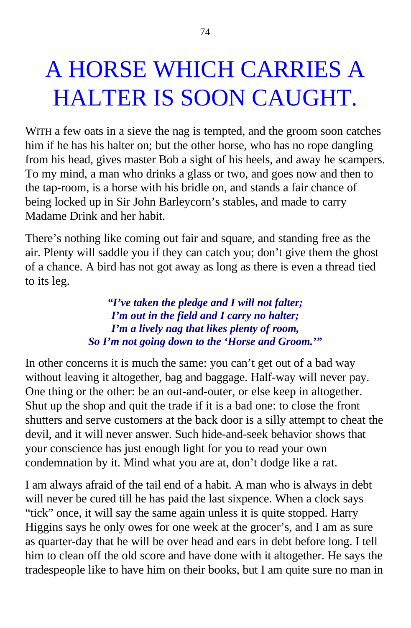# A HORSE WHICH CARRIES A HALTER IS SOON CAUGHT.

WITH a few oats in a sieve the nag is tempted, and the groom soon catches him if he has his halter on; but the other horse, who has no rope dangling from his head, gives master Bob a sight of his heels, and away he scampers. To my mind, a man who drinks a glass or two, and goes now and then to the tap-room, is a horse with his bridle on, and stands a fair chance of being locked up in Sir John Barleycorn's stables, and made to carry Madame Drink and her habit.

There's nothing like coming out fair and square, and standing free as the air. Plenty will saddle you if they can catch you; don't give them the ghost of a chance. A bird has not got away as long as there is even a thread tied to its leg.

> *"I've taken the pledge and I will not falter; I'm out in the field and I carry no halter; I'm a lively nag that likes plenty of room, So I'm not going down to the 'Horse and Groom.'"*

In other concerns it is much the same: you can't get out of a bad way without leaving it altogether, bag and baggage. Half-way will never pay. One thing or the other: be an out-and-outer, or else keep in altogether. Shut up the shop and quit the trade if it is a bad one: to close the front shutters and serve customers at the back door is a silly attempt to cheat the devil, and it will never answer. Such hide-and-seek behavior shows that your conscience has just enough light for you to read your own condemnation by it. Mind what you are at, don't dodge like a rat.

I am always afraid of the tail end of a habit. A man who is always in debt will never be cured till he has paid the last sixpence. When a clock says "tick" once, it will say the same again unless it is quite stopped. Harry Higgins says he only owes for one week at the grocer's, and I am as sure as quarter-day that he will be over head and ears in debt before long. I tell him to clean off the old score and have done with it altogether. He says the tradespeople like to have him on their books, but I am quite sure no man in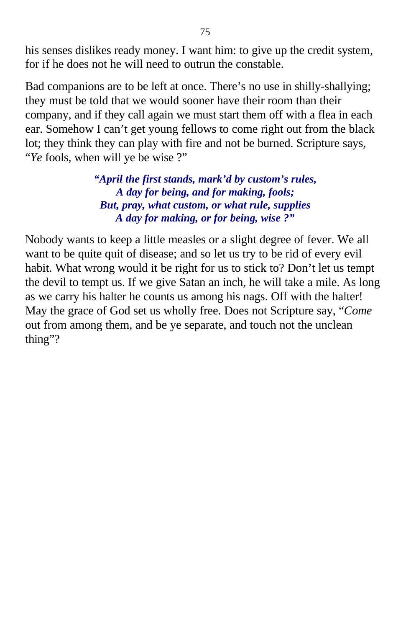his senses dislikes ready money. I want him: to give up the credit system, for if he does not he will need to outrun the constable.

Bad companions are to be left at once. There's no use in shilly-shallying; they must be told that we would sooner have their room than their company, and if they call again we must start them off with a flea in each ear. Somehow I can't get young fellows to come right out from the black lot; they think they can play with fire and not be burned. Scripture says, "*Ye* fools, when will ye be wise ?"

> *"April the first stands, mark'd by custom's rules, A day for being, and for making, fools; But, pray, what custom, or what rule, supplies A day for making, or for being, wise ?"*

Nobody wants to keep a little measles or a slight degree of fever. We all want to be quite quit of disease; and so let us try to be rid of every evil habit. What wrong would it be right for us to stick to? Don't let us tempt the devil to tempt us. If we give Satan an inch, he will take a mile. As long as we carry his halter he counts us among his nags. Off with the halter! May the grace of God set us wholly free. Does not Scripture say, "*Come* out from among them, and be ye separate, and touch not the unclean thing"?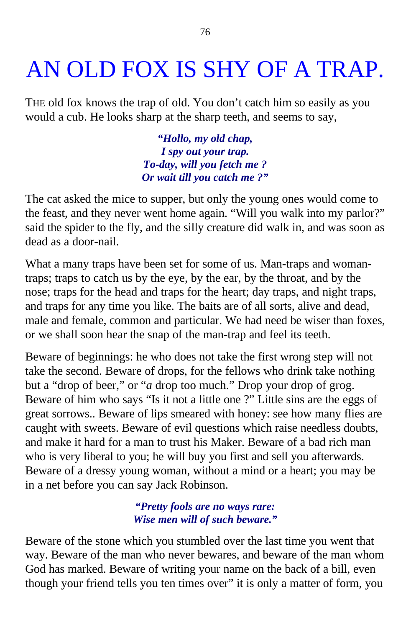# AN OLD FOX IS SHY OF A TRAP.

THE old fox knows the trap of old. You don't catch him so easily as you would a cub. He looks sharp at the sharp teeth, and seems to say,

> *"Hollo, my old chap, I spy out your trap. To-day, will you fetch me ? Or wait till you catch me ?"*

The cat asked the mice to supper, but only the young ones would come to the feast, and they never went home again. "Will you walk into my parlor?" said the spider to the fly, and the silly creature did walk in, and was soon as dead as a door-nail.

What a many traps have been set for some of us. Man-traps and womantraps; traps to catch us by the eye, by the ear, by the throat, and by the nose; traps for the head and traps for the heart; day traps, and night traps, and traps for any time you like. The baits are of all sorts, alive and dead, male and female, common and particular. We had need be wiser than foxes, or we shall soon hear the snap of the man-trap and feel its teeth.

Beware of beginnings: he who does not take the first wrong step will not take the second. Beware of drops, for the fellows who drink take nothing but a "drop of beer," or "*a* drop too much." Drop your drop of grog. Beware of him who says "Is it not a little one ?" Little sins are the eggs of great sorrows.. Beware of lips smeared with honey: see how many flies are caught with sweets. Beware of evil questions which raise needless doubts, and make it hard for a man to trust his Maker. Beware of a bad rich man who is very liberal to you; he will buy you first and sell you afterwards. Beware of a dressy young woman, without a mind or a heart; you may be in a net before you can say Jack Robinson.

### *"Pretty fools are no ways rare: Wise men will of such beware."*

Beware of the stone which you stumbled over the last time you went that way. Beware of the man who never bewares, and beware of the man whom God has marked. Beware of writing your name on the back of a bill, even though your friend tells you ten times over" it is only a matter of form, you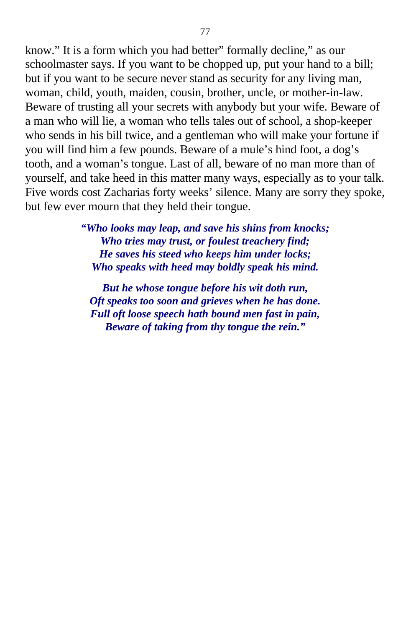know." It is a form which you had better" formally decline," as our schoolmaster says. If you want to be chopped up, put your hand to a bill; but if you want to be secure never stand as security for any living man, woman, child, youth, maiden, cousin, brother, uncle, or mother-in-law. Beware of trusting all your secrets with anybody but your wife. Beware of a man who will lie, a woman who tells tales out of school, a shop-keeper who sends in his bill twice, and a gentleman who will make your fortune if you will find him a few pounds. Beware of a mule's hind foot, a dog's tooth, and a woman's tongue. Last of all, beware of no man more than of yourself, and take heed in this matter many ways, especially as to your talk. Five words cost Zacharias forty weeks' silence. Many are sorry they spoke, but few ever mourn that they held their tongue.

> *"Who looks may leap, and save his shins from knocks; Who tries may trust, or foulest treachery find; He saves his steed who keeps him under locks; Who speaks with heed may boldly speak his mind.*

*But he whose tongue before his wit doth run, Oft speaks too soon and grieves when he has done. Full oft loose speech hath bound men fast in pain, Beware of taking from thy tongue the rein."*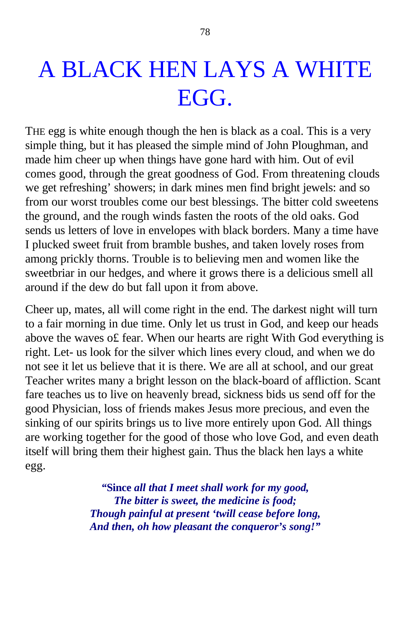## A BLACK HEN LAYS A WHITE EGG.

THE egg is white enough though the hen is black as a coal. This is a very simple thing, but it has pleased the simple mind of John Ploughman, and made him cheer up when things have gone hard with him. Out of evil comes good, through the great goodness of God. From threatening clouds we get refreshing' showers; in dark mines men find bright jewels: and so from our worst troubles come our best blessings. The bitter cold sweetens the ground, and the rough winds fasten the roots of the old oaks. God sends us letters of love in envelopes with black borders. Many a time have I plucked sweet fruit from bramble bushes, and taken lovely roses from among prickly thorns. Trouble is to believing men and women like the sweetbriar in our hedges, and where it grows there is a delicious smell all around if the dew do but fall upon it from above.

Cheer up, mates, all will come right in the end. The darkest night will turn to a fair morning in due time. Only let us trust in God, and keep our heads above the waves o£ fear. When our hearts are right With God everything is right. Let- us look for the silver which lines every cloud, and when we do not see it let us believe that it is there. We are all at school, and our great Teacher writes many a bright lesson on the black-board of affliction. Scant fare teaches us to live on heavenly bread, sickness bids us send off for the good Physician, loss of friends makes Jesus more precious, and even the sinking of our spirits brings us to live more entirely upon God. All things are working together for the good of those who love God, and even death itself will bring them their highest gain. Thus the black hen lays a white egg.

> *"***Since** *all that I meet shall work for my good, The bitter is sweet, the medicine is food; Though painful at present 'twill cease before long, And then, oh how pleasant the conqueror's song!"*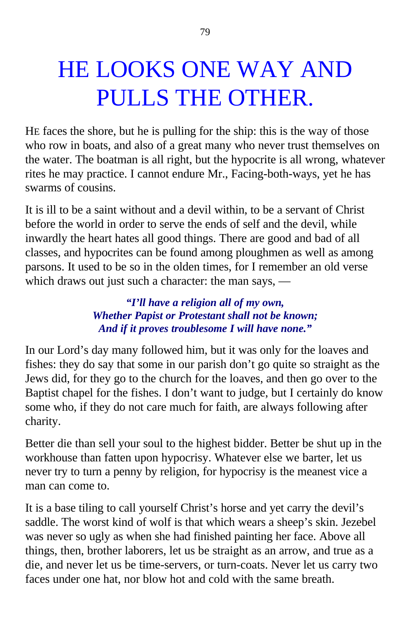# HE LOOKS ONE WAY AND PULLS THE OTHER.

HE faces the shore, but he is pulling for the ship: this is the way of those who row in boats, and also of a great many who never trust themselves on the water. The boatman is all right, but the hypocrite is all wrong, whatever rites he may practice. I cannot endure Mr., Facing-both-ways, yet he has swarms of cousins.

It is ill to be a saint without and a devil within, to be a servant of Christ before the world in order to serve the ends of self and the devil, while inwardly the heart hates all good things. There are good and bad of all classes, and hypocrites can be found among ploughmen as well as among parsons. It used to be so in the olden times, for I remember an old verse which draws out just such a character: the man says, —

> *"I'll have a religion all of my own, Whether Papist or Protestant shall not be known; And if it proves troublesome I will have none."*

In our Lord's day many followed him, but it was only for the loaves and fishes: they do say that some in our parish don't go quite so straight as the Jews did, for they go to the church for the loaves, and then go over to the Baptist chapel for the fishes. I don't want to judge, but I certainly do know some who, if they do not care much for faith, are always following after charity.

Better die than sell your soul to the highest bidder. Better be shut up in the workhouse than fatten upon hypocrisy. Whatever else we barter, let us never try to turn a penny by religion, for hypocrisy is the meanest vice a man can come to.

It is a base tiling to call yourself Christ's horse and yet carry the devil's saddle. The worst kind of wolf is that which wears a sheep's skin. Jezebel was never so ugly as when she had finished painting her face. Above all things, then, brother laborers, let us be straight as an arrow, and true as a die, and never let us be time-servers, or turn-coats. Never let us carry two faces under one hat, nor blow hot and cold with the same breath.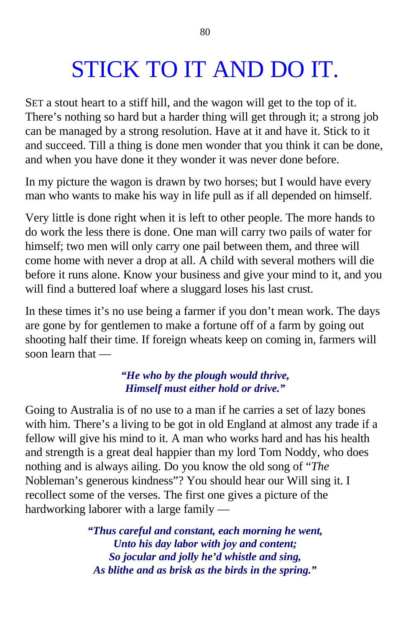# STICK TO IT AND DO IT.

SET a stout heart to a stiff hill, and the wagon will get to the top of it. There's nothing so hard but a harder thing will get through it; a strong job can be managed by a strong resolution. Have at it and have it. Stick to it and succeed. Till a thing is done men wonder that you think it can be done, and when you have done it they wonder it was never done before.

In my picture the wagon is drawn by two horses; but I would have every man who wants to make his way in life pull as if all depended on himself.

Very little is done right when it is left to other people. The more hands to do work the less there is done. One man will carry two pails of water for himself; two men will only carry one pail between them, and three will come home with never a drop at all. A child with several mothers will die before it runs alone. Know your business and give your mind to it, and you will find a buttered loaf where a sluggard loses his last crust.

In these times it's no use being a farmer if you don't mean work. The days are gone by for gentlemen to make a fortune off of a farm by going out shooting half their time. If foreign wheats keep on coming in, farmers will soon learn that —

## *"He who by the plough would thrive, Himself must either hold or drive."*

Going to Australia is of no use to a man if he carries a set of lazy bones with him. There's a living to be got in old England at almost any trade if a fellow will give his mind to it. A man who works hard and has his health and strength is a great deal happier than my lord Tom Noddy, who does nothing and is always ailing. Do you know the old song of "*The* Nobleman's generous kindness"? You should hear our Will sing it. I recollect some of the verses. The first one gives a picture of the hardworking laborer with a large family —

> *"Thus careful and constant, each morning he went, Unto his day labor with joy and content; So jocular and jolly he'd whistle and sing, As blithe and as brisk as the birds in the spring."*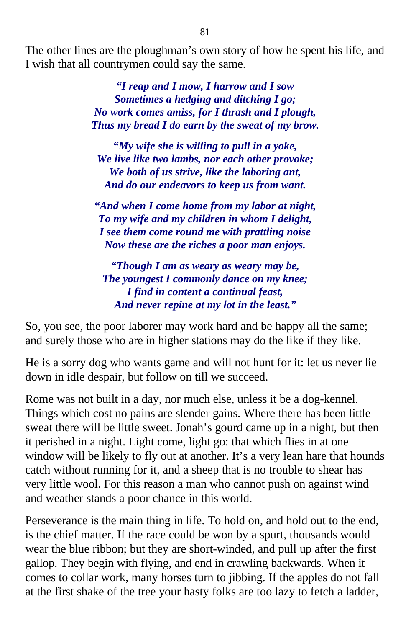The other lines are the ploughman's own story of how he spent his life, and I wish that all countrymen could say the same.

> *"I reap and I mow, I harrow and I sow Sometimes a hedging and ditching I go; No work comes amiss, for I thrash and I plough, Thus my bread I do earn by the sweat of my brow.*

*"My wife she is willing to pull in a yoke, We live like two lambs, nor each other provoke; We both of us strive, like the laboring ant, And do our endeavors to keep us from want.*

*"And when I come home from my labor at night, To my wife and my children in whom I delight, I see them come round me with prattling noise Now these are the riches a poor man enjoys.*

*"Though I am as weary as weary may be, The youngest I commonly dance on my knee; I find in content a continual feast, And never repine at my lot in the least."*

So, you see, the poor laborer may work hard and be happy all the same; and surely those who are in higher stations may do the like if they like.

He is a sorry dog who wants game and will not hunt for it: let us never lie down in idle despair, but follow on till we succeed.

Rome was not built in a day, nor much else, unless it be a dog-kennel. Things which cost no pains are slender gains. Where there has been little sweat there will be little sweet. Jonah's gourd came up in a night, but then it perished in a night. Light come, light go: that which flies in at one window will be likely to fly out at another. It's a very lean hare that hounds catch without running for it, and a sheep that is no trouble to shear has very little wool. For this reason a man who cannot push on against wind and weather stands a poor chance in this world.

Perseverance is the main thing in life. To hold on, and hold out to the end, is the chief matter. If the race could be won by a spurt, thousands would wear the blue ribbon; but they are short-winded, and pull up after the first gallop. They begin with flying, and end in crawling backwards. When it comes to collar work, many horses turn to jibbing. If the apples do not fall at the first shake of the tree your hasty folks are too lazy to fetch a ladder,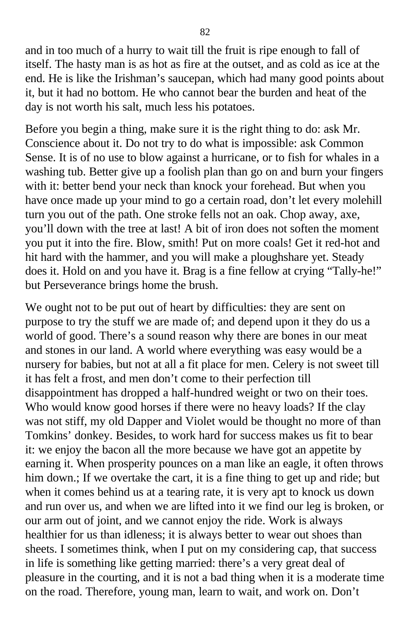and in too much of a hurry to wait till the fruit is ripe enough to fall of itself. The hasty man is as hot as fire at the outset, and as cold as ice at the end. He is like the Irishman's saucepan, which had many good points about it, but it had no bottom. He who cannot bear the burden and heat of the day is not worth his salt, much less his potatoes.

Before you begin a thing, make sure it is the right thing to do: ask Mr. Conscience about it. Do not try to do what is impossible: ask Common Sense. It is of no use to blow against a hurricane, or to fish for whales in a washing tub. Better give up a foolish plan than go on and burn your fingers with it: better bend your neck than knock your forehead. But when you have once made up your mind to go a certain road, don't let every molehill turn you out of the path. One stroke fells not an oak. Chop away, axe, you'll down with the tree at last! A bit of iron does not soften the moment you put it into the fire. Blow, smith! Put on more coals! Get it red-hot and hit hard with the hammer, and you will make a ploughshare yet. Steady does it. Hold on and you have it. Brag is a fine fellow at crying "Tally-he!" but Perseverance brings home the brush.

We ought not to be put out of heart by difficulties: they are sent on purpose to try the stuff we are made of; and depend upon it they do us a world of good. There's a sound reason why there are bones in our meat and stones in our land. A world where everything was easy would be a nursery for babies, but not at all a fit place for men. Celery is not sweet till it has felt a frost, and men don't come to their perfection till disappointment has dropped a half-hundred weight or two on their toes. Who would know good horses if there were no heavy loads? If the clay was not stiff, my old Dapper and Violet would be thought no more of than Tomkins' donkey. Besides, to work hard for success makes us fit to bear it: we enjoy the bacon all the more because we have got an appetite by earning it. When prosperity pounces on a man like an eagle, it often throws him down.; If we overtake the cart, it is a fine thing to get up and ride; but when it comes behind us at a tearing rate, it is very apt to knock us down and run over us, and when we are lifted into it we find our leg is broken, or our arm out of joint, and we cannot enjoy the ride. Work is always healthier for us than idleness; it is always better to wear out shoes than sheets. I sometimes think, when I put on my considering cap, that success in life is something like getting married: there's a very great deal of pleasure in the courting, and it is not a bad thing when it is a moderate time on the road. Therefore, young man, learn to wait, and work on. Don't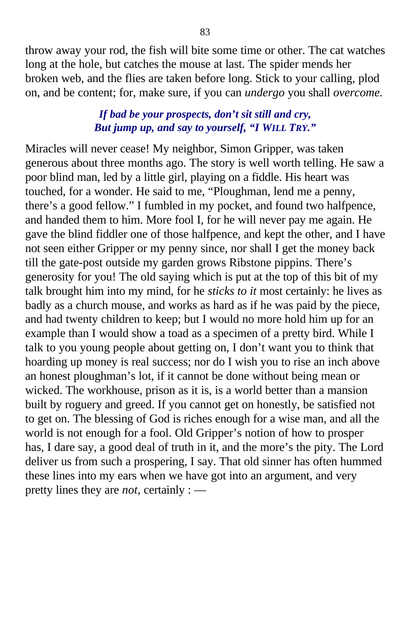throw away your rod, the fish will bite some time or other. The cat watches long at the hole, but catches the mouse at last. The spider mends her broken web, and the flies are taken before long. Stick to your calling, plod on, and be content; for, make sure, if you can *undergo* you shall *overcome.*

## *If bad be your prospects, don't sit still and cry, But jump up, and say to yourself, "I WILL TRY."*

Miracles will never cease! My neighbor, Simon Gripper, was taken generous about three months ago. The story is well worth telling. He saw a poor blind man, led by a little girl, playing on a fiddle. His heart was touched, for a wonder. He said to me, "Ploughman, lend me a penny, there's a good fellow." I fumbled in my pocket, and found two halfpence, and handed them to him. More fool I, for he will never pay me again. He gave the blind fiddler one of those halfpence, and kept the other, and I have not seen either Gripper or my penny since, nor shall I get the money back till the gate-post outside my garden grows Ribstone pippins. There's generosity for you! The old saying which is put at the top of this bit of my talk brought him into my mind, for he *sticks to it* most certainly: he lives as badly as a church mouse, and works as hard as if he was paid by the piece, and had twenty children to keep; but I would no more hold him up for an example than I would show a toad as a specimen of a pretty bird. While I talk to you young people about getting on, I don't want you to think that hoarding up money is real success; nor do I wish you to rise an inch above an honest ploughman's lot, if it cannot be done without being mean or wicked. The workhouse, prison as it is, is a world better than a mansion built by roguery and greed. If you cannot get on honestly, be satisfied not to get on. The blessing of God is riches enough for a wise man, and all the world is not enough for a fool. Old Gripper's notion of how to prosper has, I dare say, a good deal of truth in it, and the more's the pity. The Lord deliver us from such a prospering, I say. That old sinner has often hummed these lines into my ears when we have got into an argument, and very pretty lines they are *not,* certainly : —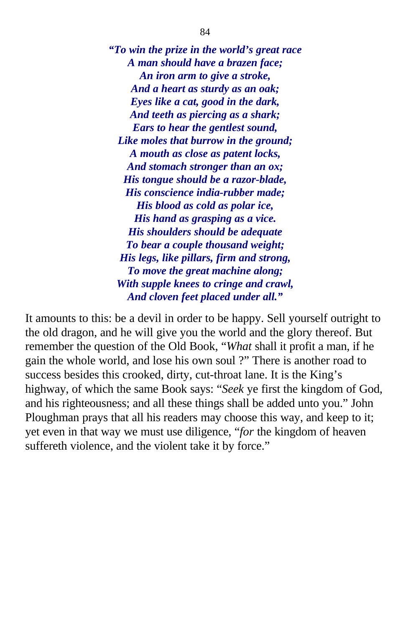*"To win the prize in the world's great race A man should have a brazen face; An iron arm to give a stroke, And a heart as sturdy as an oak; Eyes like a cat, good in the dark, And teeth as piercing as a shark; Ears to hear the gentlest sound, Like moles that burrow in the ground; A mouth as close as patent locks, And stomach stronger than an ox; His tongue should be a razor-blade, His conscience india-rubber made; His blood as cold as polar ice, His hand as grasping as a vice. His shoulders should be adequate To bear a couple thousand weight; His legs, like pillars, firm and strong, To move the great machine along; With supple knees to cringe and crawl, And cloven feet placed under all."*

It amounts to this: be a devil in order to be happy. Sell yourself outright to the old dragon, and he will give you the world and the glory thereof. But remember the question of the Old Book, "*What* shall it profit a man, if he gain the whole world, and lose his own soul ?" There is another road to success besides this crooked, dirty, cut-throat lane. It is the King's highway, of which the same Book says: "*Seek* ye first the kingdom of God, and his righteousness; and all these things shall be added unto you." John Ploughman prays that all his readers may choose this way, and keep to it; yet even in that way we must use diligence, "*for* the kingdom of heaven suffereth violence, and the violent take it by force."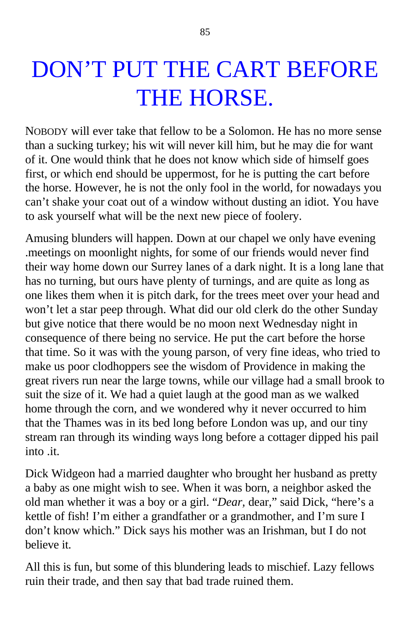# DON'T PUT THE CART BEFORE THE HORSE.

NOBODY will ever take that fellow to be a Solomon. He has no more sense than a sucking turkey; his wit will never kill him, but he may die for want of it. One would think that he does not know which side of himself goes first, or which end should be uppermost, for he is putting the cart before the horse. However, he is not the only fool in the world, for nowadays you can't shake your coat out of a window without dusting an idiot. You have to ask yourself what will be the next new piece of foolery.

Amusing blunders will happen. Down at our chapel we only have evening .meetings on moonlight nights, for some of our friends would never find their way home down our Surrey lanes of a dark night. It is a long lane that has no turning, but ours have plenty of turnings, and are quite as long as one likes them when it is pitch dark, for the trees meet over your head and won't let a star peep through. What did our old clerk do the other Sunday but give notice that there would be no moon next Wednesday night in consequence of there being no service. He put the cart before the horse that time. So it was with the young parson, of very fine ideas, who tried to make us poor clodhoppers see the wisdom of Providence in making the great rivers run near the large towns, while our village had a small brook to suit the size of it. We had a quiet laugh at the good man as we walked home through the corn, and we wondered why it never occurred to him that the Thames was in its bed long before London was up, and our tiny stream ran through its winding ways long before a cottager dipped his pail into .it.

Dick Widgeon had a married daughter who brought her husband as pretty a baby as one might wish to see. When it was born, a neighbor asked the old man whether it was a boy or a girl. "*Dear,* dear," said Dick, "here's a kettle of fish! I'm either a grandfather or a grandmother, and I'm sure I don't know which." Dick says his mother was an Irishman, but I do not believe it.

All this is fun, but some of this blundering leads to mischief. Lazy fellows ruin their trade, and then say that bad trade ruined them.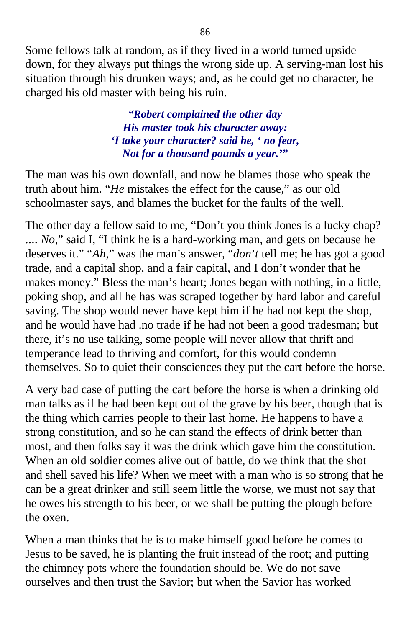Some fellows talk at random, as if they lived in a world turned upside down, for they always put things the wrong side up. A serving-man lost his situation through his drunken ways; and, as he could get no character, he charged his old master with being his ruin.

> *"Robert complained the other day His master took his character away: 'I take your character? said he, ' no fear, Not for a thousand pounds a year.'"*

The man was his own downfall, and now he blames those who speak the truth about him. "*He* mistakes the effect for the cause," as our old schoolmaster says, and blames the bucket for the faults of the well.

The other day a fellow said to me, "Don't you think Jones is a lucky chap? .... *No,*" said I, "I think he is a hard-working man, and gets on because he deserves it." "*Ah,*" was the man's answer, "*don*'*t* tell me; he has got a good trade, and a capital shop, and a fair capital, and I don't wonder that he makes money." Bless the man's heart; Jones began with nothing, in a little, poking shop, and all he has was scraped together by hard labor and careful saving. The shop would never have kept him if he had not kept the shop, and he would have had .no trade if he had not been a good tradesman; but there, it's no use talking, some people will never allow that thrift and temperance lead to thriving and comfort, for this would condemn themselves. So to quiet their consciences they put the cart before the horse.

A very bad case of putting the cart before the horse is when a drinking old man talks as if he had been kept out of the grave by his beer, though that is the thing which carries people to their last home. He happens to have a strong constitution, and so he can stand the effects of drink better than most, and then folks say it was the drink which gave him the constitution. When an old soldier comes alive out of battle, do we think that the shot and shell saved his life? When we meet with a man who is so strong that he can be a great drinker and still seem little the worse, we must not say that he owes his strength to his beer, or we shall be putting the plough before the oxen.

When a man thinks that he is to make himself good before he comes to Jesus to be saved, he is planting the fruit instead of the root; and putting the chimney pots where the foundation should be. We do not save ourselves and then trust the Savior; but when the Savior has worked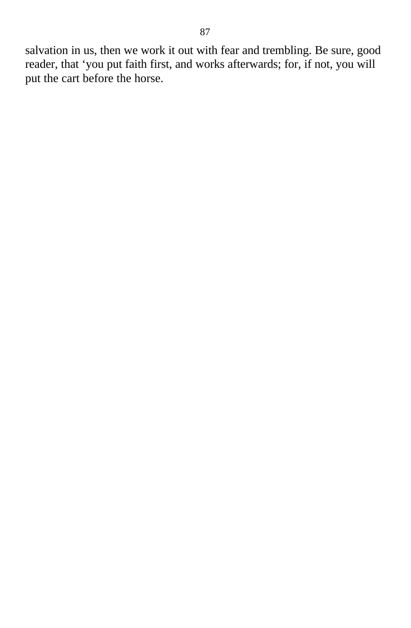salvation in us, then we work it out with fear and trembling. Be sure, good reader, that 'you put faith first, and works afterwards; for, if not, you will put the cart before the horse.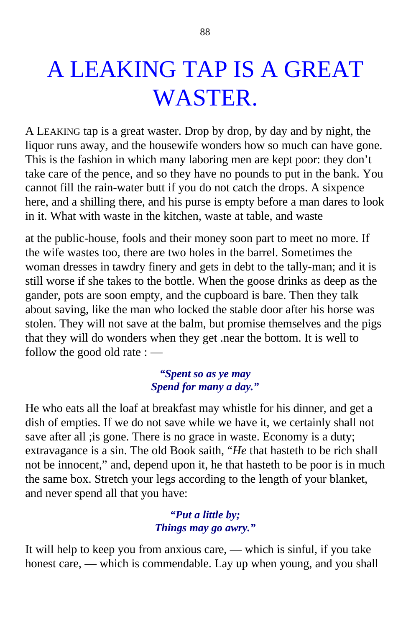## A LEAKING TAP IS A GREAT WASTER.

A LEAKING tap is a great waster. Drop by drop, by day and by night, the liquor runs away, and the housewife wonders how so much can have gone. This is the fashion in which many laboring men are kept poor: they don't take care of the pence, and so they have no pounds to put in the bank. You cannot fill the rain-water butt if you do not catch the drops. A sixpence here, and a shilling there, and his purse is empty before a man dares to look in it. What with waste in the kitchen, waste at table, and waste

at the public-house, fools and their money soon part to meet no more. If the wife wastes too, there are two holes in the barrel. Sometimes the woman dresses in tawdry finery and gets in debt to the tally-man; and it is still worse if she takes to the bottle. When the goose drinks as deep as the gander, pots are soon empty, and the cupboard is bare. Then they talk about saving, like the man who locked the stable door after his horse was stolen. They will not save at the balm, but promise themselves and the pigs that they will do wonders when they get .near the bottom. It is well to follow the good old rate : —

### *"Spent so as ye may Spend for many a day."*

He who eats all the loaf at breakfast may whistle for his dinner, and get a dish of empties. If we do not save while we have it, we certainly shall not save after all ;is gone. There is no grace in waste. Economy is a duty; extravagance is a sin. The old Book saith, "*He* that hasteth to be rich shall not be innocent," and, depend upon it, he that hasteth to be poor is in much the same box. Stretch your legs according to the length of your blanket, and never spend all that you have:

## *"Put a little by; Things may go awry."*

It will help to keep you from anxious care, — which is sinful, if you take honest care, — which is commendable. Lay up when young, and you shall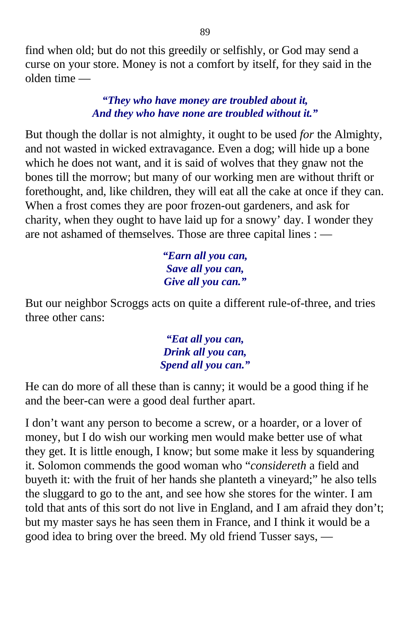find when old; but do not this greedily or selfishly, or God may send a curse on your store. Money is not a comfort by itself, for they said in the olden time —

### *"They who have money are troubled about it, And they who have none are troubled without it."*

But though the dollar is not almighty, it ought to be used *for* the Almighty, and not wasted in wicked extravagance. Even a dog; will hide up a bone which he does not want, and it is said of wolves that they gnaw not the bones till the morrow; but many of our working men are without thrift or forethought, and, like children, they will eat all the cake at once if they can. When a frost comes they are poor frozen-out gardeners, and ask for charity, when they ought to have laid up for a snowy' day. I wonder they are not ashamed of themselves. Those are three capital lines : —

### *"Earn all you can, Save all you can, Give all you can."*

But our neighbor Scroggs acts on quite a different rule-of-three, and tries three other cans:

> *"Eat all you can, Drink all you can, Spend all you can."*

He can do more of all these than is canny; it would be a good thing if he and the beer-can were a good deal further apart.

I don't want any person to become a screw, or a hoarder, or a lover of money, but I do wish our working men would make better use of what they get. It is little enough, I know; but some make it less by squandering it. Solomon commends the good woman who "*considereth* a field and buyeth it: with the fruit of her hands she planteth a vineyard;" he also tells the sluggard to go to the ant, and see how she stores for the winter. I am told that ants of this sort do not live in England, and I am afraid they don't; but my master says he has seen them in France, and I think it would be a good idea to bring over the breed. My old friend Tusser says, —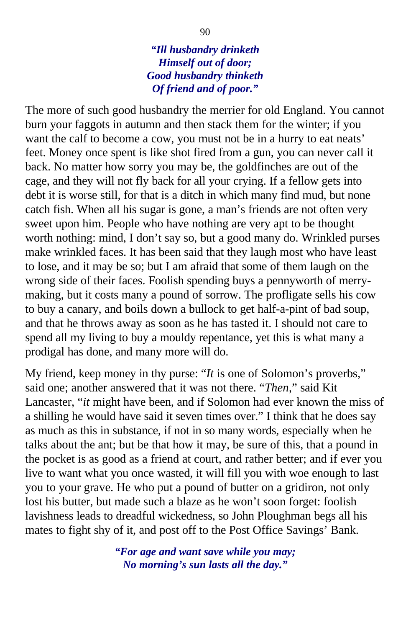## *"Ill husbandry drinketh Himself out of door; Good husbandry thinketh Of friend and of poor."*

The more of such good husbandry the merrier for old England. You cannot burn your faggots in autumn and then stack them for the winter; if you want the calf to become a cow, you must not be in a hurry to eat neats' feet. Money once spent is like shot fired from a gun, you can never call it back. No matter how sorry you may be, the goldfinches are out of the cage, and they will not fly back for all your crying. If a fellow gets into debt it is worse still, for that is a ditch in which many find mud, but none catch fish. When all his sugar is gone, a man's friends are not often very sweet upon him. People who have nothing are very apt to be thought worth nothing: mind, I don't say so, but a good many do. Wrinkled purses make wrinkled faces. It has been said that they laugh most who have least to lose, and it may be so; but I am afraid that some of them laugh on the wrong side of their faces. Foolish spending buys a pennyworth of merrymaking, but it costs many a pound of sorrow. The profligate sells his cow to buy a canary, and boils down a bullock to get half-a-pint of bad soup, and that he throws away as soon as he has tasted it. I should not care to spend all my living to buy a mouldy repentance, yet this is what many a prodigal has done, and many more will do.

My friend, keep money in thy purse: "*It* is one of Solomon's proverbs," said one; another answered that it was not there. "*Then,*" said Kit Lancaster, "*it* might have been, and if Solomon had ever known the miss of a shilling he would have said it seven times over." I think that he does say as much as this in substance, if not in so many words, especially when he talks about the ant; but be that how it may, be sure of this, that a pound in the pocket is as good as a friend at court, and rather better; and if ever you live to want what you once wasted, it will fill you with woe enough to last you to your grave. He who put a pound of butter on a gridiron, not only lost his butter, but made such a blaze as he won't soon forget: foolish lavishness leads to dreadful wickedness, so John Ploughman begs all his mates to fight shy of it, and post off to the Post Office Savings' Bank.

> *"For age and want save while you may; No morning's sun lasts all the day."*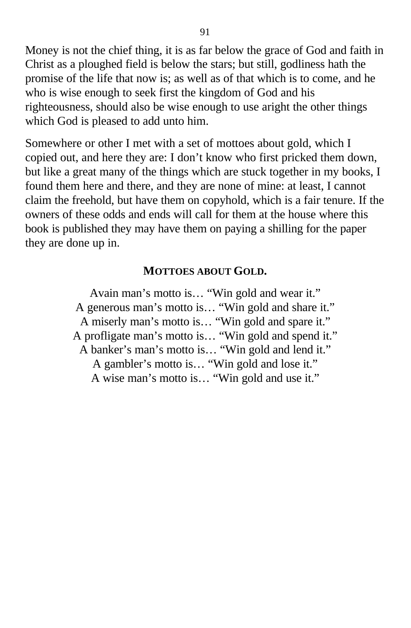Money is not the chief thing, it is as far below the grace of God and faith in Christ as a ploughed field is below the stars; but still, godliness hath the promise of the life that now is; as well as of that which is to come, and he who is wise enough to seek first the kingdom of God and his righteousness, should also be wise enough to use aright the other things which God is pleased to add unto him.

Somewhere or other I met with a set of mottoes about gold, which I copied out, and here they are: I don't know who first pricked them down, but like a great many of the things which are stuck together in my books, I found them here and there, and they are none of mine: at least, I cannot claim the freehold, but have them on copyhold, which is a fair tenure. If the owners of these odds and ends will call for them at the house where this book is published they may have them on paying a shilling for the paper they are done up in.

### **MOTTOES ABOUT GOLD.**

Avain man's motto is… "Win gold and wear it." A generous man's motto is… "Win gold and share it." A miserly man's motto is… "Win gold and spare it." A profligate man's motto is… "Win gold and spend it." A banker's man's motto is… "Win gold and lend it." A gambler's motto is… "Win gold and lose it." A wise man's motto is… "Win gold and use it."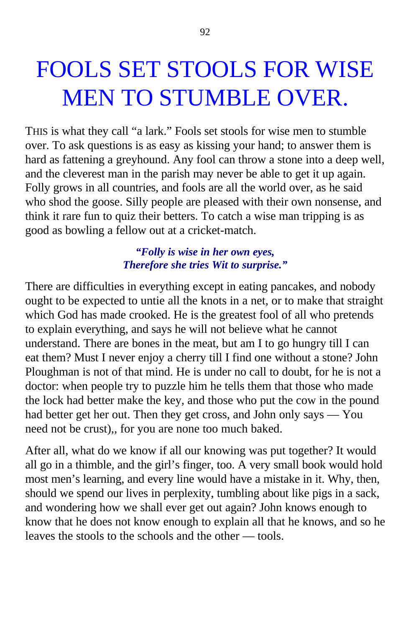# FOOLS SET STOOLS FOR WISE MEN TO STUMBLE OVER.

THIS is what they call "a lark." Fools set stools for wise men to stumble over. To ask questions is as easy as kissing your hand; to answer them is hard as fattening a greyhound. Any fool can throw a stone into a deep well, and the cleverest man in the parish may never be able to get it up again. Folly grows in all countries, and fools are all the world over, as he said who shod the goose. Silly people are pleased with their own nonsense, and think it rare fun to quiz their betters. To catch a wise man tripping is as good as bowling a fellow out at a cricket-match.

## *"Folly is wise in her own eyes, Therefore she tries Wit to surprise."*

There are difficulties in everything except in eating pancakes, and nobody ought to be expected to untie all the knots in a net, or to make that straight which God has made crooked. He is the greatest fool of all who pretends to explain everything, and says he will not believe what he cannot understand. There are bones in the meat, but am I to go hungry till I can eat them? Must I never enjoy a cherry till I find one without a stone? John Ploughman is not of that mind. He is under no call to doubt, for he is not a doctor: when people try to puzzle him he tells them that those who made the lock had better make the key, and those who put the cow in the pound had better get her out. Then they get cross, and John only says — You need not be crust),, for you are none too much baked.

After all, what do we know if all our knowing was put together? It would all go in a thimble, and the girl's finger, too. A very small book would hold most men's learning, and every line would have a mistake in it. Why, then, should we spend our lives in perplexity, tumbling about like pigs in a sack, and wondering how we shall ever get out again? John knows enough to know that he does not know enough to explain all that he knows, and so he leaves the stools to the schools and the other — tools.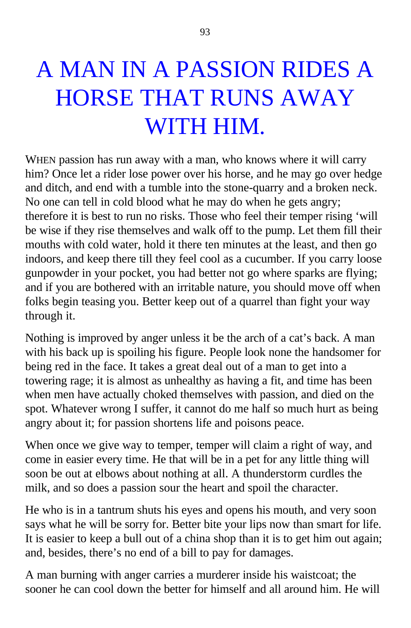# A MAN IN A PASSION RIDES A HORSE THAT RUNS AWAY WITH HIM.

WHEN passion has run away with a man, who knows where it will carry him? Once let a rider lose power over his horse, and he may go over hedge and ditch, and end with a tumble into the stone-quarry and a broken neck. No one can tell in cold blood what he may do when he gets angry; therefore it is best to run no risks. Those who feel their temper rising 'will be wise if they rise themselves and walk off to the pump. Let them fill their mouths with cold water, hold it there ten minutes at the least, and then go indoors, and keep there till they feel cool as a cucumber. If you carry loose gunpowder in your pocket, you had better not go where sparks are flying; and if you are bothered with an irritable nature, you should move off when folks begin teasing you. Better keep out of a quarrel than fight your way through it.

Nothing is improved by anger unless it be the arch of a cat's back. A man with his back up is spoiling his figure. People look none the handsomer for being red in the face. It takes a great deal out of a man to get into a towering rage; it is almost as unhealthy as having a fit, and time has been when men have actually choked themselves with passion, and died on the spot. Whatever wrong I suffer, it cannot do me half so much hurt as being angry about it; for passion shortens life and poisons peace.

When once we give way to temper, temper will claim a right of way, and come in easier every time. He that will be in a pet for any little thing will soon be out at elbows about nothing at all. A thunderstorm curdles the milk, and so does a passion sour the heart and spoil the character.

He who is in a tantrum shuts his eyes and opens his mouth, and very soon says what he will be sorry for. Better bite your lips now than smart for life. It is easier to keep a bull out of a china shop than it is to get him out again; and, besides, there's no end of a bill to pay for damages.

A man burning with anger carries a murderer inside his waistcoat; the sooner he can cool down the better for himself and all around him. He will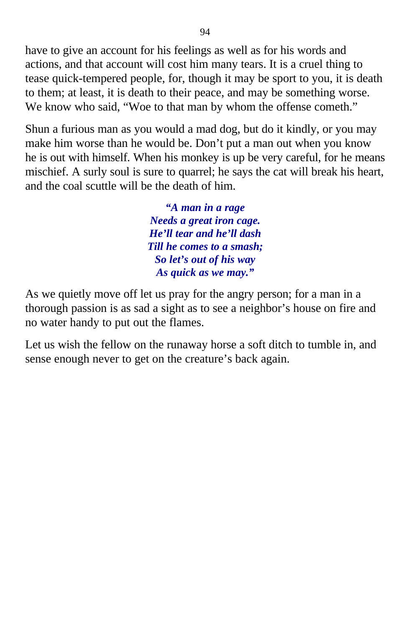have to give an account for his feelings as well as for his words and actions, and that account will cost him many tears. It is a cruel thing to tease quick-tempered people, for, though it may be sport to you, it is death to them; at least, it is death to their peace, and may be something worse. We know who said, "Woe to that man by whom the offense cometh."

Shun a furious man as you would a mad dog, but do it kindly, or you may make him worse than he would be. Don't put a man out when you know he is out with himself. When his monkey is up be very careful, for he means mischief. A surly soul is sure to quarrel; he says the cat will break his heart, and the coal scuttle will be the death of him.

> *"A man in a rage Needs a great iron cage. He'll tear and he'll dash Till he comes to a smash; So let's out of his way As quick as we may."*

As we quietly move off let us pray for the angry person; for a man in a thorough passion is as sad a sight as to see a neighbor's house on fire and no water handy to put out the flames.

Let us wish the fellow on the runaway horse a soft ditch to tumble in, and sense enough never to get on the creature's back again.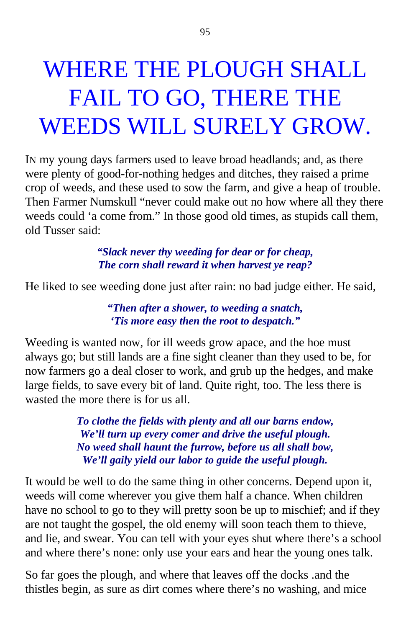# WHERE THE PLOUGH SHALL FAIL TO GO, THERE THE WEEDS WILL SURELY GROW.

IN my young days farmers used to leave broad headlands; and, as there were plenty of good-for-nothing hedges and ditches, they raised a prime crop of weeds, and these used to sow the farm, and give a heap of trouble. Then Farmer Numskull "never could make out no how where all they there weeds could 'a come from." In those good old times, as stupids call them, old Tusser said:

> *"Slack never thy weeding for dear or for cheap, The corn shall reward it when harvest ye reap?*

He liked to see weeding done just after rain: no bad judge either. He said,

*"Then after a shower, to weeding a snatch, 'Tis more easy then the root to despatch."*

Weeding is wanted now, for ill weeds grow apace, and the hoe must always go; but still lands are a fine sight cleaner than they used to be, for now farmers go a deal closer to work, and grub up the hedges, and make large fields, to save every bit of land. Quite right, too. The less there is wasted the more there is for us all.

> *To clothe the fields with plenty and all our barns endow, We'll turn up every comer and drive the useful plough. No weed shall haunt the furrow, before us all shall bow, We'll gaily yield our labor to guide the useful plough.*

It would be well to do the same thing in other concerns. Depend upon it, weeds will come wherever you give them half a chance. When children have no school to go to they will pretty soon be up to mischief; and if they are not taught the gospel, the old enemy will soon teach them to thieve, and lie, and swear. You can tell with your eyes shut where there's a school and where there's none: only use your ears and hear the young ones talk.

So far goes the plough, and where that leaves off the docks .and the thistles begin, as sure as dirt comes where there's no washing, and mice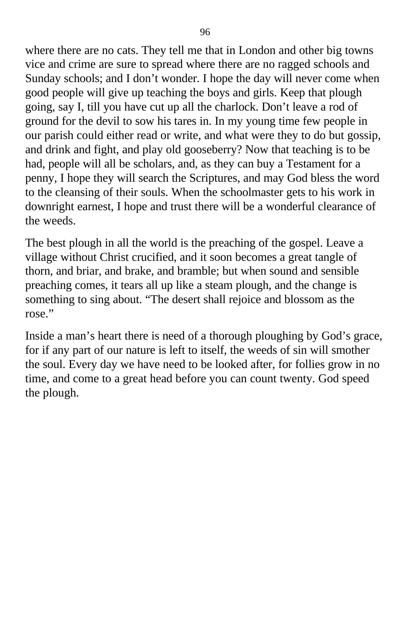where there are no cats. They tell me that in London and other big towns vice and crime are sure to spread where there are no ragged schools and Sunday schools; and I don't wonder. I hope the day will never come when good people will give up teaching the boys and girls. Keep that plough going, say I, till you have cut up all the charlock. Don't leave a rod of ground for the devil to sow his tares in. In my young time few people in our parish could either read or write, and what were they to do but gossip, and drink and fight, and play old gooseberry? Now that teaching is to be had, people will all be scholars, and, as they can buy a Testament for a penny, I hope they will search the Scriptures, and may God bless the word to the cleansing of their souls. When the schoolmaster gets to his work in downright earnest, I hope and trust there will be a wonderful clearance of the weeds.

The best plough in all the world is the preaching of the gospel. Leave a village without Christ crucified, and it soon becomes a great tangle of thorn, and briar, and brake, and bramble; but when sound and sensible preaching comes, it tears all up like a steam plough, and the change is something to sing about. "The desert shall rejoice and blossom as the rose."

Inside a man's heart there is need of a thorough ploughing by God's grace, for if any part of our nature is left to itself, the weeds of sin will smother the soul. Every day we have need to be looked after, for follies grow in no time, and come to a great head before you can count twenty. God speed the plough.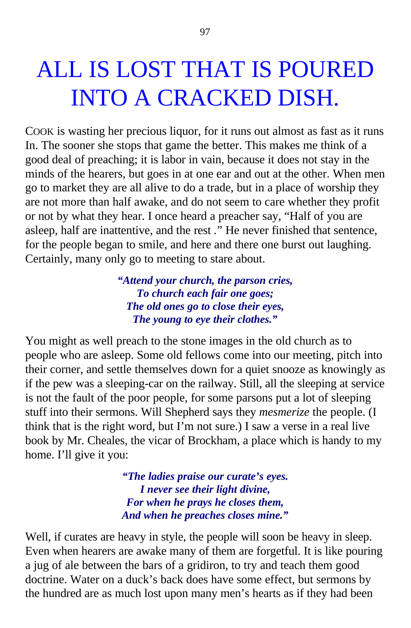## ALL IS LOST THAT IS POURED INTO A CRACKED DISH.

COOK is wasting her precious liquor, for it runs out almost as fast as it runs In. The sooner she stops that game the better. This makes me think of a good deal of preaching; it is labor in vain, because it does not stay in the minds of the hearers, but goes in at one ear and out at the other. When men go to market they are all alive to do a trade, but in a place of worship they are not more than half awake, and do not seem to care whether they profit or not by what they hear. I once heard a preacher say, "Half of you are asleep, half are inattentive, and the rest *.*" He never finished that sentence, for the people began to smile, and here and there one burst out laughing. Certainly, many only go to meeting to stare about.

> *"Attend your church, the parson cries, To church each fair one goes; The old ones go to close their eyes, The young to eye their clothes."*

You might as well preach to the stone images in the old church as to people who are asleep. Some old fellows come into our meeting, pitch into their corner, and settle themselves down for a quiet snooze as knowingly as if the pew was a sleeping-car on the railway. Still, all the sleeping at service is not the fault of the poor people, for some parsons put a lot of sleeping stuff into their sermons. Will Shepherd says they *mesmerize* the people. (I think that is the right word, but I'm not sure.) I saw a verse in a real live book by Mr. Cheales, the vicar of Brockham, a place which is handy to my home. I'll give it you:

> *"The ladies praise our curate's eyes. I never see their light divine, For when he prays he closes them, And when he preaches closes mine."*

Well, if curates are heavy in style, the people will soon be heavy in sleep. Even when hearers are awake many of them are forgetful. It is like pouring a jug of ale between the bars of a gridiron, to try and teach them good doctrine. Water on a duck's back does have some effect, but sermons by the hundred are as much lost upon many men's hearts as if they had been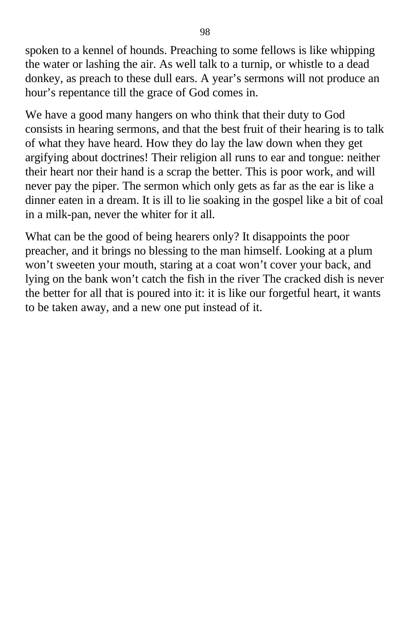spoken to a kennel of hounds. Preaching to some fellows is like whipping the water or lashing the air. As well talk to a turnip, or whistle to a dead donkey, as preach to these dull ears. A year's sermons will not produce an hour's repentance till the grace of God comes in.

We have a good many hangers on who think that their duty to God consists in hearing sermons, and that the best fruit of their hearing is to talk of what they have heard. How they do lay the law down when they get argifying about doctrines! Their religion all runs to ear and tongue: neither their heart nor their hand is a scrap the better. This is poor work, and will never pay the piper. The sermon which only gets as far as the ear is like a dinner eaten in a dream. It is ill to lie soaking in the gospel like a bit of coal in a milk-pan, never the whiter for it all.

What can be the good of being hearers only? It disappoints the poor preacher, and it brings no blessing to the man himself. Looking at a plum won't sweeten your mouth, staring at a coat won't cover your back, and lying on the bank won't catch the fish in the river The cracked dish is never the better for all that is poured into it: it is like our forgetful heart, it wants to be taken away, and a new one put instead of it.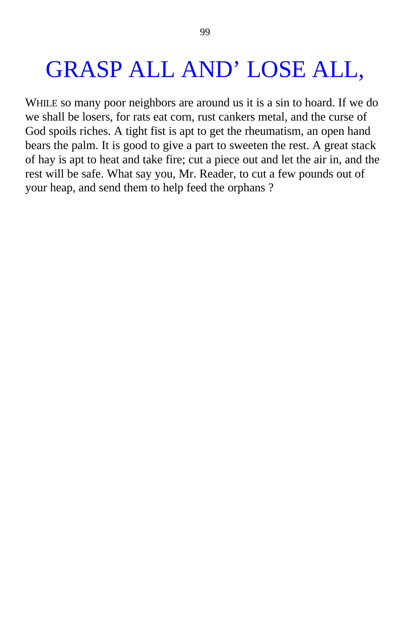# GRASP ALL AND' LOSE ALL,

WHILE so many poor neighbors are around us it is a sin to hoard. If we do we shall be losers, for rats eat corn, rust cankers metal, and the curse of God spoils riches. A tight fist is apt to get the rheumatism, an open hand bears the palm. It is good to give a part to sweeten the rest. A great stack of hay is apt to heat and take fire; cut a piece out and let the air in, and the rest will be safe. What say you, Mr. Reader, to cut a few pounds out of your heap, and send them to help feed the orphans ?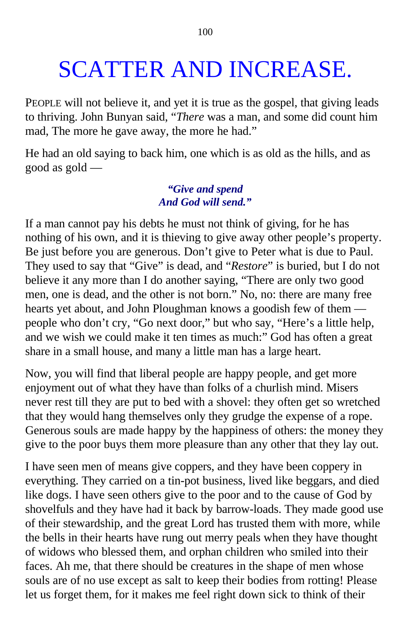## SCATTER AND INCREASE.

PEOPLE will not believe it, and yet it is true as the gospel, that giving leads to thriving. John Bunyan said, "*There* was a man, and some did count him mad, The more he gave away, the more he had."

He had an old saying to back him, one which is as old as the hills, and as good as gold —

### *"Give and spend And God will send."*

If a man cannot pay his debts he must not think of giving, for he has nothing of his own, and it is thieving to give away other people's property. Be just before you are generous. Don't give to Peter what is due to Paul. They used to say that "Give" is dead, and "*Restore*" is buried, but I do not believe it any more than I do another saying, "There are only two good men, one is dead, and the other is not born." No, no: there are many free hearts yet about, and John Ploughman knows a goodish few of them people who don't cry, "Go next door," but who say, "Here's a little help, and we wish we could make it ten times as much:" God has often a great share in a small house, and many a little man has a large heart.

Now, you will find that liberal people are happy people, and get more enjoyment out of what they have than folks of a churlish mind. Misers never rest till they are put to bed with a shovel: they often get so wretched that they would hang themselves only they grudge the expense of a rope. Generous souls are made happy by the happiness of others: the money they give to the poor buys them more pleasure than any other that they lay out.

I have seen men of means give coppers, and they have been coppery in everything. They carried on a tin-pot business, lived like beggars, and died like dogs. I have seen others give to the poor and to the cause of God by shovelfuls and they have had it back by barrow-loads. They made good use of their stewardship, and the great Lord has trusted them with more, while the bells in their hearts have rung out merry peals when they have thought of widows who blessed them, and orphan children who smiled into their faces. Ah me, that there should be creatures in the shape of men whose souls are of no use except as salt to keep their bodies from rotting! Please let us forget them, for it makes me feel right down sick to think of their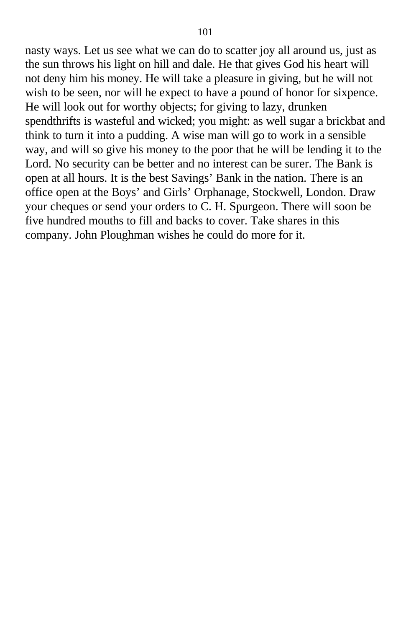nasty ways. Let us see what we can do to scatter joy all around us, just as the sun throws his light on hill and dale. He that gives God his heart will not deny him his money. He will take a pleasure in giving, but he will not wish to be seen, nor will he expect to have a pound of honor for sixpence. He will look out for worthy objects; for giving to lazy, drunken spendthrifts is wasteful and wicked; you might: as well sugar a brickbat and think to turn it into a pudding. A wise man will go to work in a sensible way, and will so give his money to the poor that he will be lending it to the Lord. No security can be better and no interest can be surer. The Bank is open at all hours. It is the best Savings' Bank in the nation. There is an office open at the Boys' and Girls' Orphanage, Stockwell, London. Draw your cheques or send your orders to C. H. Spurgeon. There will soon be five hundred mouths to fill and backs to cover. Take shares in this company. John Ploughman wishes he could do more for it.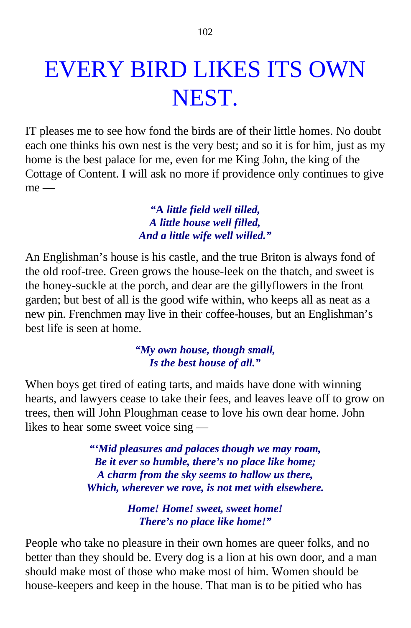IT pleases me to see how fond the birds are of their little homes. No doubt each one thinks his own nest is the very best; and so it is for him, just as my home is the best palace for me, even for me King John, the king of the Cottage of Content. I will ask no more if providence only continues to give me —

> *"***A** *little field well tilled, A little house well filled, And a little wife well willed."*

An Englishman's house is his castle, and the true Briton is always fond of the old roof-tree. Green grows the house-leek on the thatch, and sweet is the honey-suckle at the porch, and dear are the gillyflowers in the front garden; but best of all is the good wife within, who keeps all as neat as a new pin. Frenchmen may live in their coffee-houses, but an Englishman's best life is seen at home.

> *"My own house, though small, Is the best house of all."*

When boys get tired of eating tarts, and maids have done with winning hearts, and lawyers cease to take their fees, and leaves leave off to grow on trees, then will John Ploughman cease to love his own dear home. John likes to hear some sweet voice sing —

> *"'Mid pleasures and palaces though we may roam, Be it ever so humble, there's no place like home; A charm from the sky seems to hallow us there, Which, wherever we rove, is not met with elsewhere.*

> > *Home! Home! sweet, sweet home! There's no place like home!"*

People who take no pleasure in their own homes are queer folks, and no better than they should be. Every dog is a lion at his own door, and a man should make most of those who make most of him. Women should be house-keepers and keep in the house. That man is to be pitied who has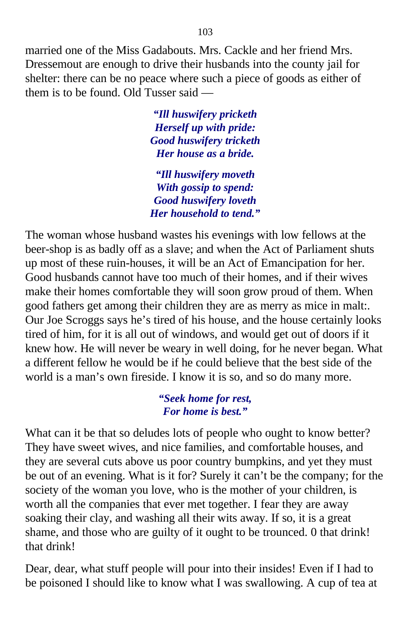married one of the Miss Gadabouts. Mrs. Cackle and her friend Mrs. Dressemout are enough to drive their husbands into the county jail for shelter: there can be no peace where such a piece of goods as either of them is to be found. Old Tusser said —

> *"Ill huswifery pricketh Herself up with pride: Good huswifery tricketh Her house as a bride. "Ill huswifery moveth With gossip to spend: Good huswifery loveth*

> *Her household to tend."*

The woman whose husband wastes his evenings with low fellows at the beer-shop is as badly off as a slave; and when the Act of Parliament shuts up most of these ruin-houses, it will be an Act of Emancipation for her. Good husbands cannot have too much of their homes, and if their wives make their homes comfortable they will soon grow proud of them. When good fathers get among their children they are as merry as mice in malt:. Our Joe Scroggs says he's tired of his house, and the house certainly looks tired of him, for it is all out of windows, and would get out of doors if it knew how. He will never be weary in well doing, for he never began. What a different fellow he would be if he could believe that the best side of the world is a man's own fireside. I know it is so, and so do many more.

#### *"Seek home for rest, For home is best."*

What can it be that so deludes lots of people who ought to know better? They have sweet wives, and nice families, and comfortable houses, and they are several cuts above us poor country bumpkins, and yet they must be out of an evening. What is it for? Surely it can't be the company; for the society of the woman you love, who is the mother of your children, is worth all the companies that ever met together. I fear they are away soaking their clay, and washing all their wits away. If so, it is a great shame, and those who are guilty of it ought to be trounced. 0 that drink! that drink!

Dear, dear, what stuff people will pour into their insides! Even if I had to be poisoned I should like to know what I was swallowing. A cup of tea at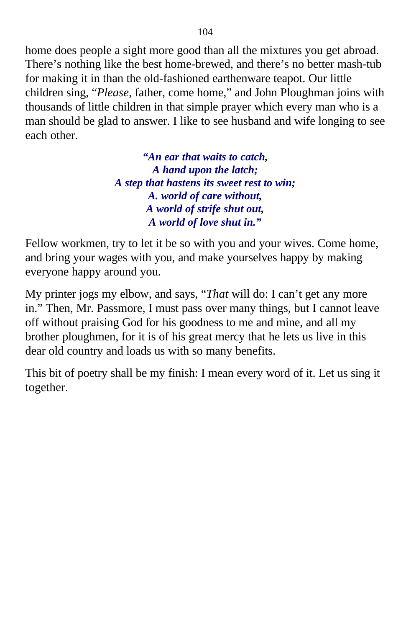home does people a sight more good than all the mixtures you get abroad. There's nothing like the best home-brewed, and there's no better mash-tub for making it in than the old-fashioned earthenware teapot. Our little children sing, "*Please,* father, come home," and John Ploughman joins with thousands of little children in that simple prayer which every man who is a man should be glad to answer. I like to see husband and wife longing to see each other.

> *"An ear that waits to catch, A hand upon the latch; A step that hastens its sweet rest to win; A. world of care without, A world of strife shut out, A world of love shut in."*

Fellow workmen, try to let it be so with you and your wives. Come home, and bring your wages with you, and make yourselves happy by making everyone happy around you.

My printer jogs my elbow, and says, "*That* will do: I can't get any more in." Then, Mr. Passmore, I must pass over many things, but I cannot leave off without praising God for his goodness to me and mine, and all my brother ploughmen, for it is of his great mercy that he lets us live in this dear old country and loads us with so many benefits.

This bit of poetry shall be my finish: I mean every word of it. Let us sing it together.